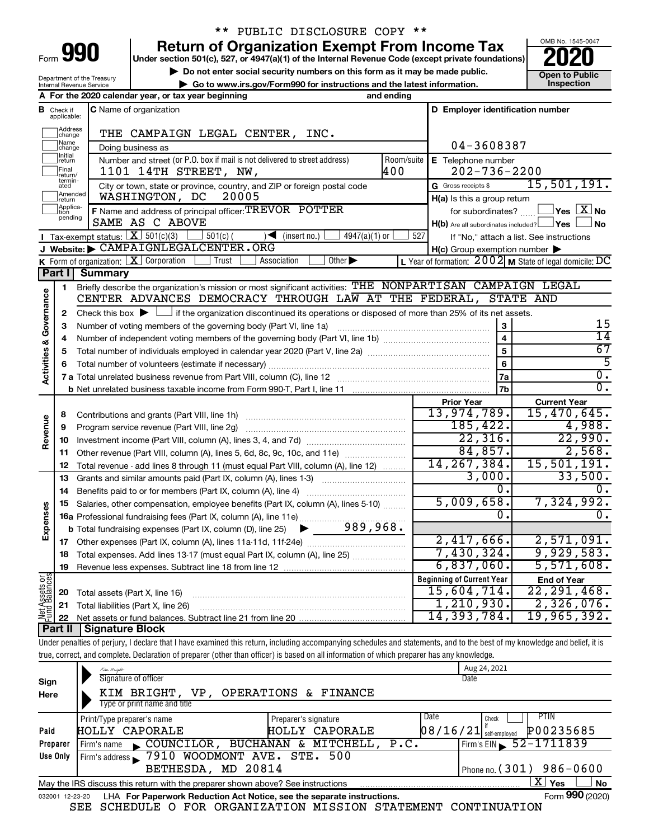| Form |  |  |
|------|--|--|

### \*\* PUBLIC DISCLOSURE COPY \*\*

**990** Return of Organization Exempt From Income Tax <br>
Under section 501(c), 527, or 4947(a)(1) of the Internal Revenue Code (except private foundations)<br> **PO20** 

**but the Social security numbers on this form as it may be made public.** The only one to Public **Depending to Public and the latest information.** This pection **| Go to www.irs.gov/Form990 for instructions and the latest information. Inspection**



Department of the Treasury Internal Revenue Service

|                                    |                                  | A For the 2020 calendar year, or tax year beginning                                                                                                                                                              | and ending     |                                                     |                                                           |
|------------------------------------|----------------------------------|------------------------------------------------------------------------------------------------------------------------------------------------------------------------------------------------------------------|----------------|-----------------------------------------------------|-----------------------------------------------------------|
|                                    | <b>B</b> Check if<br>applicable: | C Name of organization                                                                                                                                                                                           |                | D Employer identification number                    |                                                           |
|                                    | Address<br>change                | THE CAMPAIGN LEGAL CENTER, INC.                                                                                                                                                                                  |                |                                                     |                                                           |
|                                    | Name<br>change                   | Doing business as                                                                                                                                                                                                |                | 04-3608387                                          |                                                           |
|                                    | Initial<br>return                | Number and street (or P.O. box if mail is not delivered to street address)                                                                                                                                       | Room/suite     | E Telephone number                                  |                                                           |
|                                    | Final<br>return/                 | 1101 14TH STREET, NW,                                                                                                                                                                                            | 400            | $202 - 736 - 2200$                                  |                                                           |
|                                    | termin-<br>ated                  | City or town, state or province, country, and ZIP or foreign postal code                                                                                                                                         |                | G Gross receipts \$                                 | 15,501,191.                                               |
|                                    | Amended<br>Ireturn               | WASHINGTON, DC<br>20005                                                                                                                                                                                          |                | H(a) Is this a group return                         |                                                           |
|                                    | Applica-<br>Ition<br>pending     | F Name and address of principal officer: TREVOR POTTER                                                                                                                                                           |                | for subordinates?                                   | $\sqrt{}$ Yes $\sqrt{ \text{X}}$ No                       |
|                                    |                                  | SAME AS C ABOVE                                                                                                                                                                                                  |                | $H(b)$ Are all subordinates included? $\Box$ Yes    | No                                                        |
|                                    |                                  | Tax-exempt status: $X \ 501(c)(3)$<br>$501(c)$ (<br>$4947(a)(1)$ or<br>$\sqrt{\frac{1}{1}}$ (insert no.)                                                                                                         | 527            |                                                     | If "No," attach a list. See instructions                  |
|                                    |                                  | J Website: CAMPAIGNLEGALCENTER.ORG                                                                                                                                                                               |                | $H(c)$ Group exemption number $\blacktriangleright$ |                                                           |
|                                    |                                  | <b>K</b> Form of organization: $\boxed{\textbf{X}}$ Corporation<br>$\overline{Other}$<br>Trust<br>Association                                                                                                    |                |                                                     | L Year of formation: $2002$ M State of legal domicile: DC |
|                                    | Part I                           | <b>Summary</b>                                                                                                                                                                                                   |                |                                                     |                                                           |
|                                    | 1                                | Briefly describe the organization's mission or most significant activities: THE NONPARTISAN CAMPAIGN LEGAL<br>CENTER ADVANCES DEMOCRACY THROUGH LAW AT THE FEDERAL, STATE AND                                    |                |                                                     |                                                           |
| <b>Activities &amp; Governance</b> |                                  |                                                                                                                                                                                                                  |                |                                                     |                                                           |
|                                    | 2<br>3                           | Check this box $\blacktriangleright$ $\Box$ if the organization discontinued its operations or disposed of more than 25% of its net assets.<br>Number of voting members of the governing body (Part VI, line 1a) |                | 3                                                   | 15                                                        |
|                                    | 4                                |                                                                                                                                                                                                                  |                | $\overline{4}$                                      | $\overline{14}$                                           |
|                                    | 5                                |                                                                                                                                                                                                                  | $\overline{5}$ | 67                                                  |                                                           |
|                                    |                                  |                                                                                                                                                                                                                  |                | 6                                                   | $\overline{5}$                                            |
|                                    |                                  |                                                                                                                                                                                                                  |                | l 7a                                                | $\overline{0}$ .                                          |
|                                    |                                  |                                                                                                                                                                                                                  |                | 7b                                                  | $\overline{0}$ .                                          |
|                                    |                                  |                                                                                                                                                                                                                  |                | <b>Prior Year</b>                                   | <b>Current Year</b>                                       |
|                                    | 8                                |                                                                                                                                                                                                                  |                | 13,974,789.                                         | 15,470,645.                                               |
|                                    | 9                                | Program service revenue (Part VIII, line 2g)                                                                                                                                                                     |                | 185, 422.                                           | 4,988.                                                    |
| Revenue                            | 10                               |                                                                                                                                                                                                                  |                | 22,316.                                             | 22,990.                                                   |
|                                    | 11                               | Other revenue (Part VIII, column (A), lines 5, 6d, 8c, 9c, 10c, and 11e)                                                                                                                                         |                | 84,857.                                             | 2,568.                                                    |
|                                    | 12                               | Total revenue - add lines 8 through 11 (must equal Part VIII, column (A), line 12)                                                                                                                               |                | 14, 267, 384.                                       | 15,501,191.                                               |
|                                    | 13                               | Grants and similar amounts paid (Part IX, column (A), lines 1-3)                                                                                                                                                 |                | 3,000.                                              | 33,500.                                                   |
|                                    | 14                               |                                                                                                                                                                                                                  |                | 0.                                                  |                                                           |
|                                    | 15                               | Salaries, other compensation, employee benefits (Part IX, column (A), lines 5-10)                                                                                                                                |                | 5,009,658.                                          | 7,324,992.                                                |
| Expenses                           |                                  | 16a Professional fundraising fees (Part IX, column (A), line 11e)                                                                                                                                                |                | 0.                                                  | $\overline{0}$ .                                          |
|                                    |                                  | 989,968.<br><b>b</b> Total fundraising expenses (Part IX, column (D), line 25) $\blacktriangleright$                                                                                                             |                |                                                     |                                                           |
|                                    |                                  |                                                                                                                                                                                                                  |                | 2,417,666.                                          | 2,571,091.                                                |
|                                    |                                  | 18 Total expenses. Add lines 13-17 (must equal Part IX, column (A), line 25)                                                                                                                                     |                | 7,430,324.                                          | 9,929,583.                                                |
|                                    |                                  | 19 Revenue less expenses. Subtract line 18 from line 12                                                                                                                                                          |                | 6,837,060.                                          | 5,571,608.                                                |
|                                    |                                  |                                                                                                                                                                                                                  |                | <b>Beginning of Current Year</b>                    | <b>End of Year</b>                                        |
| Net Assets or<br>Fund Balances     | 20                               | Total assets (Part X, line 16)                                                                                                                                                                                   |                | 15,604,714.                                         | 22,291,468.                                               |
|                                    | 21                               | Total liabilities (Part X, line 26)                                                                                                                                                                              |                | 1, 210, 930.                                        | 2,326,076.                                                |
|                                    | 22                               |                                                                                                                                                                                                                  |                | 14,393,784.                                         | 19,965,392.                                               |
|                                    | Part II                          | <b>Signature Block</b>                                                                                                                                                                                           |                |                                                     |                                                           |
|                                    |                                  | Under penalties of perjury, I declare that I have examined this return, including accompanying schedules and statements, and to the best of my knowledge and belief, it is                                       |                |                                                     |                                                           |
|                                    |                                  | true, correct, and complete. Declaration of preparer (other than officer) is based on all information of which preparer has any knowledge.                                                                       |                |                                                     |                                                           |

| Sign                                                                                                     | Kim Bright<br>Signature of officer                                                                           | Aug 24, 2021<br>Date                        |  |  |  |
|----------------------------------------------------------------------------------------------------------|--------------------------------------------------------------------------------------------------------------|---------------------------------------------|--|--|--|
| Here                                                                                                     | OPERATIONS & FINANCE<br>KIM BRIGHT,<br>VP.<br>Type or print name and title                                   |                                             |  |  |  |
|                                                                                                          | Print/Type preparer's name<br>Preparer's signature                                                           | PTIN<br>Date<br>Check                       |  |  |  |
| Paid                                                                                                     | <b>HOLLY CAPORALE</b><br>HOLLY CAPORALE                                                                      | 08/16/21 <br>P00235685<br>self-employed     |  |  |  |
| Preparer                                                                                                 | BUCHANAN & MITCHELL,<br>COUNCILOR,<br>Firm's name                                                            | Firm's EIN $\frac{52 - 1711839}{ }$<br>P.C. |  |  |  |
| Use Only                                                                                                 | 7910 WOODMONT AVE. STE. 500<br>Firm's address                                                                |                                             |  |  |  |
|                                                                                                          | MD 20814<br>BETHESDA,                                                                                        | Phone no. $(301)$ 986-0600                  |  |  |  |
| x<br><b>No</b><br>Yes<br>May the IRS discuss this return with the preparer shown above? See instructions |                                                                                                              |                                             |  |  |  |
|                                                                                                          | Form 990 (2020)<br>LHA For Paperwork Reduction Act Notice, see the separate instructions.<br>032001 12-23-20 |                                             |  |  |  |

SEE SCHEDULE O FOR ORGANIZATION MISSION STATEMENT CONTINUATION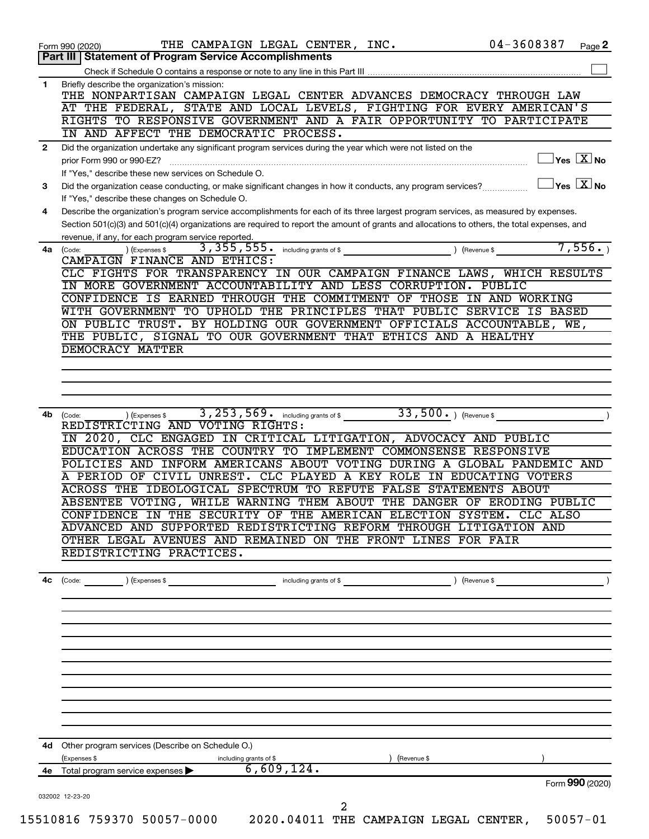|              | THE CAMPAIGN LEGAL CENTER, INC.<br>Form 990 (2020)                                                                                           | 04-3608387<br>Page 2                                               |
|--------------|----------------------------------------------------------------------------------------------------------------------------------------------|--------------------------------------------------------------------|
|              | <b>Part III   Statement of Program Service Accomplishments</b>                                                                               |                                                                    |
|              |                                                                                                                                              |                                                                    |
| 1            | Briefly describe the organization's mission:<br>THE NONPARTISAN CAMPAIGN LEGAL CENTER ADVANCES DEMOCRACY THROUGH LAW                         |                                                                    |
|              | AT THE FEDERAL, STATE AND LOCAL LEVELS, FIGHTING FOR EVERY AMERICAN'S                                                                        |                                                                    |
|              | RIGHTS TO RESPONSIVE GOVERNMENT AND A FAIR OPPORTUNITY TO PARTICIPATE                                                                        |                                                                    |
|              | IN AND AFFECT THE DEMOCRATIC PROCESS.                                                                                                        |                                                                    |
| $\mathbf{2}$ | Did the organization undertake any significant program services during the year which were not listed on the                                 |                                                                    |
|              | prior Form 990 or 990-EZ?                                                                                                                    | $\overline{\ }$ Yes $\overline{\rm \ }X$ No                        |
|              | If "Yes," describe these new services on Schedule O.                                                                                         |                                                                    |
| 3            | Did the organization cease conducting, or make significant changes in how it conducts, any program services?                                 | $\sqrt{\mathsf{Yes}\mathord{\;\mathbb{X}}\mathord{\;\mathsf{No}}}$ |
|              | If "Yes," describe these changes on Schedule O.                                                                                              |                                                                    |
| 4            | Describe the organization's program service accomplishments for each of its three largest program services, as measured by expenses.         |                                                                    |
|              | Section 501(c)(3) and 501(c)(4) organizations are required to report the amount of grants and allocations to others, the total expenses, and |                                                                    |
|              | revenue, if any, for each program service reported.                                                                                          |                                                                    |
| 4a           | ) (Revenue \$<br>(Expenses \$<br>(Code:                                                                                                      | 7,556.                                                             |
|              | CAMPAIGN FINANCE AND ETHICS:                                                                                                                 |                                                                    |
|              | CLC FIGHTS FOR TRANSPARENCY IN OUR CAMPAIGN FINANCE LAWS, WHICH RESULTS<br>IN MORE GOVERNMENT ACCOUNTABILITY AND LESS CORRUPTION. PUBLIC     |                                                                    |
|              | CONFIDENCE IS EARNED THROUGH THE COMMITMENT OF THOSE IN AND WORKING                                                                          |                                                                    |
|              | WITH GOVERNMENT TO UPHOLD THE PRINCIPLES THAT PUBLIC SERVICE IS BASED                                                                        |                                                                    |
|              | ON PUBLIC TRUST. BY HOLDING OUR GOVERNMENT OFFICIALS ACCOUNTABLE, WE,                                                                        |                                                                    |
|              | THE PUBLIC, SIGNAL TO OUR GOVERNMENT THAT ETHICS AND A HEALTHY                                                                               |                                                                    |
|              | DEMOCRACY MATTER                                                                                                                             |                                                                    |
|              |                                                                                                                                              |                                                                    |
|              |                                                                                                                                              |                                                                    |
|              |                                                                                                                                              |                                                                    |
|              |                                                                                                                                              |                                                                    |
| 4b           | $33,500.$ (Revenue \$)<br>3, 253, 569. including grants of \$<br>(Code:<br>(Expenses \$                                                      |                                                                    |
|              | REDISTRICTING AND VOTING RIGHTS:                                                                                                             |                                                                    |
|              | IN 2020, CLC ENGAGED IN CRITICAL LITIGATION, ADVOCACY AND PUBLIC                                                                             |                                                                    |
|              | EDUCATION ACROSS THE COUNTRY TO IMPLEMENT COMMONSENSE RESPONSIVE<br>POLICIES AND INFORM AMERICANS ABOUT VOTING DURING A GLOBAL PANDEMIC AND  |                                                                    |
|              | A PERIOD OF CIVIL UNREST. CLC PLAYED A KEY ROLE IN EDUCATING VOTERS                                                                          |                                                                    |
|              | ACROSS THE IDEOLOGICAL SPECTRUM TO REFUTE FALSE STATEMENTS ABOUT                                                                             |                                                                    |
|              | ABSENTEE VOTING, WHILE WARNING THEM ABOUT THE DANGER OF ERODING PUBLIC                                                                       |                                                                    |
|              | CONFIDENCE IN THE SECURITY OF THE AMERICAN ELECTION SYSTEM. CLC ALSO                                                                         |                                                                    |
|              | ADVANCED AND SUPPORTED REDISTRICTING REFORM THROUGH LITIGATION AND                                                                           |                                                                    |
|              | OTHER LEGAL AVENUES AND REMAINED ON THE FRONT LINES FOR FAIR                                                                                 |                                                                    |
|              | REDISTRICTING PRACTICES.                                                                                                                     |                                                                    |
|              |                                                                                                                                              |                                                                    |
| 4с           | (Code: ) (Expenses \$ > including grants of \$ ) (Revenue \$ )                                                                               |                                                                    |
|              |                                                                                                                                              |                                                                    |
|              |                                                                                                                                              |                                                                    |
|              |                                                                                                                                              |                                                                    |
|              |                                                                                                                                              |                                                                    |
|              |                                                                                                                                              |                                                                    |
|              |                                                                                                                                              |                                                                    |
|              |                                                                                                                                              |                                                                    |
|              |                                                                                                                                              |                                                                    |
|              |                                                                                                                                              |                                                                    |
|              |                                                                                                                                              |                                                                    |
|              |                                                                                                                                              |                                                                    |
|              | 4d Other program services (Describe on Schedule O.)                                                                                          |                                                                    |
|              | (Expenses \$<br>including grants of \$ $\overline{6,609,124}$ .<br>(Revenue \$                                                               |                                                                    |
|              |                                                                                                                                              |                                                                    |
|              | 4e Total program service expenses $\blacktriangleright$                                                                                      |                                                                    |
|              | 032002 12-23-20                                                                                                                              | Form 990 (2020)                                                    |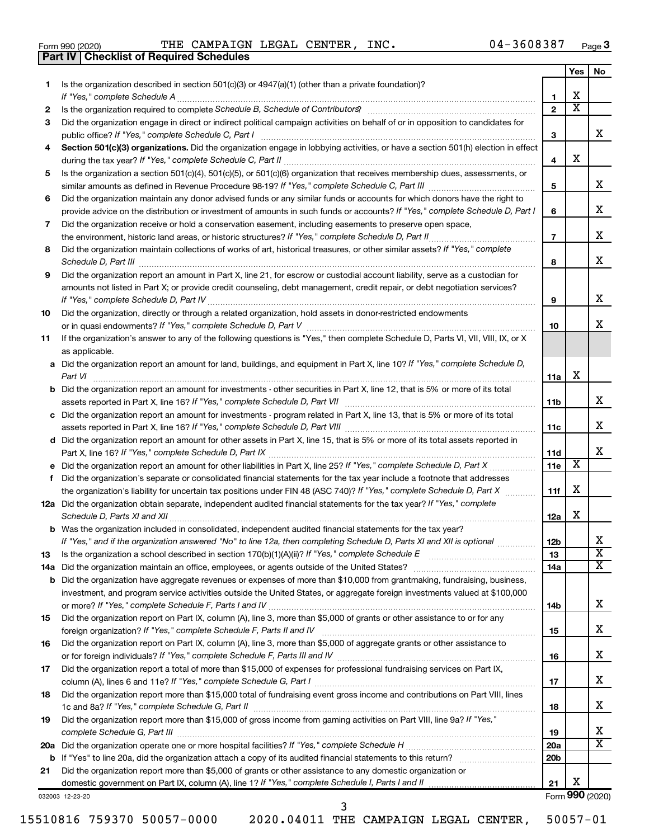|  | Form 990 (2020) |
|--|-----------------|
|  |                 |

**Part IV Checklist of Required Schedules**

Form 990 (2020)  $\qquad$  THE CAMPAIGN LEGAL CENTER, INC.  $04-3608387$  Page

|     |                                                                                                                                                                                                                                                   |                 | Yes | No                      |
|-----|---------------------------------------------------------------------------------------------------------------------------------------------------------------------------------------------------------------------------------------------------|-----------------|-----|-------------------------|
| 1.  | Is the organization described in section 501(c)(3) or 4947(a)(1) (other than a private foundation)?                                                                                                                                               |                 |     |                         |
|     |                                                                                                                                                                                                                                                   | 1               | х   |                         |
| 2   |                                                                                                                                                                                                                                                   | $\mathbf{2}$    | X   |                         |
| З   | Did the organization engage in direct or indirect political campaign activities on behalf of or in opposition to candidates for                                                                                                                   |                 |     |                         |
|     | public office? If "Yes," complete Schedule C, Part I                                                                                                                                                                                              | 3               |     | x                       |
| 4   | Section 501(c)(3) organizations. Did the organization engage in lobbying activities, or have a section 501(h) election in effect                                                                                                                  |                 |     |                         |
|     |                                                                                                                                                                                                                                                   | 4               | х   |                         |
| 5   | Is the organization a section 501(c)(4), 501(c)(5), or 501(c)(6) organization that receives membership dues, assessments, or                                                                                                                      |                 |     | х                       |
|     |                                                                                                                                                                                                                                                   | 5               |     |                         |
| 6   | Did the organization maintain any donor advised funds or any similar funds or accounts for which donors have the right to                                                                                                                         |                 |     | х                       |
|     | provide advice on the distribution or investment of amounts in such funds or accounts? If "Yes," complete Schedule D, Part I                                                                                                                      | 6               |     |                         |
| 7   | Did the organization receive or hold a conservation easement, including easements to preserve open space,                                                                                                                                         | $\overline{7}$  |     | х                       |
| 8   | Did the organization maintain collections of works of art, historical treasures, or other similar assets? If "Yes," complete                                                                                                                      |                 |     |                         |
|     |                                                                                                                                                                                                                                                   | 8               |     | х                       |
| 9   | Did the organization report an amount in Part X, line 21, for escrow or custodial account liability, serve as a custodian for                                                                                                                     |                 |     |                         |
|     | amounts not listed in Part X; or provide credit counseling, debt management, credit repair, or debt negotiation services?                                                                                                                         |                 |     |                         |
|     |                                                                                                                                                                                                                                                   | 9               |     | х                       |
| 10  | Did the organization, directly or through a related organization, hold assets in donor-restricted endowments                                                                                                                                      |                 |     |                         |
|     |                                                                                                                                                                                                                                                   | 10              |     | x                       |
| 11  | If the organization's answer to any of the following questions is "Yes," then complete Schedule D, Parts VI, VII, VIII, IX, or X                                                                                                                  |                 |     |                         |
|     | as applicable.                                                                                                                                                                                                                                    |                 |     |                         |
|     | a Did the organization report an amount for land, buildings, and equipment in Part X, line 10? If "Yes," complete Schedule D,                                                                                                                     |                 |     |                         |
|     |                                                                                                                                                                                                                                                   | 11a             | х   |                         |
|     | <b>b</b> Did the organization report an amount for investments - other securities in Part X, line 12, that is 5% or more of its total                                                                                                             |                 |     |                         |
|     |                                                                                                                                                                                                                                                   | 11b             |     | х                       |
|     | c Did the organization report an amount for investments - program related in Part X, line 13, that is 5% or more of its total                                                                                                                     |                 |     |                         |
|     |                                                                                                                                                                                                                                                   | 11c             |     | х                       |
|     | d Did the organization report an amount for other assets in Part X, line 15, that is 5% or more of its total assets reported in                                                                                                                   |                 |     |                         |
|     |                                                                                                                                                                                                                                                   | 11d             |     | х                       |
|     |                                                                                                                                                                                                                                                   | 11e             | X   |                         |
| f   | Did the organization's separate or consolidated financial statements for the tax year include a footnote that addresses                                                                                                                           |                 | х   |                         |
|     | the organization's liability for uncertain tax positions under FIN 48 (ASC 740)? If "Yes," complete Schedule D, Part X<br>12a Did the organization obtain separate, independent audited financial statements for the tax year? If "Yes," complete | 11f             |     |                         |
|     |                                                                                                                                                                                                                                                   | 12a             | х   |                         |
|     | <b>b</b> Was the organization included in consolidated, independent audited financial statements for the tax year?                                                                                                                                |                 |     |                         |
|     | If "Yes," and if the organization answered "No" to line 12a, then completing Schedule D, Parts XI and XII is optional                                                                                                                             | 12 <sub>b</sub> |     | х                       |
| 13  |                                                                                                                                                                                                                                                   | 13              |     | $\overline{\textbf{x}}$ |
| 14a |                                                                                                                                                                                                                                                   | 14a             |     | x                       |
|     | <b>b</b> Did the organization have aggregate revenues or expenses of more than \$10,000 from grantmaking, fundraising, business,                                                                                                                  |                 |     |                         |
|     | investment, and program service activities outside the United States, or aggregate foreign investments valued at \$100,000                                                                                                                        |                 |     |                         |
|     |                                                                                                                                                                                                                                                   | 14b             |     | х                       |
| 15  | Did the organization report on Part IX, column (A), line 3, more than \$5,000 of grants or other assistance to or for any                                                                                                                         |                 |     |                         |
|     |                                                                                                                                                                                                                                                   | 15              |     | х                       |
| 16  | Did the organization report on Part IX, column (A), line 3, more than \$5,000 of aggregate grants or other assistance to                                                                                                                          |                 |     |                         |
|     |                                                                                                                                                                                                                                                   | 16              |     | х                       |
| 17  | Did the organization report a total of more than \$15,000 of expenses for professional fundraising services on Part IX,                                                                                                                           |                 |     |                         |
|     |                                                                                                                                                                                                                                                   | 17              |     | х                       |
| 18  | Did the organization report more than \$15,000 total of fundraising event gross income and contributions on Part VIII, lines                                                                                                                      | 18              |     | х                       |
| 19  | Did the organization report more than \$15,000 of gross income from gaming activities on Part VIII, line 9a? If "Yes,"                                                                                                                            |                 |     |                         |
|     |                                                                                                                                                                                                                                                   | 19              |     | x                       |
|     |                                                                                                                                                                                                                                                   | 20a             |     | х                       |
|     |                                                                                                                                                                                                                                                   | 20 <sub>b</sub> |     |                         |
| 21  | Did the organization report more than \$5,000 of grants or other assistance to any domestic organization or                                                                                                                                       |                 |     |                         |
|     |                                                                                                                                                                                                                                                   | 21              | х   |                         |
|     | 032003 12-23-20                                                                                                                                                                                                                                   |                 |     | Form 990 (2020)         |

15510816 759370 50057-0000 2020.04011 THE CAMPAIGN LEGAL CENTER, 50057-01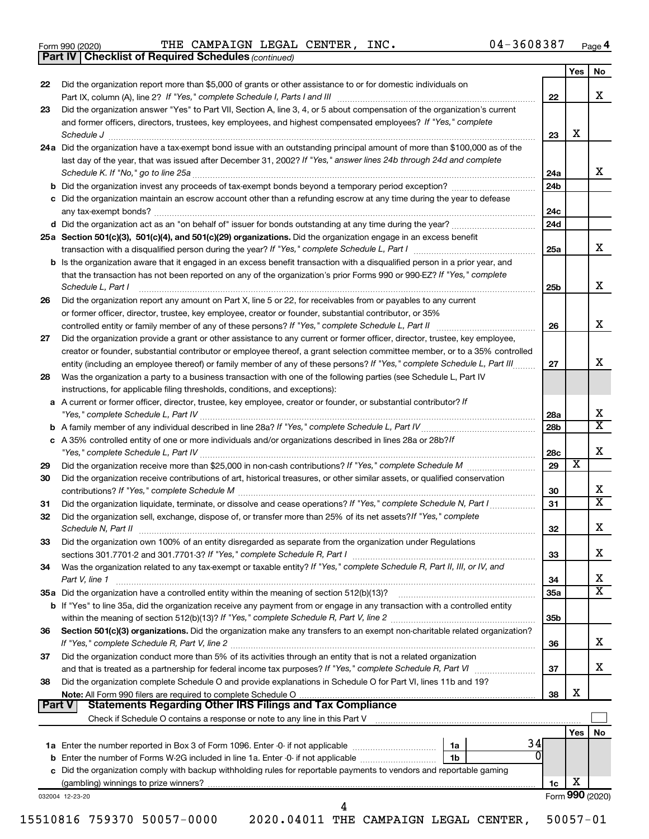|  | Form 990 (2020) |
|--|-----------------|
|  |                 |

*(continued)* **Part IV Checklist of Required Schedules**

Form 990 (2020)  $\qquad$  THE CAMPAIGN LEGAL CENTER, INC.  $04-3608387$  Page

|               |                                                                                                                                             |                 | Yes | No                      |
|---------------|---------------------------------------------------------------------------------------------------------------------------------------------|-----------------|-----|-------------------------|
| 22            | Did the organization report more than \$5,000 of grants or other assistance to or for domestic individuals on                               | 22              |     | x                       |
| 23            | Did the organization answer "Yes" to Part VII, Section A, line 3, 4, or 5 about compensation of the organization's current                  |                 |     |                         |
|               | and former officers, directors, trustees, key employees, and highest compensated employees? If "Yes," complete<br>Schedule J                | 23              | X   |                         |
|               | 24a Did the organization have a tax-exempt bond issue with an outstanding principal amount of more than \$100,000 as of the                 |                 |     |                         |
|               | last day of the year, that was issued after December 31, 2002? If "Yes," answer lines 24b through 24d and complete                          |                 |     |                         |
|               | Schedule K. If "No," go to line 25a                                                                                                         | 24a             |     | x                       |
|               |                                                                                                                                             | 24 <sub>b</sub> |     |                         |
|               | c Did the organization maintain an escrow account other than a refunding escrow at any time during the year to defease                      |                 |     |                         |
|               | any tax-exempt bonds?                                                                                                                       | 24c             |     |                         |
|               |                                                                                                                                             | 24d             |     |                         |
|               | 25a Section 501(c)(3), 501(c)(4), and 501(c)(29) organizations. Did the organization engage in an excess benefit                            |                 |     |                         |
|               |                                                                                                                                             | 25a             |     | x                       |
|               | <b>b</b> Is the organization aware that it engaged in an excess benefit transaction with a disqualified person in a prior year, and         |                 |     |                         |
|               | that the transaction has not been reported on any of the organization's prior Forms 990 or 990-EZ? If "Yes," complete<br>Schedule L, Part I | 25b             |     | х                       |
| 26            | Did the organization report any amount on Part X, line 5 or 22, for receivables from or payables to any current                             |                 |     |                         |
|               | or former officer, director, trustee, key employee, creator or founder, substantial contributor, or 35%                                     |                 |     |                         |
|               | controlled entity or family member of any of these persons? If "Yes," complete Schedule L, Part II                                          | 26              |     | x                       |
| 27            | Did the organization provide a grant or other assistance to any current or former officer, director, trustee, key employee,                 |                 |     |                         |
|               | creator or founder, substantial contributor or employee thereof, a grant selection committee member, or to a 35% controlled                 |                 |     |                         |
|               | entity (including an employee thereof) or family member of any of these persons? If "Yes," complete Schedule L, Part III                    | 27              |     | x                       |
| 28            | Was the organization a party to a business transaction with one of the following parties (see Schedule L, Part IV                           |                 |     |                         |
|               | instructions, for applicable filing thresholds, conditions, and exceptions):                                                                |                 |     |                         |
|               | a A current or former officer, director, trustee, key employee, creator or founder, or substantial contributor? If                          |                 |     |                         |
|               |                                                                                                                                             | 28a             |     | х                       |
|               |                                                                                                                                             | 28 <sub>b</sub> |     | X                       |
|               | c A 35% controlled entity of one or more individuals and/or organizations described in lines 28a or 28b?If                                  |                 |     | X                       |
|               |                                                                                                                                             | 28c             | х   |                         |
| 29            |                                                                                                                                             | 29              |     |                         |
| 30            | Did the organization receive contributions of art, historical treasures, or other similar assets, or qualified conservation                 |                 |     | х                       |
|               |                                                                                                                                             | 30              |     | $\overline{\textbf{X}}$ |
| 31            | Did the organization liquidate, terminate, or dissolve and cease operations? If "Yes," complete Schedule N, Part I                          | 31              |     |                         |
| 32            | Did the organization sell, exchange, dispose of, or transfer more than 25% of its net assets? If "Yes," complete<br>Schedule N, Part II     | 32              |     | х                       |
| 33            | Did the organization own 100% of an entity disregarded as separate from the organization under Regulations                                  |                 |     |                         |
|               |                                                                                                                                             | 33              |     | х                       |
| 34            | Was the organization related to any tax-exempt or taxable entity? If "Yes," complete Schedule R, Part II, III, or IV, and                   |                 |     | х                       |
|               | Part V, line 1                                                                                                                              | 34              |     | $\overline{\text{X}}$   |
|               |                                                                                                                                             | 35a             |     |                         |
|               | b If "Yes" to line 35a, did the organization receive any payment from or engage in any transaction with a controlled entity                 | 35 <sub>b</sub> |     |                         |
| 36            | Section 501(c)(3) organizations. Did the organization make any transfers to an exempt non-charitable related organization?                  |                 |     |                         |
|               |                                                                                                                                             | 36              |     | х                       |
| 37            | Did the organization conduct more than 5% of its activities through an entity that is not a related organization                            |                 |     |                         |
|               | and that is treated as a partnership for federal income tax purposes? If "Yes," complete Schedule R, Part VI                                | 37              |     | x                       |
| 38            | Did the organization complete Schedule O and provide explanations in Schedule O for Part VI, lines 11b and 19?                              |                 |     |                         |
|               |                                                                                                                                             | 38              | X   |                         |
| <b>Part V</b> | <b>Statements Regarding Other IRS Filings and Tax Compliance</b>                                                                            |                 |     |                         |
|               |                                                                                                                                             |                 |     |                         |
|               |                                                                                                                                             |                 | Yes | No                      |
|               | 34<br>1a                                                                                                                                    |                 |     |                         |
|               | 0<br>b Enter the number of Forms W-2G included in line 1a. Enter -0- if not applicable<br>1b                                                |                 |     |                         |
|               | c Did the organization comply with backup withholding rules for reportable payments to vendors and reportable gaming                        |                 |     |                         |
|               |                                                                                                                                             | 1c              | х   |                         |
|               | 032004 12-23-20                                                                                                                             |                 |     | Form 990 (2020)         |
|               | 4                                                                                                                                           |                 |     |                         |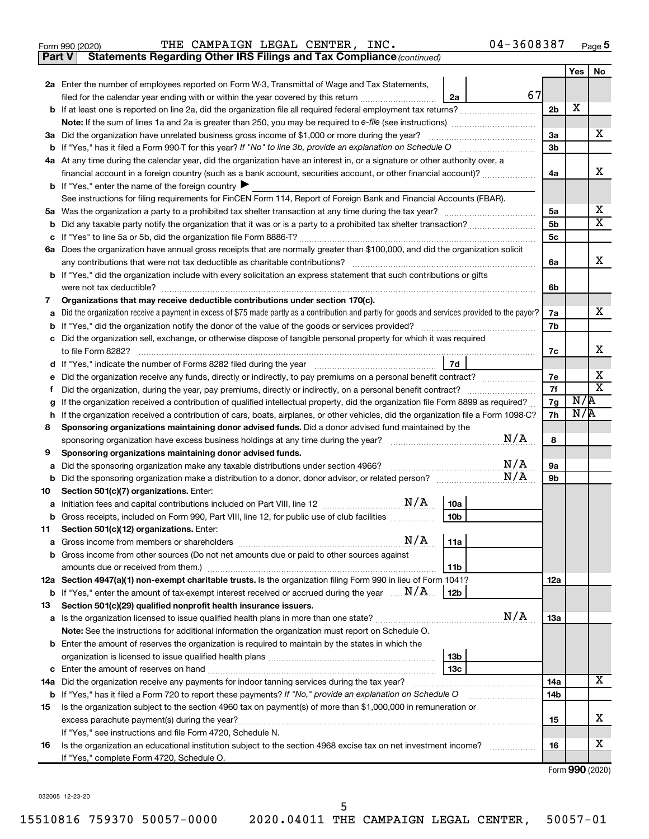|  | Form 990 (2020) |
|--|-----------------|
|  |                 |

Form 990 (2020)  $\qquad$  THE CAMPAIGN LEGAL CENTER, INC.  $04-3608387$  Page

**Part V** Statements Regarding Other IRS Filings and Tax Compliance (continued)

|    |                                                                                                                                                                                                                                                                                                                                |           | Yes | No                      |
|----|--------------------------------------------------------------------------------------------------------------------------------------------------------------------------------------------------------------------------------------------------------------------------------------------------------------------------------|-----------|-----|-------------------------|
|    | 2a Enter the number of employees reported on Form W-3, Transmittal of Wage and Tax Statements,                                                                                                                                                                                                                                 |           |     |                         |
|    | 67<br>filed for the calendar year ending with or within the year covered by this return<br>2a                                                                                                                                                                                                                                  |           |     |                         |
|    |                                                                                                                                                                                                                                                                                                                                | 2b        | х   |                         |
|    | <b>Note:</b> If the sum of lines 1a and 2a is greater than 250, you may be required to e-file (see instructions) <i></i>                                                                                                                                                                                                       |           |     |                         |
|    | 3a Did the organization have unrelated business gross income of \$1,000 or more during the year?                                                                                                                                                                                                                               | За        |     | x                       |
|    |                                                                                                                                                                                                                                                                                                                                | 3b        |     |                         |
|    | 4a At any time during the calendar year, did the organization have an interest in, or a signature or other authority over, a                                                                                                                                                                                                   |           |     |                         |
|    | financial account in a foreign country (such as a bank account, securities account, or other financial account)?                                                                                                                                                                                                               | 4a        |     | х                       |
|    | <b>b</b> If "Yes," enter the name of the foreign country $\blacktriangleright$                                                                                                                                                                                                                                                 |           |     |                         |
|    | See instructions for filing requirements for FinCEN Form 114, Report of Foreign Bank and Financial Accounts (FBAR).                                                                                                                                                                                                            |           |     |                         |
|    |                                                                                                                                                                                                                                                                                                                                | 5a        |     | x                       |
|    |                                                                                                                                                                                                                                                                                                                                | 5b        |     | $\overline{\texttt{x}}$ |
|    |                                                                                                                                                                                                                                                                                                                                | 5c        |     |                         |
|    | 6a Does the organization have annual gross receipts that are normally greater than \$100,000, and did the organization solicit                                                                                                                                                                                                 |           |     | x                       |
|    | any contributions that were not tax deductible as charitable contributions?                                                                                                                                                                                                                                                    | 6a        |     |                         |
|    | b If "Yes," did the organization include with every solicitation an express statement that such contributions or gifts                                                                                                                                                                                                         | 6b        |     |                         |
| 7  | were not tax deductible?<br>Organizations that may receive deductible contributions under section 170(c).                                                                                                                                                                                                                      |           |     |                         |
|    | Did the organization receive a payment in excess of \$75 made partly as a contribution and partly for goods and services provided to the payor?                                                                                                                                                                                | 7a        |     | х                       |
|    |                                                                                                                                                                                                                                                                                                                                | 7b        |     |                         |
|    | c Did the organization sell, exchange, or otherwise dispose of tangible personal property for which it was required                                                                                                                                                                                                            |           |     |                         |
|    | to file Form 8282?                                                                                                                                                                                                                                                                                                             | 7c        |     | x                       |
|    | 7d                                                                                                                                                                                                                                                                                                                             |           |     |                         |
|    | e Did the organization receive any funds, directly or indirectly, to pay premiums on a personal benefit contract?                                                                                                                                                                                                              | 7е        |     | х                       |
| Ť. | Did the organization, during the year, pay premiums, directly or indirectly, on a personal benefit contract?                                                                                                                                                                                                                   | 7f        |     | $\overline{\text{x}}$   |
| g  | If the organization received a contribution of qualified intellectual property, did the organization file Form 8899 as required?                                                                                                                                                                                               | 7g        | N/R |                         |
| h. | If the organization received a contribution of cars, boats, airplanes, or other vehicles, did the organization file a Form 1098-C?                                                                                                                                                                                             | 7h        | N/R |                         |
| 8  | Sponsoring organizations maintaining donor advised funds. Did a donor advised fund maintained by the                                                                                                                                                                                                                           |           |     |                         |
|    | N/A<br>sponsoring organization have excess business holdings at any time during the year?                                                                                                                                                                                                                                      | 8         |     |                         |
| 9  | Sponsoring organizations maintaining donor advised funds.                                                                                                                                                                                                                                                                      |           |     |                         |
| а  | N/A<br>Did the sponsoring organization make any taxable distributions under section 4966?                                                                                                                                                                                                                                      | <b>9a</b> |     |                         |
| b  | N/A                                                                                                                                                                                                                                                                                                                            | 9b        |     |                         |
| 10 | Section 501(c)(7) organizations. Enter:<br>10a                                                                                                                                                                                                                                                                                 |           |     |                         |
| а  | <b>b</b> Gross receipts, included on Form 990, Part VIII, line 12, for public use of club facilities<br>10 <sub>b</sub>                                                                                                                                                                                                        |           |     |                         |
| 11 | Section 501(c)(12) organizations. Enter:                                                                                                                                                                                                                                                                                       |           |     |                         |
|    | <b>a</b> Gross income from members or shareholders $\ldots$ $\ldots$ $\ldots$ $\ldots$ $\ldots$ $\ldots$ $\ldots$ $\ldots$ $\ldots$ $\ldots$ $\ldots$ $\ldots$ $\ldots$ $\ldots$ $\ldots$ $\ldots$ $\ldots$ $\ldots$ $\ldots$ $\ldots$ $\ldots$ $\ldots$ $\ldots$ $\ldots$ $\ldots$ $\ldots$ $\ldots$ $\ldots$ $\ldots$<br>11a |           |     |                         |
|    | b Gross income from other sources (Do not net amounts due or paid to other sources against                                                                                                                                                                                                                                     |           |     |                         |
|    | amounts due or received from them.)<br>11b                                                                                                                                                                                                                                                                                     |           |     |                         |
|    | 12a Section 4947(a)(1) non-exempt charitable trusts. Is the organization filing Form 990 in lieu of Form 1041?                                                                                                                                                                                                                 | 12a       |     |                         |
|    | <b>b</b> If "Yes," enter the amount of tax-exempt interest received or accrued during the year $\ldots \mathbf{N}/\mathbf{A}$<br>12b                                                                                                                                                                                           |           |     |                         |
| 13 | Section 501(c)(29) qualified nonprofit health insurance issuers.                                                                                                                                                                                                                                                               |           |     |                         |
|    | N/A                                                                                                                                                                                                                                                                                                                            | 1За       |     |                         |
|    | Note: See the instructions for additional information the organization must report on Schedule O.                                                                                                                                                                                                                              |           |     |                         |
|    | <b>b</b> Enter the amount of reserves the organization is required to maintain by the states in which the                                                                                                                                                                                                                      |           |     |                         |
|    | 13 <sub>b</sub>                                                                                                                                                                                                                                                                                                                |           |     |                         |
|    | 13с<br><b>c</b> Enter the amount of reserves on hand                                                                                                                                                                                                                                                                           |           |     | x                       |
|    | 14a Did the organization receive any payments for indoor tanning services during the tax year?                                                                                                                                                                                                                                 | 14a       |     |                         |
|    | <b>b</b> If "Yes," has it filed a Form 720 to report these payments? If "No," provide an explanation on Schedule O                                                                                                                                                                                                             | 14b       |     |                         |
| 15 | Is the organization subject to the section 4960 tax on payment(s) of more than \$1,000,000 in remuneration or                                                                                                                                                                                                                  | 15        |     | x                       |
|    | excess parachute payment(s) during the year?<br>If "Yes," see instructions and file Form 4720, Schedule N.                                                                                                                                                                                                                     |           |     |                         |
| 16 | Is the organization an educational institution subject to the section 4968 excise tax on net investment income?                                                                                                                                                                                                                | 16        |     | x                       |
|    | If "Yes," complete Form 4720, Schedule O.                                                                                                                                                                                                                                                                                      |           |     |                         |
|    |                                                                                                                                                                                                                                                                                                                                |           |     |                         |

Form (2020) **990**

032005 12-23-20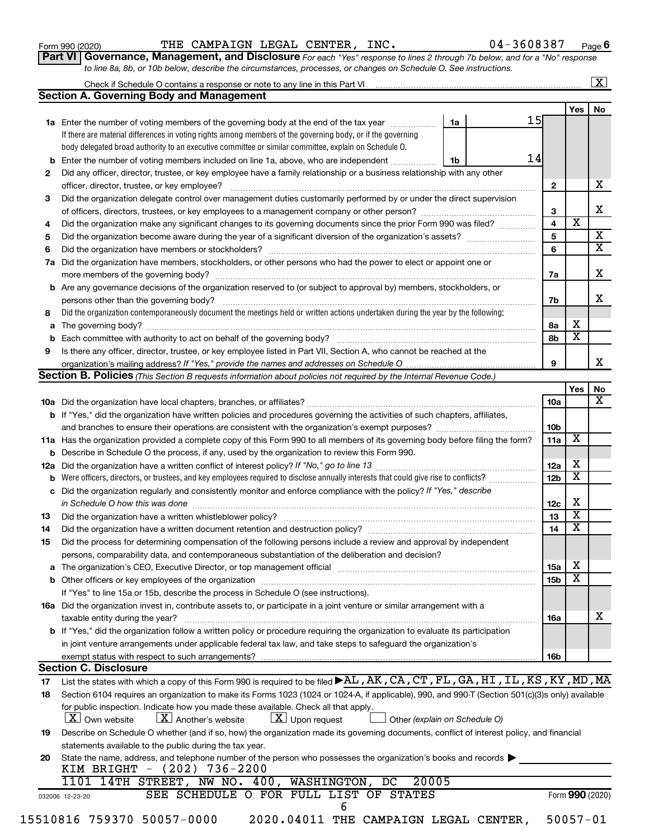| Form 990 (2020) |  |  |  |
|-----------------|--|--|--|
|-----------------|--|--|--|

Form 990 (2020)  $\qquad$  THE CAMPAIGN LEGAL CENTER, INC.  $04-3608387$  Page

| Part VI   Governance, Management, and Disclosure For each "Yes" response to lines 2 through 7b below, and for a "No" response |
|-------------------------------------------------------------------------------------------------------------------------------|
| to line 8a, 8b, or 10b below, describe the circumstances, processes, or changes on Schedule O. See instructions.              |

| <b>Section A. Governing Body and Management</b><br>1a Enter the number of voting members of the governing body at the end of the tax year<br>If there are material differences in voting rights among members of the governing body, or if the governing<br>body delegated broad authority to an executive committee or similar committee, explain on Schedule O.<br><b>b</b> Enter the number of voting members included on line 1a, above, who are independent<br>Did any officer, director, trustee, or key employee have a family relationship or a business relationship with any other<br>2<br>officer, director, trustee, or key employee?<br>Did the organization delegate control over management duties customarily performed by or under the direct supervision<br>3<br>Did the organization make any significant changes to its governing documents since the prior Form 990 was filed?<br>4<br>5<br>6<br>Did the organization have members, stockholders, or other persons who had the power to elect or appoint one or<br>7a<br><b>b</b> Are any governance decisions of the organization reserved to (or subject to approval by) members, stockholders, or<br>Did the organization contemporaneously document the meetings held or written actions undertaken during the year by the following:<br>8<br>a<br>Is there any officer, director, trustee, or key employee listed in Part VII, Section A, who cannot be reached at the<br>9<br>Section B. Policies (This Section B requests information about policies not required by the Internal Revenue Code.)<br>b If "Yes," did the organization have written policies and procedures governing the activities of such chapters, affiliates,<br>11a Has the organization provided a complete copy of this Form 990 to all members of its governing body before filing the form?<br><b>b</b> Describe in Schedule O the process, if any, used by the organization to review this Form 990.<br><b>b</b> Were officers, directors, or trustees, and key employees required to disclose annually interests that could give rise to conflicts?<br>c Did the organization regularly and consistently monitor and enforce compliance with the policy? If "Yes," describe | Yes  <br>15<br>1a                         |
|-----------------------------------------------------------------------------------------------------------------------------------------------------------------------------------------------------------------------------------------------------------------------------------------------------------------------------------------------------------------------------------------------------------------------------------------------------------------------------------------------------------------------------------------------------------------------------------------------------------------------------------------------------------------------------------------------------------------------------------------------------------------------------------------------------------------------------------------------------------------------------------------------------------------------------------------------------------------------------------------------------------------------------------------------------------------------------------------------------------------------------------------------------------------------------------------------------------------------------------------------------------------------------------------------------------------------------------------------------------------------------------------------------------------------------------------------------------------------------------------------------------------------------------------------------------------------------------------------------------------------------------------------------------------------------------------------------------------------------------------------------------------------------------------------------------------------------------------------------------------------------------------------------------------------------------------------------------------------------------------------------------------------------------------------------------------------------------------------------------------------------------------------------------------------------------------------------------------------------------|-------------------------------------------|
|                                                                                                                                                                                                                                                                                                                                                                                                                                                                                                                                                                                                                                                                                                                                                                                                                                                                                                                                                                                                                                                                                                                                                                                                                                                                                                                                                                                                                                                                                                                                                                                                                                                                                                                                                                                                                                                                                                                                                                                                                                                                                                                                                                                                                                   |                                           |
|                                                                                                                                                                                                                                                                                                                                                                                                                                                                                                                                                                                                                                                                                                                                                                                                                                                                                                                                                                                                                                                                                                                                                                                                                                                                                                                                                                                                                                                                                                                                                                                                                                                                                                                                                                                                                                                                                                                                                                                                                                                                                                                                                                                                                                   |                                           |
|                                                                                                                                                                                                                                                                                                                                                                                                                                                                                                                                                                                                                                                                                                                                                                                                                                                                                                                                                                                                                                                                                                                                                                                                                                                                                                                                                                                                                                                                                                                                                                                                                                                                                                                                                                                                                                                                                                                                                                                                                                                                                                                                                                                                                                   |                                           |
|                                                                                                                                                                                                                                                                                                                                                                                                                                                                                                                                                                                                                                                                                                                                                                                                                                                                                                                                                                                                                                                                                                                                                                                                                                                                                                                                                                                                                                                                                                                                                                                                                                                                                                                                                                                                                                                                                                                                                                                                                                                                                                                                                                                                                                   |                                           |
|                                                                                                                                                                                                                                                                                                                                                                                                                                                                                                                                                                                                                                                                                                                                                                                                                                                                                                                                                                                                                                                                                                                                                                                                                                                                                                                                                                                                                                                                                                                                                                                                                                                                                                                                                                                                                                                                                                                                                                                                                                                                                                                                                                                                                                   | 14<br>1b                                  |
|                                                                                                                                                                                                                                                                                                                                                                                                                                                                                                                                                                                                                                                                                                                                                                                                                                                                                                                                                                                                                                                                                                                                                                                                                                                                                                                                                                                                                                                                                                                                                                                                                                                                                                                                                                                                                                                                                                                                                                                                                                                                                                                                                                                                                                   |                                           |
|                                                                                                                                                                                                                                                                                                                                                                                                                                                                                                                                                                                                                                                                                                                                                                                                                                                                                                                                                                                                                                                                                                                                                                                                                                                                                                                                                                                                                                                                                                                                                                                                                                                                                                                                                                                                                                                                                                                                                                                                                                                                                                                                                                                                                                   | $\mathbf{2}$                              |
|                                                                                                                                                                                                                                                                                                                                                                                                                                                                                                                                                                                                                                                                                                                                                                                                                                                                                                                                                                                                                                                                                                                                                                                                                                                                                                                                                                                                                                                                                                                                                                                                                                                                                                                                                                                                                                                                                                                                                                                                                                                                                                                                                                                                                                   |                                           |
|                                                                                                                                                                                                                                                                                                                                                                                                                                                                                                                                                                                                                                                                                                                                                                                                                                                                                                                                                                                                                                                                                                                                                                                                                                                                                                                                                                                                                                                                                                                                                                                                                                                                                                                                                                                                                                                                                                                                                                                                                                                                                                                                                                                                                                   | 3                                         |
|                                                                                                                                                                                                                                                                                                                                                                                                                                                                                                                                                                                                                                                                                                                                                                                                                                                                                                                                                                                                                                                                                                                                                                                                                                                                                                                                                                                                                                                                                                                                                                                                                                                                                                                                                                                                                                                                                                                                                                                                                                                                                                                                                                                                                                   | $\overline{\textbf{x}}$<br>$\overline{4}$ |
|                                                                                                                                                                                                                                                                                                                                                                                                                                                                                                                                                                                                                                                                                                                                                                                                                                                                                                                                                                                                                                                                                                                                                                                                                                                                                                                                                                                                                                                                                                                                                                                                                                                                                                                                                                                                                                                                                                                                                                                                                                                                                                                                                                                                                                   | 5                                         |
|                                                                                                                                                                                                                                                                                                                                                                                                                                                                                                                                                                                                                                                                                                                                                                                                                                                                                                                                                                                                                                                                                                                                                                                                                                                                                                                                                                                                                                                                                                                                                                                                                                                                                                                                                                                                                                                                                                                                                                                                                                                                                                                                                                                                                                   | 6                                         |
|                                                                                                                                                                                                                                                                                                                                                                                                                                                                                                                                                                                                                                                                                                                                                                                                                                                                                                                                                                                                                                                                                                                                                                                                                                                                                                                                                                                                                                                                                                                                                                                                                                                                                                                                                                                                                                                                                                                                                                                                                                                                                                                                                                                                                                   |                                           |
|                                                                                                                                                                                                                                                                                                                                                                                                                                                                                                                                                                                                                                                                                                                                                                                                                                                                                                                                                                                                                                                                                                                                                                                                                                                                                                                                                                                                                                                                                                                                                                                                                                                                                                                                                                                                                                                                                                                                                                                                                                                                                                                                                                                                                                   | 7a                                        |
|                                                                                                                                                                                                                                                                                                                                                                                                                                                                                                                                                                                                                                                                                                                                                                                                                                                                                                                                                                                                                                                                                                                                                                                                                                                                                                                                                                                                                                                                                                                                                                                                                                                                                                                                                                                                                                                                                                                                                                                                                                                                                                                                                                                                                                   |                                           |
|                                                                                                                                                                                                                                                                                                                                                                                                                                                                                                                                                                                                                                                                                                                                                                                                                                                                                                                                                                                                                                                                                                                                                                                                                                                                                                                                                                                                                                                                                                                                                                                                                                                                                                                                                                                                                                                                                                                                                                                                                                                                                                                                                                                                                                   |                                           |
|                                                                                                                                                                                                                                                                                                                                                                                                                                                                                                                                                                                                                                                                                                                                                                                                                                                                                                                                                                                                                                                                                                                                                                                                                                                                                                                                                                                                                                                                                                                                                                                                                                                                                                                                                                                                                                                                                                                                                                                                                                                                                                                                                                                                                                   | 7b                                        |
|                                                                                                                                                                                                                                                                                                                                                                                                                                                                                                                                                                                                                                                                                                                                                                                                                                                                                                                                                                                                                                                                                                                                                                                                                                                                                                                                                                                                                                                                                                                                                                                                                                                                                                                                                                                                                                                                                                                                                                                                                                                                                                                                                                                                                                   | х                                         |
|                                                                                                                                                                                                                                                                                                                                                                                                                                                                                                                                                                                                                                                                                                                                                                                                                                                                                                                                                                                                                                                                                                                                                                                                                                                                                                                                                                                                                                                                                                                                                                                                                                                                                                                                                                                                                                                                                                                                                                                                                                                                                                                                                                                                                                   | 8а<br>$\overline{\textbf{x}}$             |
|                                                                                                                                                                                                                                                                                                                                                                                                                                                                                                                                                                                                                                                                                                                                                                                                                                                                                                                                                                                                                                                                                                                                                                                                                                                                                                                                                                                                                                                                                                                                                                                                                                                                                                                                                                                                                                                                                                                                                                                                                                                                                                                                                                                                                                   | 8b                                        |
|                                                                                                                                                                                                                                                                                                                                                                                                                                                                                                                                                                                                                                                                                                                                                                                                                                                                                                                                                                                                                                                                                                                                                                                                                                                                                                                                                                                                                                                                                                                                                                                                                                                                                                                                                                                                                                                                                                                                                                                                                                                                                                                                                                                                                                   |                                           |
|                                                                                                                                                                                                                                                                                                                                                                                                                                                                                                                                                                                                                                                                                                                                                                                                                                                                                                                                                                                                                                                                                                                                                                                                                                                                                                                                                                                                                                                                                                                                                                                                                                                                                                                                                                                                                                                                                                                                                                                                                                                                                                                                                                                                                                   | 9                                         |
|                                                                                                                                                                                                                                                                                                                                                                                                                                                                                                                                                                                                                                                                                                                                                                                                                                                                                                                                                                                                                                                                                                                                                                                                                                                                                                                                                                                                                                                                                                                                                                                                                                                                                                                                                                                                                                                                                                                                                                                                                                                                                                                                                                                                                                   |                                           |
|                                                                                                                                                                                                                                                                                                                                                                                                                                                                                                                                                                                                                                                                                                                                                                                                                                                                                                                                                                                                                                                                                                                                                                                                                                                                                                                                                                                                                                                                                                                                                                                                                                                                                                                                                                                                                                                                                                                                                                                                                                                                                                                                                                                                                                   | Yes                                       |
|                                                                                                                                                                                                                                                                                                                                                                                                                                                                                                                                                                                                                                                                                                                                                                                                                                                                                                                                                                                                                                                                                                                                                                                                                                                                                                                                                                                                                                                                                                                                                                                                                                                                                                                                                                                                                                                                                                                                                                                                                                                                                                                                                                                                                                   | 10a                                       |
|                                                                                                                                                                                                                                                                                                                                                                                                                                                                                                                                                                                                                                                                                                                                                                                                                                                                                                                                                                                                                                                                                                                                                                                                                                                                                                                                                                                                                                                                                                                                                                                                                                                                                                                                                                                                                                                                                                                                                                                                                                                                                                                                                                                                                                   |                                           |
|                                                                                                                                                                                                                                                                                                                                                                                                                                                                                                                                                                                                                                                                                                                                                                                                                                                                                                                                                                                                                                                                                                                                                                                                                                                                                                                                                                                                                                                                                                                                                                                                                                                                                                                                                                                                                                                                                                                                                                                                                                                                                                                                                                                                                                   | 10 <sub>b</sub>                           |
|                                                                                                                                                                                                                                                                                                                                                                                                                                                                                                                                                                                                                                                                                                                                                                                                                                                                                                                                                                                                                                                                                                                                                                                                                                                                                                                                                                                                                                                                                                                                                                                                                                                                                                                                                                                                                                                                                                                                                                                                                                                                                                                                                                                                                                   | X<br>11a                                  |
|                                                                                                                                                                                                                                                                                                                                                                                                                                                                                                                                                                                                                                                                                                                                                                                                                                                                                                                                                                                                                                                                                                                                                                                                                                                                                                                                                                                                                                                                                                                                                                                                                                                                                                                                                                                                                                                                                                                                                                                                                                                                                                                                                                                                                                   |                                           |
|                                                                                                                                                                                                                                                                                                                                                                                                                                                                                                                                                                                                                                                                                                                                                                                                                                                                                                                                                                                                                                                                                                                                                                                                                                                                                                                                                                                                                                                                                                                                                                                                                                                                                                                                                                                                                                                                                                                                                                                                                                                                                                                                                                                                                                   | X<br>12a                                  |
|                                                                                                                                                                                                                                                                                                                                                                                                                                                                                                                                                                                                                                                                                                                                                                                                                                                                                                                                                                                                                                                                                                                                                                                                                                                                                                                                                                                                                                                                                                                                                                                                                                                                                                                                                                                                                                                                                                                                                                                                                                                                                                                                                                                                                                   | х<br>12 <sub>b</sub>                      |
|                                                                                                                                                                                                                                                                                                                                                                                                                                                                                                                                                                                                                                                                                                                                                                                                                                                                                                                                                                                                                                                                                                                                                                                                                                                                                                                                                                                                                                                                                                                                                                                                                                                                                                                                                                                                                                                                                                                                                                                                                                                                                                                                                                                                                                   |                                           |
|                                                                                                                                                                                                                                                                                                                                                                                                                                                                                                                                                                                                                                                                                                                                                                                                                                                                                                                                                                                                                                                                                                                                                                                                                                                                                                                                                                                                                                                                                                                                                                                                                                                                                                                                                                                                                                                                                                                                                                                                                                                                                                                                                                                                                                   | х<br>12c                                  |
| 13                                                                                                                                                                                                                                                                                                                                                                                                                                                                                                                                                                                                                                                                                                                                                                                                                                                                                                                                                                                                                                                                                                                                                                                                                                                                                                                                                                                                                                                                                                                                                                                                                                                                                                                                                                                                                                                                                                                                                                                                                                                                                                                                                                                                                                | $\overline{\textbf{x}}$<br>13             |
| Did the organization have a written document retention and destruction policy? [11] manufaction manufaction in<br>14                                                                                                                                                                                                                                                                                                                                                                                                                                                                                                                                                                                                                                                                                                                                                                                                                                                                                                                                                                                                                                                                                                                                                                                                                                                                                                                                                                                                                                                                                                                                                                                                                                                                                                                                                                                                                                                                                                                                                                                                                                                                                                              | $\overline{\textbf{x}}$<br>14             |
| Did the process for determining compensation of the following persons include a review and approval by independent<br>15                                                                                                                                                                                                                                                                                                                                                                                                                                                                                                                                                                                                                                                                                                                                                                                                                                                                                                                                                                                                                                                                                                                                                                                                                                                                                                                                                                                                                                                                                                                                                                                                                                                                                                                                                                                                                                                                                                                                                                                                                                                                                                          |                                           |
| persons, comparability data, and contemporaneous substantiation of the deliberation and decision?                                                                                                                                                                                                                                                                                                                                                                                                                                                                                                                                                                                                                                                                                                                                                                                                                                                                                                                                                                                                                                                                                                                                                                                                                                                                                                                                                                                                                                                                                                                                                                                                                                                                                                                                                                                                                                                                                                                                                                                                                                                                                                                                 |                                           |
|                                                                                                                                                                                                                                                                                                                                                                                                                                                                                                                                                                                                                                                                                                                                                                                                                                                                                                                                                                                                                                                                                                                                                                                                                                                                                                                                                                                                                                                                                                                                                                                                                                                                                                                                                                                                                                                                                                                                                                                                                                                                                                                                                                                                                                   | X<br><b>15a</b>                           |
|                                                                                                                                                                                                                                                                                                                                                                                                                                                                                                                                                                                                                                                                                                                                                                                                                                                                                                                                                                                                                                                                                                                                                                                                                                                                                                                                                                                                                                                                                                                                                                                                                                                                                                                                                                                                                                                                                                                                                                                                                                                                                                                                                                                                                                   | х<br>15 <sub>b</sub>                      |
| If "Yes" to line 15a or 15b, describe the process in Schedule O (see instructions).                                                                                                                                                                                                                                                                                                                                                                                                                                                                                                                                                                                                                                                                                                                                                                                                                                                                                                                                                                                                                                                                                                                                                                                                                                                                                                                                                                                                                                                                                                                                                                                                                                                                                                                                                                                                                                                                                                                                                                                                                                                                                                                                               |                                           |
| 16a Did the organization invest in, contribute assets to, or participate in a joint venture or similar arrangement with a                                                                                                                                                                                                                                                                                                                                                                                                                                                                                                                                                                                                                                                                                                                                                                                                                                                                                                                                                                                                                                                                                                                                                                                                                                                                                                                                                                                                                                                                                                                                                                                                                                                                                                                                                                                                                                                                                                                                                                                                                                                                                                         |                                           |
| taxable entity during the year?                                                                                                                                                                                                                                                                                                                                                                                                                                                                                                                                                                                                                                                                                                                                                                                                                                                                                                                                                                                                                                                                                                                                                                                                                                                                                                                                                                                                                                                                                                                                                                                                                                                                                                                                                                                                                                                                                                                                                                                                                                                                                                                                                                                                   | 16a                                       |
| b If "Yes," did the organization follow a written policy or procedure requiring the organization to evaluate its participation                                                                                                                                                                                                                                                                                                                                                                                                                                                                                                                                                                                                                                                                                                                                                                                                                                                                                                                                                                                                                                                                                                                                                                                                                                                                                                                                                                                                                                                                                                                                                                                                                                                                                                                                                                                                                                                                                                                                                                                                                                                                                                    |                                           |
| in joint venture arrangements under applicable federal tax law, and take steps to safeguard the organization's                                                                                                                                                                                                                                                                                                                                                                                                                                                                                                                                                                                                                                                                                                                                                                                                                                                                                                                                                                                                                                                                                                                                                                                                                                                                                                                                                                                                                                                                                                                                                                                                                                                                                                                                                                                                                                                                                                                                                                                                                                                                                                                    |                                           |
| exempt status with respect to such arrangements?                                                                                                                                                                                                                                                                                                                                                                                                                                                                                                                                                                                                                                                                                                                                                                                                                                                                                                                                                                                                                                                                                                                                                                                                                                                                                                                                                                                                                                                                                                                                                                                                                                                                                                                                                                                                                                                                                                                                                                                                                                                                                                                                                                                  | 16b                                       |
| <b>Section C. Disclosure</b>                                                                                                                                                                                                                                                                                                                                                                                                                                                                                                                                                                                                                                                                                                                                                                                                                                                                                                                                                                                                                                                                                                                                                                                                                                                                                                                                                                                                                                                                                                                                                                                                                                                                                                                                                                                                                                                                                                                                                                                                                                                                                                                                                                                                      |                                           |
| List the states with which a copy of this Form 990 is required to be filed >AL, AK, CA, CT, FL, GA, HI, IL, KS, KY, MD, MA<br>17                                                                                                                                                                                                                                                                                                                                                                                                                                                                                                                                                                                                                                                                                                                                                                                                                                                                                                                                                                                                                                                                                                                                                                                                                                                                                                                                                                                                                                                                                                                                                                                                                                                                                                                                                                                                                                                                                                                                                                                                                                                                                                  |                                           |
| Section 6104 requires an organization to make its Forms 1023 (1024 or 1024-A, if applicable), 990, and 990-T (Section 501(c)(3)s only) available<br>18                                                                                                                                                                                                                                                                                                                                                                                                                                                                                                                                                                                                                                                                                                                                                                                                                                                                                                                                                                                                                                                                                                                                                                                                                                                                                                                                                                                                                                                                                                                                                                                                                                                                                                                                                                                                                                                                                                                                                                                                                                                                            |                                           |
| for public inspection. Indicate how you made these available. Check all that apply.<br>$\lfloor x \rfloor$ Upon request<br><b>X</b> Own website<br>$\lfloor X \rfloor$ Another's website                                                                                                                                                                                                                                                                                                                                                                                                                                                                                                                                                                                                                                                                                                                                                                                                                                                                                                                                                                                                                                                                                                                                                                                                                                                                                                                                                                                                                                                                                                                                                                                                                                                                                                                                                                                                                                                                                                                                                                                                                                          | Other (explain on Schedule O)             |
| Describe on Schedule O whether (and if so, how) the organization made its governing documents, conflict of interest policy, and financial<br>19                                                                                                                                                                                                                                                                                                                                                                                                                                                                                                                                                                                                                                                                                                                                                                                                                                                                                                                                                                                                                                                                                                                                                                                                                                                                                                                                                                                                                                                                                                                                                                                                                                                                                                                                                                                                                                                                                                                                                                                                                                                                                   |                                           |
|                                                                                                                                                                                                                                                                                                                                                                                                                                                                                                                                                                                                                                                                                                                                                                                                                                                                                                                                                                                                                                                                                                                                                                                                                                                                                                                                                                                                                                                                                                                                                                                                                                                                                                                                                                                                                                                                                                                                                                                                                                                                                                                                                                                                                                   |                                           |
| statements available to the public during the tax year.                                                                                                                                                                                                                                                                                                                                                                                                                                                                                                                                                                                                                                                                                                                                                                                                                                                                                                                                                                                                                                                                                                                                                                                                                                                                                                                                                                                                                                                                                                                                                                                                                                                                                                                                                                                                                                                                                                                                                                                                                                                                                                                                                                           |                                           |
| State the name, address, and telephone number of the person who possesses the organization's books and records<br>20<br>KIM BRIGHT - (202) 736-2200                                                                                                                                                                                                                                                                                                                                                                                                                                                                                                                                                                                                                                                                                                                                                                                                                                                                                                                                                                                                                                                                                                                                                                                                                                                                                                                                                                                                                                                                                                                                                                                                                                                                                                                                                                                                                                                                                                                                                                                                                                                                               |                                           |
| 1101 14TH STREET, NW NO. 400, WASHINGTON, DC                                                                                                                                                                                                                                                                                                                                                                                                                                                                                                                                                                                                                                                                                                                                                                                                                                                                                                                                                                                                                                                                                                                                                                                                                                                                                                                                                                                                                                                                                                                                                                                                                                                                                                                                                                                                                                                                                                                                                                                                                                                                                                                                                                                      | 20005                                     |
| SEE SCHEDULE O FOR FULL LIST OF STATES<br>032006 12-23-20                                                                                                                                                                                                                                                                                                                                                                                                                                                                                                                                                                                                                                                                                                                                                                                                                                                                                                                                                                                                                                                                                                                                                                                                                                                                                                                                                                                                                                                                                                                                                                                                                                                                                                                                                                                                                                                                                                                                                                                                                                                                                                                                                                         | Form 990 (2020)                           |
| 6<br>15510816 759370 50057-0000<br>2020.04011 THE CAMPAIGN LEGAL CENTER,                                                                                                                                                                                                                                                                                                                                                                                                                                                                                                                                                                                                                                                                                                                                                                                                                                                                                                                                                                                                                                                                                                                                                                                                                                                                                                                                                                                                                                                                                                                                                                                                                                                                                                                                                                                                                                                                                                                                                                                                                                                                                                                                                          |                                           |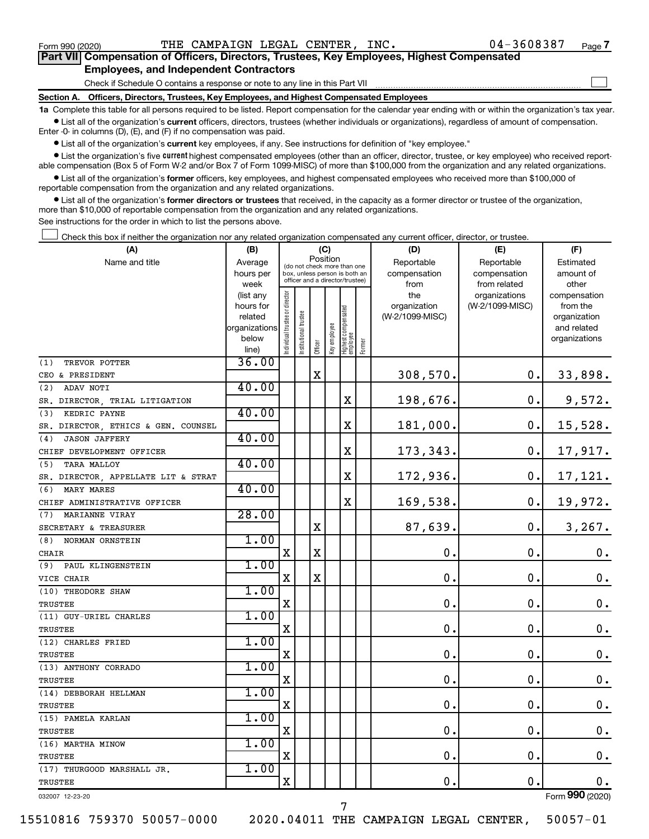$\Box$ 

| Part VII Compensation of Officers, Directors, Trustees, Key Employees, Highest Compensated |  |  |  |
|--------------------------------------------------------------------------------------------|--|--|--|
| <b>Employees, and Independent Contractors</b>                                              |  |  |  |

Check if Schedule O contains a response or note to any line in this Part VII

**Section A. Officers, Directors, Trustees, Key Employees, and Highest Compensated Employees**

**1a**  Complete this table for all persons required to be listed. Report compensation for the calendar year ending with or within the organization's tax year.  $\bullet$  List all of the organization's current officers, directors, trustees (whether individuals or organizations), regardless of amount of compensation.

Enter -0- in columns (D), (E), and (F) if no compensation was paid.

**•** List all of the organization's current key employees, if any. See instructions for definition of "key employee."

• List the organization's five *current* highest compensated employees (other than an officer, director, trustee, or key employee) who received reportable compensation (Box 5 of Form W-2 and/or Box 7 of Form 1099-MISC) of more than \$100,000 from the organization and any related organizations.

 $\bullet$  List all of the organization's former officers, key employees, and highest compensated employees who received more than \$100,000 of reportable compensation from the organization and any related organizations.

**•** List all of the organization's former directors or trustees that received, in the capacity as a former director or trustee of the organization, more than \$10,000 of reportable compensation from the organization and any related organizations.

See instructions for the order in which to list the persons above.

Check this box if neither the organization nor any related organization compensated any current officer, director, or trustee.  $\Box$ 

| (A)                                 | (B)                      |                               |                                 | (C)      |              |                                   |        | (D)             | (E)             | (F)                         |
|-------------------------------------|--------------------------|-------------------------------|---------------------------------|----------|--------------|-----------------------------------|--------|-----------------|-----------------|-----------------------------|
| Name and title                      | Average                  |                               | (do not check more than one     | Position |              |                                   |        | Reportable      | Reportable      | Estimated                   |
|                                     | hours per                |                               | box, unless person is both an   |          |              |                                   |        | compensation    | compensation    | amount of                   |
|                                     | week                     |                               | officer and a director/trustee) |          |              |                                   |        | from            | from related    | other                       |
|                                     | (list any                |                               |                                 |          |              |                                   |        | the             | organizations   | compensation                |
|                                     | hours for                |                               |                                 |          |              |                                   |        | organization    | (W-2/1099-MISC) | from the                    |
|                                     | related<br>organizations |                               |                                 |          |              |                                   |        | (W-2/1099-MISC) |                 | organization<br>and related |
|                                     | below                    |                               |                                 |          |              |                                   |        |                 |                 | organizations               |
|                                     | line)                    | ndividual trustee or director | nstitutional trustee            | Officer  | Key employee | Highest compensated<br>  employee | Former |                 |                 |                             |
| TREVOR POTTER<br>(1)                | 36.00                    |                               |                                 |          |              |                                   |        |                 |                 |                             |
| CEO & PRESIDENT                     |                          |                               |                                 | X        |              |                                   |        | 308,570.        | 0.              | 33,898.                     |
| ADAV NOTI<br>(2)                    | 40.00                    |                               |                                 |          |              |                                   |        |                 |                 |                             |
| SR. DIRECTOR, TRIAL LITIGATION      |                          |                               |                                 |          |              | $\mathbf X$                       |        | 198,676.        | $\mathbf 0$ .   | 9,572.                      |
| (3)<br>KEDRIC PAYNE                 | 40.00                    |                               |                                 |          |              |                                   |        |                 |                 |                             |
| SR. DIRECTOR, ETHICS & GEN. COUNSEL |                          |                               |                                 |          |              | X                                 |        | 181,000.        | 0.              | 15,528.                     |
| <b>JASON JAFFERY</b><br>(4)         | 40.00                    |                               |                                 |          |              |                                   |        |                 |                 |                             |
| CHIEF DEVELOPMENT OFFICER           |                          |                               |                                 |          |              | X                                 |        | 173,343.        | 0.              | 17,917.                     |
| <b>TARA MALLOY</b><br>(5)           | 40.00                    |                               |                                 |          |              |                                   |        |                 |                 |                             |
| SR. DIRECTOR, APPELLATE LIT & STRAT |                          |                               |                                 |          |              | X                                 |        | 172,936.        | 0.              | 17,121.                     |
| MARY MARES<br>(6)                   | 40.00                    |                               |                                 |          |              |                                   |        |                 |                 |                             |
| CHIEF ADMINISTRATIVE OFFICER        |                          |                               |                                 |          |              | X                                 |        | 169,538.        | 0.              | 19,972.                     |
| MARIANNE VIRAY<br>(7)               | 28.00                    |                               |                                 |          |              |                                   |        |                 |                 |                             |
| SECRETARY & TREASURER               |                          |                               |                                 | X        |              |                                   |        | 87,639.         | $\mathbf 0$ .   | 3,267.                      |
| (8)<br>NORMAN ORNSTEIN              | 1.00                     |                               |                                 |          |              |                                   |        |                 |                 |                             |
| CHAIR                               |                          | $\mathbf X$                   |                                 | X        |              |                                   |        | $\mathbf 0$ .   | $\mathbf 0$ .   | 0.                          |
| (9)<br>PAUL KLINGENSTEIN            | 1.00                     |                               |                                 |          |              |                                   |        |                 |                 |                             |
| VICE CHAIR                          |                          | $\mathbf X$                   |                                 | X        |              |                                   |        | $\mathbf 0$     | О.              | $\mathbf 0$ .               |
| (10) THEODORE SHAW                  | 1.00                     |                               |                                 |          |              |                                   |        |                 |                 |                             |
| <b>TRUSTEE</b>                      |                          | X                             |                                 |          |              |                                   |        | $\mathbf 0$ .   | $\mathbf 0$ .   | $\mathbf 0$ .               |
| (11) GUY-URIEL CHARLES              | 1.00                     |                               |                                 |          |              |                                   |        |                 |                 |                             |
| <b>TRUSTEE</b>                      |                          | X                             |                                 |          |              |                                   |        | 0.              | $\mathbf 0$ .   | $\mathbf 0$ .               |
| (12) CHARLES FRIED                  | 1.00                     |                               |                                 |          |              |                                   |        |                 |                 |                             |
| TRUSTEE                             |                          | х                             |                                 |          |              |                                   |        | $\mathbf 0$ .   | $\mathbf 0$ .   | $\mathbf 0$ .               |
| (13) ANTHONY CORRADO                | 1.00                     |                               |                                 |          |              |                                   |        |                 |                 |                             |
| <b>TRUSTEE</b>                      |                          | $\mathbf X$                   |                                 |          |              |                                   |        | 0.              | 0.              | $\boldsymbol{0}$ .          |
| (14) DEBBORAH HELLMAN               | 1.00                     |                               |                                 |          |              |                                   |        |                 |                 |                             |
| TRUSTEE                             |                          | X                             |                                 |          |              |                                   |        | $\mathbf 0$     | $\mathbf 0$ .   | $\boldsymbol{0}$ .          |
| (15) PAMELA KARLAN                  | 1.00                     |                               |                                 |          |              |                                   |        |                 |                 |                             |
| TRUSTEE                             |                          | $\mathbf X$                   |                                 |          |              |                                   |        | $\mathbf 0$ .   | 0.              | $\mathbf 0$ .               |
| (16) MARTHA MINOW                   | 1.00                     |                               |                                 |          |              |                                   |        |                 |                 |                             |
| TRUSTEE                             |                          | $\mathbf X$                   |                                 |          |              |                                   |        | $\mathbf 0$ .   | $\mathbf 0$ .   | $\boldsymbol{0}$ .          |
| (17) THURGOOD MARSHALL JR.          | 1.00                     |                               |                                 |          |              |                                   |        |                 |                 |                             |
| <b>TRUSTEE</b>                      |                          | $\mathbf X$                   |                                 |          |              |                                   |        | 0.              | $\mathbf 0$ .   | 0.                          |
| 032007 12-23-20                     |                          |                               |                                 |          |              |                                   |        |                 |                 | Form 990 (2020)             |

15510816 759370 50057-0000 2020.04011 THE CAMPAIGN LEGAL CENTER, 50057-01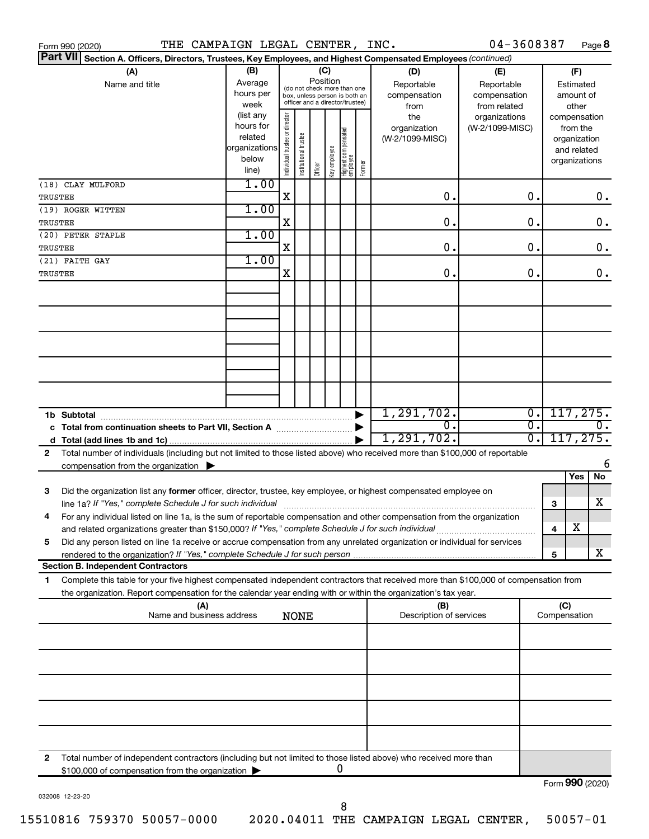| Form 990 (2020)                                                                                                                                                                                                                                             | THE CAMPAIGN LEGAL CENTER, INC.                                      |                                                                                                                    |                       |         |              |                                   |        |                                           | 04-3608387                                        |          |                     |                                                                          | Page 8           |
|-------------------------------------------------------------------------------------------------------------------------------------------------------------------------------------------------------------------------------------------------------------|----------------------------------------------------------------------|--------------------------------------------------------------------------------------------------------------------|-----------------------|---------|--------------|-----------------------------------|--------|-------------------------------------------|---------------------------------------------------|----------|---------------------|--------------------------------------------------------------------------|------------------|
| <b>Part VII</b><br>Section A. Officers, Directors, Trustees, Key Employees, and Highest Compensated Employees (continued)                                                                                                                                   |                                                                      |                                                                                                                    |                       |         |              |                                   |        |                                           |                                                   |          |                     |                                                                          |                  |
| (A)<br>Name and title                                                                                                                                                                                                                                       | (B)<br>Average<br>hours per<br>week                                  | (C)<br>Position<br>(do not check more than one<br>box, unless person is both an<br>officer and a director/trustee) |                       |         |              |                                   |        | (D)<br>Reportable<br>compensation<br>from | (E)<br>Reportable<br>compensation<br>from related |          |                     | (F)<br>Estimated<br>amount of<br>other                                   |                  |
|                                                                                                                                                                                                                                                             | (list any<br>hours for<br>related<br>organizations<br>below<br>line) | Individual trustee or director                                                                                     | Institutional trustee | Officer | Key employee | Highest compensated<br>  employee | Former | the<br>organization<br>(W-2/1099-MISC)    | organizations<br>(W-2/1099-MISC)                  |          |                     | compensation<br>from the<br>organization<br>and related<br>organizations |                  |
| (18) CLAY MULFORD<br>TRUSTEE                                                                                                                                                                                                                                | 1.00                                                                 | X                                                                                                                  |                       |         |              |                                   |        | 0.                                        |                                                   | О.       |                     |                                                                          | 0.               |
| (19) ROGER WITTEN<br>TRUSTEE                                                                                                                                                                                                                                | 1.00                                                                 | X                                                                                                                  |                       |         |              |                                   |        | 0.                                        |                                                   | О.       |                     |                                                                          | 0.               |
| (20) PETER STAPLE<br>TRUSTEE                                                                                                                                                                                                                                | 1.00                                                                 | X                                                                                                                  |                       |         |              |                                   |        | 0.                                        |                                                   | О.       |                     |                                                                          | 0.               |
| (21) FAITH GAY<br>TRUSTEE                                                                                                                                                                                                                                   | 1.00                                                                 | X                                                                                                                  |                       |         |              |                                   |        | 0.                                        |                                                   | 0.       |                     |                                                                          | 0.               |
|                                                                                                                                                                                                                                                             |                                                                      |                                                                                                                    |                       |         |              |                                   |        |                                           |                                                   |          |                     |                                                                          |                  |
|                                                                                                                                                                                                                                                             |                                                                      |                                                                                                                    |                       |         |              |                                   |        |                                           |                                                   |          |                     |                                                                          |                  |
|                                                                                                                                                                                                                                                             |                                                                      |                                                                                                                    |                       |         |              |                                   |        |                                           |                                                   |          |                     |                                                                          |                  |
|                                                                                                                                                                                                                                                             |                                                                      |                                                                                                                    |                       |         |              |                                   |        | 1, 291, 702.                              |                                                   | σ.       |                     | 117, 275.                                                                |                  |
|                                                                                                                                                                                                                                                             |                                                                      |                                                                                                                    |                       |         |              |                                   |        | σ.<br>1, 291, 702.                        |                                                   | σ.<br>σ. |                     | 117, 275.                                                                | $\overline{0}$ . |
| Total number of individuals (including but not limited to those listed above) who received more than \$100,000 of reportable<br>2<br>compensation from the organization $\blacktriangleright$                                                               |                                                                      |                                                                                                                    |                       |         |              |                                   |        |                                           |                                                   |          |                     |                                                                          | 6                |
| Did the organization list any former officer, director, trustee, key employee, or highest compensated employee on<br>3                                                                                                                                      |                                                                      |                                                                                                                    |                       |         |              |                                   |        |                                           |                                                   |          |                     | Yes                                                                      | No               |
| For any individual listed on line 1a, is the sum of reportable compensation and other compensation from the organization                                                                                                                                    |                                                                      |                                                                                                                    |                       |         |              |                                   |        |                                           |                                                   |          | 3                   | х                                                                        | х                |
| and related organizations greater than \$150,000? If "Yes," complete Schedule J for such individual<br>Did any person listed on line 1a receive or accrue compensation from any unrelated organization or individual for services<br>5                      |                                                                      |                                                                                                                    |                       |         |              |                                   |        |                                           |                                                   |          | 4                   |                                                                          | X                |
| <b>Section B. Independent Contractors</b>                                                                                                                                                                                                                   |                                                                      |                                                                                                                    |                       |         |              |                                   |        |                                           |                                                   |          | 5                   |                                                                          |                  |
| Complete this table for your five highest compensated independent contractors that received more than \$100,000 of compensation from<br>1<br>the organization. Report compensation for the calendar year ending with or within the organization's tax year. |                                                                      |                                                                                                                    |                       |         |              |                                   |        |                                           |                                                   |          |                     |                                                                          |                  |
| (A)<br>Name and business address                                                                                                                                                                                                                            |                                                                      |                                                                                                                    | <b>NONE</b>           |         |              |                                   |        | (B)<br>Description of services            |                                                   |          | (C)<br>Compensation |                                                                          |                  |
|                                                                                                                                                                                                                                                             |                                                                      |                                                                                                                    |                       |         |              |                                   |        |                                           |                                                   |          |                     |                                                                          |                  |
|                                                                                                                                                                                                                                                             |                                                                      |                                                                                                                    |                       |         |              |                                   |        |                                           |                                                   |          |                     |                                                                          |                  |
|                                                                                                                                                                                                                                                             |                                                                      |                                                                                                                    |                       |         |              |                                   |        |                                           |                                                   |          |                     |                                                                          |                  |
|                                                                                                                                                                                                                                                             |                                                                      |                                                                                                                    |                       |         |              |                                   |        |                                           |                                                   |          |                     |                                                                          |                  |
|                                                                                                                                                                                                                                                             |                                                                      |                                                                                                                    |                       |         |              |                                   |        |                                           |                                                   |          |                     |                                                                          |                  |
| Total number of independent contractors (including but not limited to those listed above) who received more than<br>2<br>\$100,000 of compensation from the organization                                                                                    |                                                                      |                                                                                                                    |                       |         | 0            |                                   |        |                                           |                                                   |          |                     |                                                                          |                  |
|                                                                                                                                                                                                                                                             |                                                                      |                                                                                                                    |                       |         |              |                                   |        |                                           |                                                   |          | Form 990 (2020)     |                                                                          |                  |

032008 12-23-20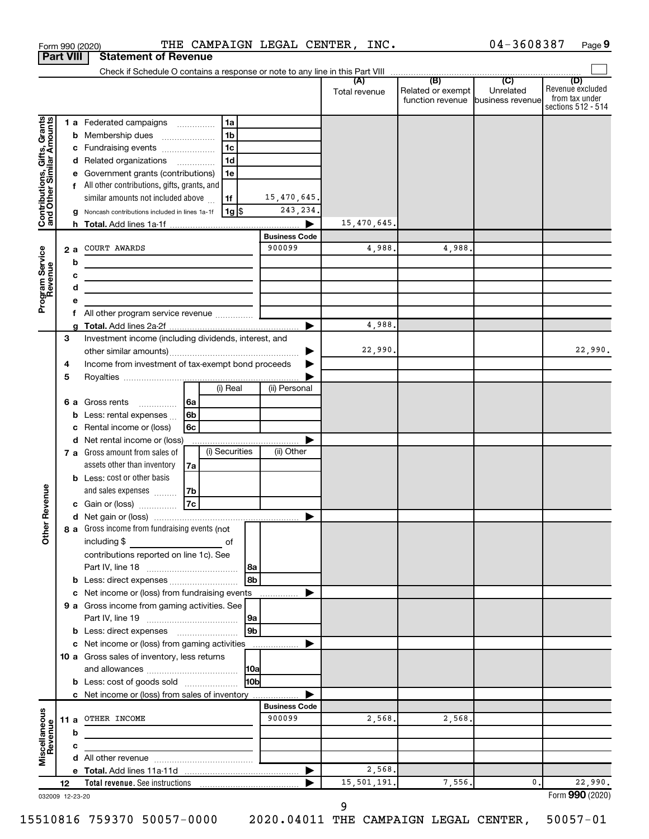|                                                           |      |     | Form 990 (2020)                                                            |                  |                      | THE CAMPAIGN LEGAL CENTER, INC. |                                   | 04-3608387 | Page 9                               |
|-----------------------------------------------------------|------|-----|----------------------------------------------------------------------------|------------------|----------------------|---------------------------------|-----------------------------------|------------|--------------------------------------|
| <b>Part VIII</b>                                          |      |     | <b>Statement of Revenue</b>                                                |                  |                      |                                 |                                   |            |                                      |
|                                                           |      |     |                                                                            |                  |                      | (A)                             | (B)                               | (C)        | (D)                                  |
|                                                           |      |     |                                                                            |                  |                      | Total revenue                   | Related or exempt                 | Unrelated  | Revenue excluded                     |
|                                                           |      |     |                                                                            |                  |                      |                                 | function revenue business revenue |            | from tax under<br>sections 512 - 514 |
|                                                           |      |     |                                                                            | 1a               |                      |                                 |                                   |            |                                      |
|                                                           |      |     | 1 a Federated campaigns                                                    | 1 <sub>b</sub>   |                      |                                 |                                   |            |                                      |
|                                                           |      |     | <b>b</b> Membership dues<br>c Fundraising events                           | 1 <sub>c</sub>   |                      |                                 |                                   |            |                                      |
| Contributions, Gifts, Grants<br>and Other Similar Amounts |      |     | d Related organizations                                                    | 1 <sub>d</sub>   |                      |                                 |                                   |            |                                      |
|                                                           |      |     | e Government grants (contributions)                                        | 1e               |                      |                                 |                                   |            |                                      |
|                                                           |      |     | f All other contributions, gifts, grants, and                              |                  |                      |                                 |                                   |            |                                      |
|                                                           |      |     | similar amounts not included above                                         | 1f               | 15,470,645.          |                                 |                                   |            |                                      |
|                                                           |      |     | g Noncash contributions included in lines 1a-1f                            | 1g               | 243, 234.            |                                 |                                   |            |                                      |
|                                                           |      |     |                                                                            |                  |                      | 15,470,645.                     |                                   |            |                                      |
|                                                           |      |     |                                                                            |                  | <b>Business Code</b> |                                 |                                   |            |                                      |
|                                                           |      | 2 a | COURT AWARDS                                                               |                  | 900099               | 4,988.                          | 4,988.                            |            |                                      |
| Program Service<br>Revenue                                |      | b   |                                                                            |                  |                      |                                 |                                   |            |                                      |
|                                                           |      | c   |                                                                            |                  |                      |                                 |                                   |            |                                      |
|                                                           |      | d   | the control of the control of the control of the control of the control of |                  |                      |                                 |                                   |            |                                      |
|                                                           |      | e   |                                                                            |                  |                      |                                 |                                   |            |                                      |
|                                                           |      | f   |                                                                            |                  |                      |                                 |                                   |            |                                      |
|                                                           |      | a   |                                                                            |                  |                      | 4,988.                          |                                   |            |                                      |
|                                                           | 3    |     | Investment income (including dividends, interest, and                      |                  |                      |                                 |                                   |            |                                      |
|                                                           |      |     |                                                                            |                  |                      | 22,990.                         |                                   |            | 22,990.                              |
|                                                           | 4    |     | Income from investment of tax-exempt bond proceeds                         |                  |                      |                                 |                                   |            |                                      |
|                                                           | 5    |     |                                                                            |                  |                      |                                 |                                   |            |                                      |
|                                                           |      |     |                                                                            | (i) Real         | (ii) Personal        |                                 |                                   |            |                                      |
|                                                           |      |     | 6a<br><b>6 a</b> Gross rents<br>$\overline{\phantom{a}}$                   |                  |                      |                                 |                                   |            |                                      |
|                                                           |      |     | 6 <sub>b</sub><br><b>b</b> Less: rental expenses $\ldots$                  |                  |                      |                                 |                                   |            |                                      |
|                                                           |      | с   | 6c<br>Rental income or (loss)                                              |                  |                      |                                 |                                   |            |                                      |
|                                                           |      |     | d Net rental income or (loss)                                              |                  |                      |                                 |                                   |            |                                      |
|                                                           |      |     | 7 a Gross amount from sales of                                             | (i) Securities   | (ii) Other           |                                 |                                   |            |                                      |
|                                                           |      |     | assets other than inventory<br>7a                                          |                  |                      |                                 |                                   |            |                                      |
|                                                           |      |     | <b>b</b> Less: cost or other basis                                         |                  |                      |                                 |                                   |            |                                      |
| evenue                                                    |      |     | and sales expenses<br>7b                                                   |                  |                      |                                 |                                   |            |                                      |
|                                                           |      |     | 7c<br>c Gain or (loss)                                                     |                  |                      |                                 |                                   |            |                                      |
| Other R                                                   |      |     |                                                                            |                  |                      |                                 |                                   |            |                                      |
|                                                           |      |     | 8 a Gross income from fundraising events (not                              |                  |                      |                                 |                                   |            |                                      |
|                                                           |      |     | including \$                                                               | of               |                      |                                 |                                   |            |                                      |
|                                                           |      |     | contributions reported on line 1c). See                                    |                  |                      |                                 |                                   |            |                                      |
|                                                           |      |     | <b>b</b> Less: direct expenses <b>contained b</b> Less: direct expenses    | 8a<br>8b         |                      |                                 |                                   |            |                                      |
|                                                           |      |     | c Net income or (loss) from fundraising events                             |                  |                      |                                 |                                   |            |                                      |
|                                                           |      |     | 9 a Gross income from gaming activities. See                               |                  | .                    |                                 |                                   |            |                                      |
|                                                           |      |     |                                                                            | 9a               |                      |                                 |                                   |            |                                      |
|                                                           |      |     |                                                                            | l 9b             |                      |                                 |                                   |            |                                      |
|                                                           |      |     | c Net income or (loss) from gaming activities                              |                  |                      |                                 |                                   |            |                                      |
|                                                           |      |     | 10 a Gross sales of inventory, less returns                                |                  |                      |                                 |                                   |            |                                      |
|                                                           |      |     |                                                                            | 10a              |                      |                                 |                                   |            |                                      |
|                                                           |      |     | <b>b</b> Less: cost of goods sold                                          | H <sub>0</sub> p |                      |                                 |                                   |            |                                      |
|                                                           |      |     | c Net income or (loss) from sales of inventory                             |                  |                      |                                 |                                   |            |                                      |
|                                                           |      |     |                                                                            |                  | <b>Business Code</b> |                                 |                                   |            |                                      |
| Miscellaneous<br>Revenue                                  | 11 a |     | OTHER INCOME                                                               |                  | 900099               | 2,568.                          | 2,568.                            |            |                                      |
|                                                           |      | b   |                                                                            |                  |                      |                                 |                                   |            |                                      |
|                                                           |      | c   |                                                                            |                  |                      |                                 |                                   |            |                                      |
|                                                           |      |     |                                                                            |                  |                      |                                 |                                   |            |                                      |
|                                                           |      |     |                                                                            |                  |                      | 2,568.                          |                                   |            |                                      |
|                                                           | 12   |     | <b>Total revenue.</b> See instructions                                     |                  |                      | 15,501,191.                     | 7,556.                            | 0          | 22,990.                              |
| 032009 12-23-20                                           |      |     |                                                                            |                  |                      |                                 |                                   |            | Form 990 (2020)                      |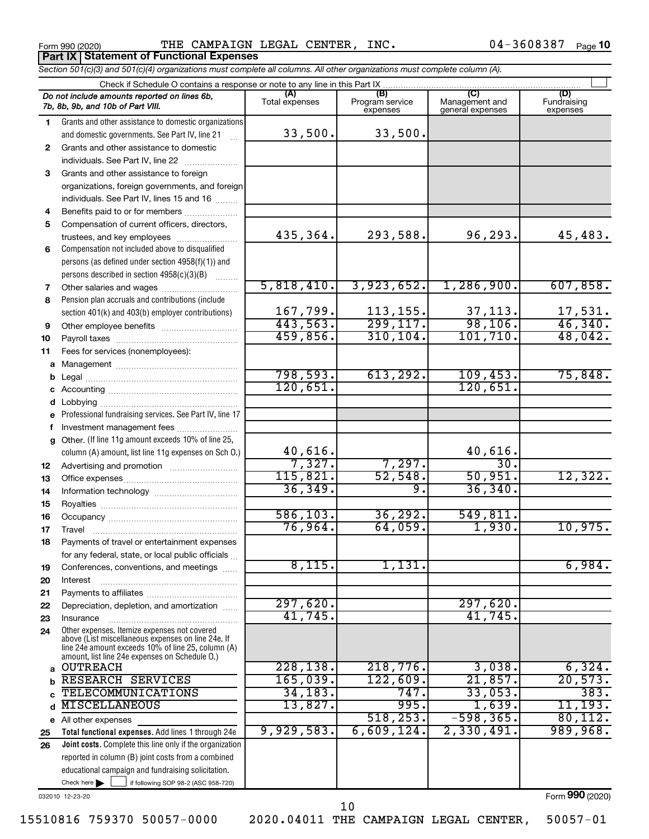Form 990 (2020)  $\qquad$  THE CAMPAIGN LEGAL CENTER, INC.  $\qquad \qquad 04-3608387$   $_{\text{Page}}$ **Porm 990 (2020)**<br>**Part IX | Statement of Functional Expenses** 

04-3608387 Page 10

†

| Section 501(c)(3) and 501(c)(4) organizations must complete all columns. All other organizations must complete column (A). |  |  |
|----------------------------------------------------------------------------------------------------------------------------|--|--|
| Check if Schedule O contains a response or note to any line in this Part IX                                                |  |  |
|                                                                                                                            |  |  |

|              | Do not include amounts reported on lines 6b,<br>7b, 8b, 9b, and 10b of Part VIII.                        | (A)<br>Total expenses | (B)<br>Program service<br>expenses | (C)<br>Management and<br>general expenses | (D)<br>Fundraising<br>expenses |
|--------------|----------------------------------------------------------------------------------------------------------|-----------------------|------------------------------------|-------------------------------------------|--------------------------------|
| $\mathbf{1}$ | Grants and other assistance to domestic organizations                                                    |                       |                                    |                                           |                                |
|              | and domestic governments. See Part IV, line 21                                                           | 33,500.               | 33,500.                            |                                           |                                |
| $\mathbf{2}$ | Grants and other assistance to domestic                                                                  |                       |                                    |                                           |                                |
|              | individuals. See Part IV, line 22                                                                        |                       |                                    |                                           |                                |
| 3            | Grants and other assistance to foreign                                                                   |                       |                                    |                                           |                                |
|              | organizations, foreign governments, and foreign                                                          |                       |                                    |                                           |                                |
|              | individuals. See Part IV, lines 15 and 16                                                                |                       |                                    |                                           |                                |
| 4            | Benefits paid to or for members                                                                          |                       |                                    |                                           |                                |
| 5            | Compensation of current officers, directors,                                                             |                       |                                    |                                           |                                |
|              | trustees, and key employees                                                                              | 435,364.              | 293,588.                           | 96, 293.                                  | 45,483.                        |
| 6            | Compensation not included above to disqualified                                                          |                       |                                    |                                           |                                |
|              | persons (as defined under section 4958(f)(1)) and                                                        |                       |                                    |                                           |                                |
|              | persons described in section 4958(c)(3)(B)<br>$\overline{\phantom{a}}$                                   |                       |                                    |                                           |                                |
| 7            |                                                                                                          | 5,818,410.            | 3,923,652.                         | 1,286,900.                                | 607,858.                       |
| 8            | Pension plan accruals and contributions (include                                                         |                       |                                    |                                           |                                |
|              | section 401(k) and 403(b) employer contributions)                                                        | 167,799.              | 113, 155.                          | $\frac{37,113}{98,106}$                   | $\frac{17,531}{46,340}$ .      |
| 9            |                                                                                                          | 443,563.              | 299, 117.                          |                                           |                                |
| 10           |                                                                                                          | 459,856.              | 310, 104.                          | 101,710.                                  | 48,042.                        |
| 11           | Fees for services (nonemployees):                                                                        |                       |                                    |                                           |                                |
| a            |                                                                                                          |                       |                                    |                                           |                                |
| b            |                                                                                                          | 798,593.<br>120,651.  | 613, 292.                          | 109,453.                                  | 75,848.                        |
| с            |                                                                                                          |                       |                                    | 120,651.                                  |                                |
| d            |                                                                                                          |                       |                                    |                                           |                                |
| е            | Professional fundraising services. See Part IV, line 17                                                  |                       |                                    |                                           |                                |
| f            | Investment management fees                                                                               |                       |                                    |                                           |                                |
| g            | Other. (If line 11g amount exceeds 10% of line 25,                                                       | 40,616.               |                                    |                                           |                                |
|              | column (A) amount, list line 11g expenses on Sch O.)                                                     | 7,327.                | 7,297.                             | $\frac{40,616}{30}$                       |                                |
| 12           |                                                                                                          | 115,821.              | 52,548.                            | 50,951.                                   | 12,322.                        |
| 13<br>14     |                                                                                                          | 36, 349.              | 9.                                 | 36, 340.                                  |                                |
| 15           |                                                                                                          |                       |                                    |                                           |                                |
| 16           |                                                                                                          | 586, 103.             | 36, 292.                           | 549,811.                                  |                                |
| 17           |                                                                                                          | 76,964.               | 64,059.                            | 1,930.                                    | 10,975.                        |
| 18           | Payments of travel or entertainment expenses                                                             |                       |                                    |                                           |                                |
|              | for any federal, state, or local public officials                                                        |                       |                                    |                                           |                                |
| 19           | Conferences, conventions, and meetings                                                                   | 8,115.                | 1,131.                             |                                           | 6,984.                         |
| 20           | Interest                                                                                                 |                       |                                    |                                           |                                |
| 21           |                                                                                                          |                       |                                    |                                           |                                |
| 22           | Depreciation, depletion, and amortization                                                                | 297,620.              |                                    | 297,620.                                  |                                |
| 23           | Insurance                                                                                                | 41,745.               |                                    | 41,745.                                   |                                |
| 24           | Other expenses. Itemize expenses not covered                                                             |                       |                                    |                                           |                                |
|              | above (List miscellaneous expenses on line 24e. If<br>line 24e amount exceeds 10% of line 25, column (A) |                       |                                    |                                           |                                |
|              | amount, list line 24e expenses on Schedule O.)                                                           |                       |                                    |                                           |                                |
| a            | <b>OUTREACH</b>                                                                                          | 228, 138.             | 218,776.                           | 3,038.                                    | 6,324.                         |
| b            | RESEARCH SERVICES                                                                                        | 165,039.              | 122,609.                           | 21,857.                                   | 20,573.                        |
|              | TELECOMMUNICATIONS                                                                                       | 34, 183.              | 747.                               | 33,053.                                   | 383.                           |
|              | <b>MISCELLANEOUS</b>                                                                                     | 13,827.               | 995.                               | 1,639.                                    | 11,193.                        |
|              | e All other expenses                                                                                     |                       | 518, 253.                          | $-598, 365.$                              | 80, 112.                       |
| 25           | Total functional expenses. Add lines 1 through 24e                                                       | 9,929,583.            | 6,609,124.                         | 2,330,491                                 | 989,968.                       |
| 26           | Joint costs. Complete this line only if the organization                                                 |                       |                                    |                                           |                                |
|              | reported in column (B) joint costs from a combined                                                       |                       |                                    |                                           |                                |
|              | educational campaign and fundraising solicitation.                                                       |                       |                                    |                                           |                                |
|              | Check here<br>if following SOP 98-2 (ASC 958-720)                                                        |                       |                                    |                                           | Form 990 (2020)                |
|              | 032010 12-23-20                                                                                          |                       |                                    |                                           |                                |

15510816 759370 50057-0000 2020.04011 THE CAMPAIGN LEGAL CENTER, 50057-01

10

Form (2020) **990**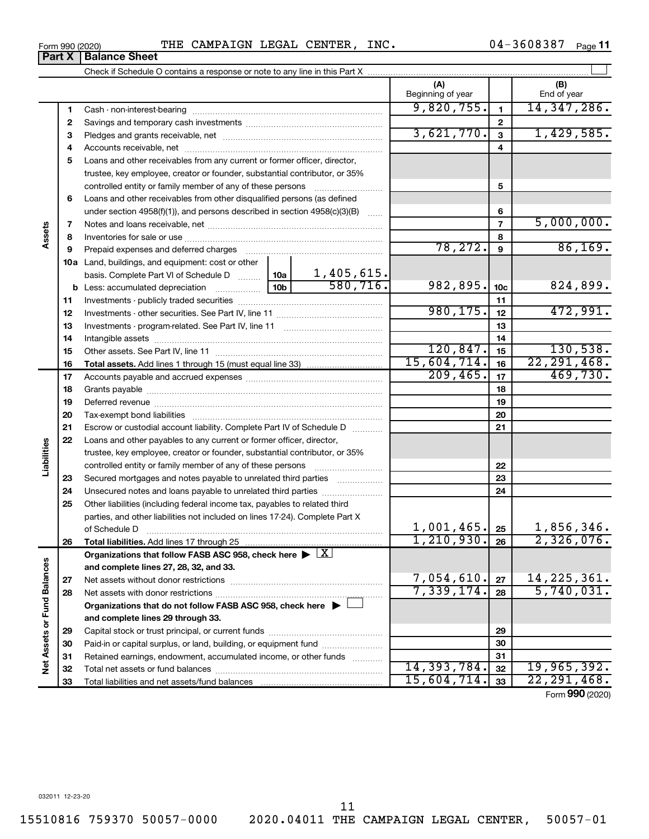| 3-20 |  |  |  |
|------|--|--|--|
|      |  |  |  |
|      |  |  |  |
|      |  |  |  |

**Part X Balance Sheet**

### Form 990 (2020) THE CAMPAIGN LEGAL CENTER, INC.  $04-3608387$  Page

04-3608387 Page 11

|                             |          |                                                                                                        |                 |          | (A)                     |                 | (B)                       |
|-----------------------------|----------|--------------------------------------------------------------------------------------------------------|-----------------|----------|-------------------------|-----------------|---------------------------|
|                             |          |                                                                                                        |                 |          | Beginning of year       |                 | End of year               |
|                             | 1        |                                                                                                        |                 |          | 9,820,755.              | $\mathbf{1}$    | 14, 347, 286.             |
|                             | 2        |                                                                                                        |                 |          |                         | 2               |                           |
|                             | З        |                                                                                                        |                 |          | 3,621,770.              | 3               | 1,429,585.                |
|                             | 4        |                                                                                                        |                 |          |                         | 4               |                           |
|                             | 5        | Loans and other receivables from any current or former officer, director,                              |                 |          |                         |                 |                           |
|                             |          | trustee, key employee, creator or founder, substantial contributor, or 35%                             |                 |          |                         |                 |                           |
|                             |          | controlled entity or family member of any of these persons                                             |                 |          |                         | 5               |                           |
|                             | 6        | Loans and other receivables from other disqualified persons (as defined                                |                 |          |                         |                 |                           |
|                             |          | under section $4958(f)(1)$ , and persons described in section $4958(c)(3)(B)$                          |                 |          |                         | 6               |                           |
|                             | 7        |                                                                                                        |                 |          |                         | $\overline{7}$  | 5,000,000.                |
| Assets                      | 8        |                                                                                                        |                 |          |                         | 8               |                           |
|                             | 9        | Prepaid expenses and deferred charges                                                                  |                 |          | 78, 272.                | 9               | 86,169.                   |
|                             |          | 10a Land, buildings, and equipment: cost or other                                                      |                 |          |                         |                 |                           |
|                             |          | basis. Complete Part VI of Schedule D    10a   1,405,615.                                              |                 |          |                         |                 |                           |
|                             |          |                                                                                                        | 10 <sub>b</sub> | 580,716. | 982,895.                | 10 <sub>c</sub> | 824,899.                  |
|                             | 11       |                                                                                                        |                 |          |                         | 11              |                           |
|                             | 12       |                                                                                                        |                 |          | 980, 175.               | 12              | 472,991.                  |
|                             | 13       |                                                                                                        |                 |          |                         | 13              |                           |
|                             | 14       |                                                                                                        |                 |          |                         | 14              |                           |
|                             | 15       |                                                                                                        |                 |          | 120,847.<br>15,604,714. | 15              | 130,538.                  |
|                             | 16       |                                                                                                        |                 |          | 209, 465.               | 16              | 22, 291, 468.<br>469,730. |
|                             | 17       |                                                                                                        |                 |          |                         | 17              |                           |
|                             | 18       |                                                                                                        |                 |          |                         | 18              |                           |
|                             | 19       |                                                                                                        |                 |          |                         | 19              |                           |
|                             | 20       |                                                                                                        |                 |          |                         | 20              |                           |
|                             | 21       | Escrow or custodial account liability. Complete Part IV of Schedule D                                  |                 |          |                         | 21              |                           |
| Liabilities                 | 22       | Loans and other payables to any current or former officer, director,                                   |                 |          |                         |                 |                           |
|                             |          | trustee, key employee, creator or founder, substantial contributor, or 35%                             |                 |          |                         |                 |                           |
|                             |          | controlled entity or family member of any of these persons                                             |                 |          |                         | 22              |                           |
|                             | 23       | Secured mortgages and notes payable to unrelated third parties                                         |                 |          |                         | 23<br>24        |                           |
|                             | 24<br>25 | Other liabilities (including federal income tax, payables to related third                             |                 |          |                         |                 |                           |
|                             |          | parties, and other liabilities not included on lines 17-24). Complete Part X                           |                 |          |                         |                 |                           |
|                             |          | of Schedule D                                                                                          |                 |          | 1,001,465.              | 25              | 1,856,346.                |
|                             | 26       | Total liabilities. Add lines 17 through 25                                                             |                 |          | 1,210,930.              | $\overline{26}$ | 2,326,076.                |
|                             |          | Organizations that follow FASB ASC 958, check here $\blacktriangleright \lfloor \underline{X} \rfloor$ |                 |          |                         |                 |                           |
|                             |          | and complete lines 27, 28, 32, and 33.                                                                 |                 |          |                         |                 |                           |
|                             | 27       |                                                                                                        |                 |          | 7,054,610.              | 27              | 14, 225, 361.             |
|                             | 28       | Net assets with donor restrictions                                                                     |                 |          | 7,339,174.              | 28              | 5,740,031.                |
|                             |          | Organizations that do not follow FASB ASC 958, check here $\blacktriangleright$                        |                 |          |                         |                 |                           |
|                             |          | and complete lines 29 through 33.                                                                      |                 |          |                         |                 |                           |
|                             | 29       |                                                                                                        |                 |          |                         | 29              |                           |
|                             | 30       | Paid-in or capital surplus, or land, building, or equipment fund                                       |                 |          |                         | 30              |                           |
|                             | 31       | Retained earnings, endowment, accumulated income, or other funds                                       |                 |          |                         | 31              |                           |
| Net Assets or Fund Balances | 32       |                                                                                                        |                 |          | 14, 393, 784.           | 32              | 19,965,392.               |
|                             | 33       |                                                                                                        |                 |          | 15,604,714.             | 33              | 22, 291, 468.             |
|                             |          |                                                                                                        |                 |          |                         |                 |                           |

Form (2020) **990**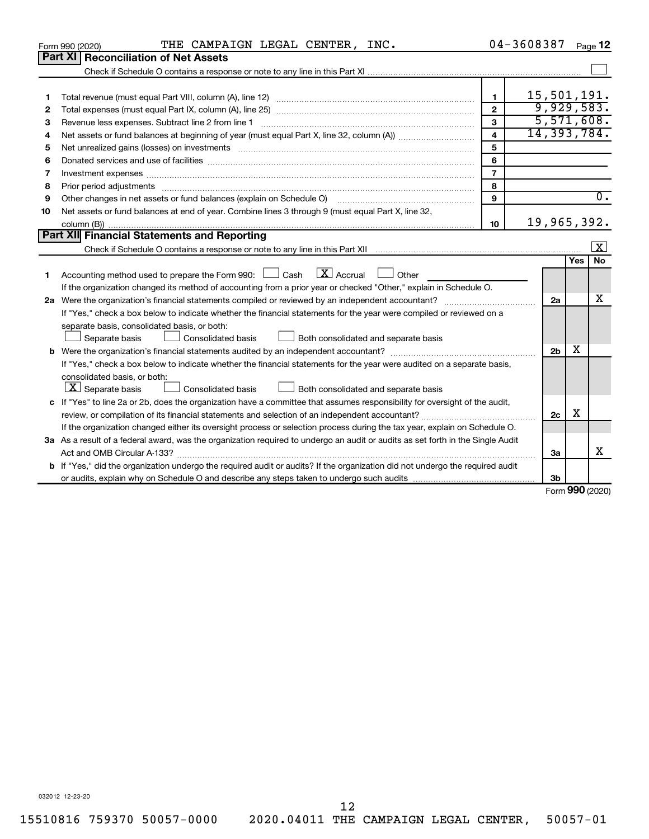|    | THE CAMPAIGN LEGAL CENTER, INC.<br>Form 990 (2020)                                                                                                                                                                             | 04-3608387              |                |            | Page 12          |
|----|--------------------------------------------------------------------------------------------------------------------------------------------------------------------------------------------------------------------------------|-------------------------|----------------|------------|------------------|
|    | <b>Part XI Reconciliation of Net Assets</b>                                                                                                                                                                                    |                         |                |            |                  |
|    |                                                                                                                                                                                                                                |                         |                |            |                  |
|    |                                                                                                                                                                                                                                |                         |                |            |                  |
| 1  |                                                                                                                                                                                                                                | $\mathbf{1}$            | 15,501,191.    |            |                  |
| 2  |                                                                                                                                                                                                                                | $\overline{2}$          | 9,929,583.     |            |                  |
| З  |                                                                                                                                                                                                                                | 3                       | 5,571,608.     |            |                  |
| 4  |                                                                                                                                                                                                                                | $\overline{\mathbf{4}}$ | 14,393,784.    |            |                  |
| 5  | Net unrealized gains (losses) on investments [111] www.martime.community.community.community.community.communi                                                                                                                 | 5                       |                |            |                  |
| 6  |                                                                                                                                                                                                                                | 6                       |                |            |                  |
| 7  | Investment expenses [[11] most manufactured and all the state of the state of the state of the state of the state of the state of the state of the state of the state of the state of the state of the state of the state of t | $\overline{7}$          |                |            |                  |
| 8  | Prior period adjustments material contents and content and content and content and content and content and content and content and content and content and content and content and content and content and content and content | 8                       |                |            |                  |
| 9  | Other changes in net assets or fund balances (explain on Schedule O)                                                                                                                                                           | $\mathbf{Q}$            |                |            | $\overline{0}$ . |
| 10 | Net assets or fund balances at end of year. Combine lines 3 through 9 (must equal Part X, line 32,                                                                                                                             |                         |                |            |                  |
|    |                                                                                                                                                                                                                                | 10                      | 19,965,392.    |            |                  |
|    | Part XII Financial Statements and Reporting                                                                                                                                                                                    |                         |                |            |                  |
|    |                                                                                                                                                                                                                                |                         |                |            | $\vert x \vert$  |
|    |                                                                                                                                                                                                                                |                         |                | <b>Yes</b> | <b>No</b>        |
| 1  | $X$ Accrual<br>Accounting method used to prepare the Form 990: [16] Cash<br>Other                                                                                                                                              |                         |                |            |                  |
|    | If the organization changed its method of accounting from a prior year or checked "Other," explain in Schedule O.                                                                                                              |                         |                |            |                  |
|    |                                                                                                                                                                                                                                |                         | 2a             |            | x                |
|    | If "Yes," check a box below to indicate whether the financial statements for the year were compiled or reviewed on a                                                                                                           |                         |                |            |                  |
|    | separate basis, consolidated basis, or both:                                                                                                                                                                                   |                         |                |            |                  |
|    | Consolidated basis<br>Separate basis<br>Both consolidated and separate basis                                                                                                                                                   |                         |                |            |                  |
|    |                                                                                                                                                                                                                                |                         | 2 <sub>b</sub> | X          |                  |
|    | If "Yes," check a box below to indicate whether the financial statements for the year were audited on a separate basis,                                                                                                        |                         |                |            |                  |
|    | consolidated basis, or both:                                                                                                                                                                                                   |                         |                |            |                  |
|    | $ \mathbf{X} $ Separate basis<br>Consolidated basis<br>Both consolidated and separate basis                                                                                                                                    |                         |                |            |                  |
|    | c If "Yes" to line 2a or 2b, does the organization have a committee that assumes responsibility for oversight of the audit,                                                                                                    |                         |                |            |                  |
|    |                                                                                                                                                                                                                                |                         | 2c             | X          |                  |
|    | If the organization changed either its oversight process or selection process during the tax year, explain on Schedule O.                                                                                                      |                         |                |            |                  |
|    | 3a As a result of a federal award, was the organization required to undergo an audit or audits as set forth in the Single Audit                                                                                                |                         |                |            |                  |
|    |                                                                                                                                                                                                                                |                         | За             |            | x                |
|    | <b>b</b> If "Yes," did the organization undergo the required audit or audits? If the organization did not undergo the required audit                                                                                           |                         |                |            |                  |
|    |                                                                                                                                                                                                                                |                         | 3b             |            |                  |
|    |                                                                                                                                                                                                                                |                         |                |            | Form 990 (2020)  |

032012 12-23-20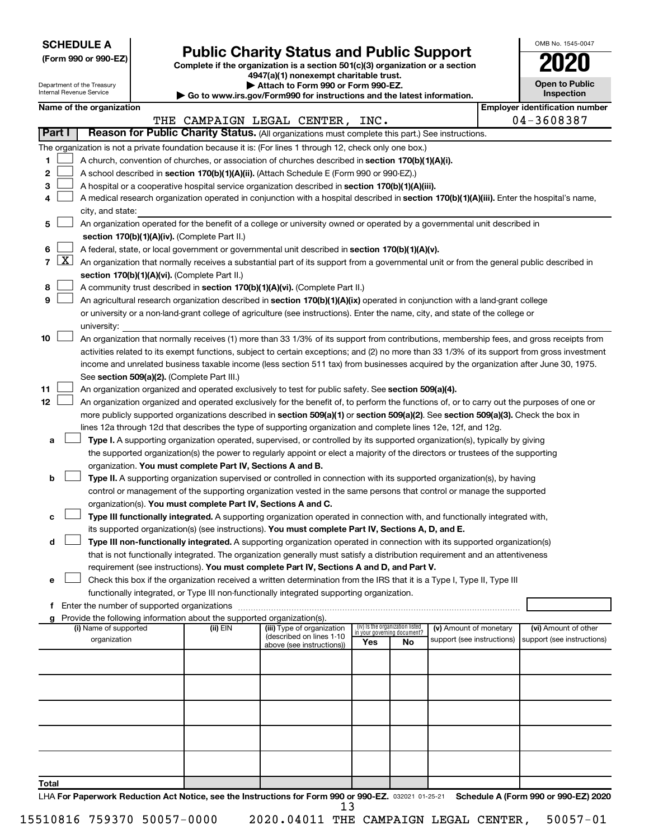| <b>SCHEDULE A</b> |  |
|-------------------|--|
|-------------------|--|

Department of the Treasury Internal Revenue Service

|  |  |  |  |  | (Form 990 or 990-EZ) |  |
|--|--|--|--|--|----------------------|--|
|--|--|--|--|--|----------------------|--|

# Form 990 or 990-EZ) **Public Charity Status and Public Support**<br>
Complete if the organization is a section 501(c)(3) organization or a section<br> **2020**

**4947(a)(1) nonexempt charitable trust. | Attach to Form 990 or Form 990-EZ.** 

| <b>P</b> Allach to Form you of Form you LE.                              |
|--------------------------------------------------------------------------|
| ▶ Go to www.irs.gov/Form990 for instructions and the latest information. |

| 2020                                |
|-------------------------------------|
| <b>Open to Public</b><br>Inspection |

OMB No. 1545-0047

|                                                                                           |                                                                                                                                | Name of the organization                                                                                                                          |          |                                                        |                                 |    |                                                      |  | <b>Employer identification number</b>              |  |
|-------------------------------------------------------------------------------------------|--------------------------------------------------------------------------------------------------------------------------------|---------------------------------------------------------------------------------------------------------------------------------------------------|----------|--------------------------------------------------------|---------------------------------|----|------------------------------------------------------|--|----------------------------------------------------|--|
|                                                                                           |                                                                                                                                |                                                                                                                                                   |          | THE CAMPAIGN LEGAL CENTER, INC.                        |                                 |    |                                                      |  | 04-3608387                                         |  |
| Part I                                                                                    |                                                                                                                                | Reason for Public Charity Status. (All organizations must complete this part.) See instructions.                                                  |          |                                                        |                                 |    |                                                      |  |                                                    |  |
|                                                                                           |                                                                                                                                | The organization is not a private foundation because it is: (For lines 1 through 12, check only one box.)                                         |          |                                                        |                                 |    |                                                      |  |                                                    |  |
| 1                                                                                         |                                                                                                                                | A church, convention of churches, or association of churches described in section 170(b)(1)(A)(i).                                                |          |                                                        |                                 |    |                                                      |  |                                                    |  |
| 2                                                                                         |                                                                                                                                | A school described in section 170(b)(1)(A)(ii). (Attach Schedule E (Form 990 or 990-EZ).)                                                         |          |                                                        |                                 |    |                                                      |  |                                                    |  |
| З                                                                                         |                                                                                                                                | A hospital or a cooperative hospital service organization described in section 170(b)(1)(A)(iii).                                                 |          |                                                        |                                 |    |                                                      |  |                                                    |  |
| 4                                                                                         |                                                                                                                                | A medical research organization operated in conjunction with a hospital described in section 170(b)(1)(A)(iii). Enter the hospital's name,        |          |                                                        |                                 |    |                                                      |  |                                                    |  |
|                                                                                           |                                                                                                                                | city, and state:                                                                                                                                  |          |                                                        |                                 |    |                                                      |  |                                                    |  |
| 5.                                                                                        |                                                                                                                                | An organization operated for the benefit of a college or university owned or operated by a governmental unit described in                         |          |                                                        |                                 |    |                                                      |  |                                                    |  |
|                                                                                           |                                                                                                                                | section 170(b)(1)(A)(iv). (Complete Part II.)                                                                                                     |          |                                                        |                                 |    |                                                      |  |                                                    |  |
| 6.                                                                                        |                                                                                                                                | A federal, state, or local government or governmental unit described in section 170(b)(1)(A)(v).                                                  |          |                                                        |                                 |    |                                                      |  |                                                    |  |
|                                                                                           |                                                                                                                                | 7 $ X $ An organization that normally receives a substantial part of its support from a governmental unit or from the general public described in |          |                                                        |                                 |    |                                                      |  |                                                    |  |
|                                                                                           |                                                                                                                                | section 170(b)(1)(A)(vi). (Complete Part II.)                                                                                                     |          |                                                        |                                 |    |                                                      |  |                                                    |  |
| 8                                                                                         |                                                                                                                                | A community trust described in section 170(b)(1)(A)(vi). (Complete Part II.)                                                                      |          |                                                        |                                 |    |                                                      |  |                                                    |  |
| 9                                                                                         |                                                                                                                                | An agricultural research organization described in section 170(b)(1)(A)(ix) operated in conjunction with a land-grant college                     |          |                                                        |                                 |    |                                                      |  |                                                    |  |
|                                                                                           | or university or a non-land-grant college of agriculture (see instructions). Enter the name, city, and state of the college or |                                                                                                                                                   |          |                                                        |                                 |    |                                                      |  |                                                    |  |
|                                                                                           |                                                                                                                                | university:                                                                                                                                       |          |                                                        |                                 |    |                                                      |  |                                                    |  |
| 10                                                                                        |                                                                                                                                | An organization that normally receives (1) more than 33 1/3% of its support from contributions, membership fees, and gross receipts from          |          |                                                        |                                 |    |                                                      |  |                                                    |  |
|                                                                                           |                                                                                                                                | activities related to its exempt functions, subject to certain exceptions; and (2) no more than 33 1/3% of its support from gross investment      |          |                                                        |                                 |    |                                                      |  |                                                    |  |
|                                                                                           |                                                                                                                                | income and unrelated business taxable income (less section 511 tax) from businesses acquired by the organization after June 30, 1975.             |          |                                                        |                                 |    |                                                      |  |                                                    |  |
|                                                                                           |                                                                                                                                | See section 509(a)(2). (Complete Part III.)                                                                                                       |          |                                                        |                                 |    |                                                      |  |                                                    |  |
| 11                                                                                        |                                                                                                                                | An organization organized and operated exclusively to test for public safety. See section 509(a)(4).                                              |          |                                                        |                                 |    |                                                      |  |                                                    |  |
| 12                                                                                        |                                                                                                                                | An organization organized and operated exclusively for the benefit of, to perform the functions of, or to carry out the purposes of one or        |          |                                                        |                                 |    |                                                      |  |                                                    |  |
|                                                                                           |                                                                                                                                | more publicly supported organizations described in section 509(a)(1) or section 509(a)(2). See section 509(a)(3). Check the box in                |          |                                                        |                                 |    |                                                      |  |                                                    |  |
|                                                                                           |                                                                                                                                | lines 12a through 12d that describes the type of supporting organization and complete lines 12e, 12f, and 12g.                                    |          |                                                        |                                 |    |                                                      |  |                                                    |  |
| а                                                                                         |                                                                                                                                | Type I. A supporting organization operated, supervised, or controlled by its supported organization(s), typically by giving                       |          |                                                        |                                 |    |                                                      |  |                                                    |  |
|                                                                                           |                                                                                                                                | the supported organization(s) the power to regularly appoint or elect a majority of the directors or trustees of the supporting                   |          |                                                        |                                 |    |                                                      |  |                                                    |  |
|                                                                                           |                                                                                                                                | organization. You must complete Part IV, Sections A and B.                                                                                        |          |                                                        |                                 |    |                                                      |  |                                                    |  |
| b                                                                                         |                                                                                                                                | Type II. A supporting organization supervised or controlled in connection with its supported organization(s), by having                           |          |                                                        |                                 |    |                                                      |  |                                                    |  |
|                                                                                           |                                                                                                                                | control or management of the supporting organization vested in the same persons that control or manage the supported                              |          |                                                        |                                 |    |                                                      |  |                                                    |  |
|                                                                                           |                                                                                                                                | organization(s). You must complete Part IV, Sections A and C.                                                                                     |          |                                                        |                                 |    |                                                      |  |                                                    |  |
| с                                                                                         |                                                                                                                                | Type III functionally integrated. A supporting organization operated in connection with, and functionally integrated with,                        |          |                                                        |                                 |    |                                                      |  |                                                    |  |
|                                                                                           |                                                                                                                                | its supported organization(s) (see instructions). You must complete Part IV, Sections A, D, and E.                                                |          |                                                        |                                 |    |                                                      |  |                                                    |  |
| d                                                                                         |                                                                                                                                | Type III non-functionally integrated. A supporting organization operated in connection with its supported organization(s)                         |          |                                                        |                                 |    |                                                      |  |                                                    |  |
|                                                                                           |                                                                                                                                | that is not functionally integrated. The organization generally must satisfy a distribution requirement and an attentiveness                      |          |                                                        |                                 |    |                                                      |  |                                                    |  |
|                                                                                           | requirement (see instructions). You must complete Part IV, Sections A and D, and Part V.                                       |                                                                                                                                                   |          |                                                        |                                 |    |                                                      |  |                                                    |  |
|                                                                                           | Check this box if the organization received a written determination from the IRS that it is a Type I, Type II, Type III        |                                                                                                                                                   |          |                                                        |                                 |    |                                                      |  |                                                    |  |
| functionally integrated, or Type III non-functionally integrated supporting organization. |                                                                                                                                |                                                                                                                                                   |          |                                                        |                                 |    |                                                      |  |                                                    |  |
|                                                                                           | f Enter the number of supported organizations                                                                                  |                                                                                                                                                   |          |                                                        |                                 |    |                                                      |  |                                                    |  |
|                                                                                           |                                                                                                                                | g Provide the following information about the supported organization(s).                                                                          |          |                                                        | (iv) Is the organization listed |    |                                                      |  |                                                    |  |
|                                                                                           |                                                                                                                                | (i) Name of supported<br>organization                                                                                                             | (ii) EIN | (iii) Type of organization<br>(described on lines 1-10 | in your governing document?     |    | (v) Amount of monetary<br>support (see instructions) |  | (vi) Amount of other<br>support (see instructions) |  |
|                                                                                           |                                                                                                                                |                                                                                                                                                   |          | above (see instructions))                              | Yes                             | No |                                                      |  |                                                    |  |
|                                                                                           |                                                                                                                                |                                                                                                                                                   |          |                                                        |                                 |    |                                                      |  |                                                    |  |
|                                                                                           |                                                                                                                                |                                                                                                                                                   |          |                                                        |                                 |    |                                                      |  |                                                    |  |
|                                                                                           |                                                                                                                                |                                                                                                                                                   |          |                                                        |                                 |    |                                                      |  |                                                    |  |
|                                                                                           |                                                                                                                                |                                                                                                                                                   |          |                                                        |                                 |    |                                                      |  |                                                    |  |
|                                                                                           |                                                                                                                                |                                                                                                                                                   |          |                                                        |                                 |    |                                                      |  |                                                    |  |
|                                                                                           |                                                                                                                                |                                                                                                                                                   |          |                                                        |                                 |    |                                                      |  |                                                    |  |
|                                                                                           |                                                                                                                                |                                                                                                                                                   |          |                                                        |                                 |    |                                                      |  |                                                    |  |
|                                                                                           |                                                                                                                                |                                                                                                                                                   |          |                                                        |                                 |    |                                                      |  |                                                    |  |
| <b>Total</b>                                                                              |                                                                                                                                |                                                                                                                                                   |          |                                                        |                                 |    |                                                      |  |                                                    |  |

LHA For Paperwork Reduction Act Notice, see the Instructions for Form 990 or 990-EZ. 032021 01-25-21 Schedule A (Form 990 or 990-EZ) 2020 13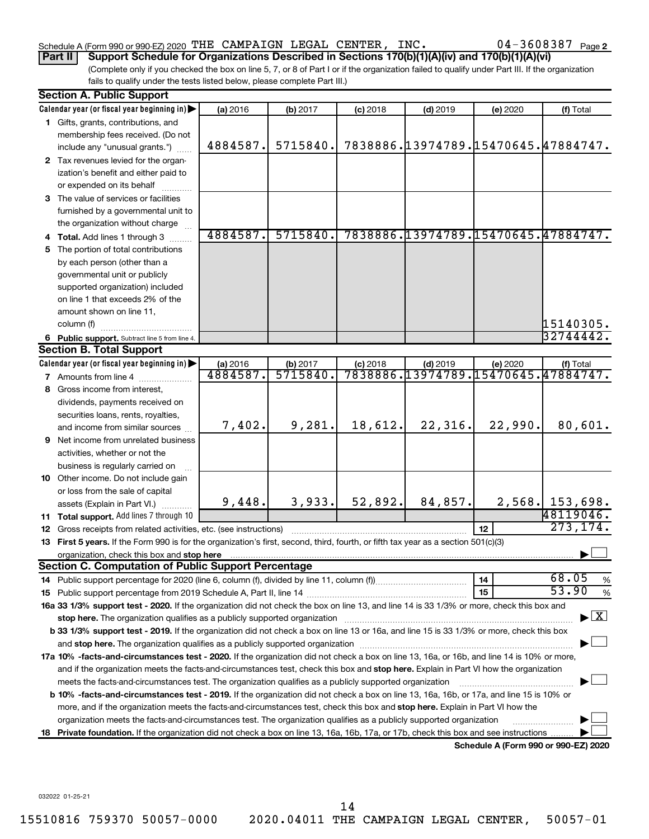### Schedule A (Form 990 or 990-EZ) 2020 Page THE CAMPAIGN LEGAL CENTER, INC. 04-3608387

**Part II Support Schedule for Organizations Described in Sections 170(b)(1)(A)(iv) and 170(b)(1)(A)(vi)**

(Complete only if you checked the box on line 5, 7, or 8 of Part I or if the organization failed to qualify under Part III. If the organization fails to qualify under the tests listed below, please complete Part III.)

|    | <b>Section A. Public Support</b>                                                                                                                                                                                               |          |          |            |                                     |                                      |                                          |
|----|--------------------------------------------------------------------------------------------------------------------------------------------------------------------------------------------------------------------------------|----------|----------|------------|-------------------------------------|--------------------------------------|------------------------------------------|
|    | Calendar year (or fiscal year beginning in)                                                                                                                                                                                    | (a) 2016 | (b) 2017 | $(c)$ 2018 | $(d)$ 2019                          | (e) 2020                             | (f) Total                                |
|    | 1 Gifts, grants, contributions, and                                                                                                                                                                                            |          |          |            |                                     |                                      |                                          |
|    | membership fees received. (Do not                                                                                                                                                                                              |          |          |            |                                     |                                      |                                          |
|    | include any "unusual grants.")                                                                                                                                                                                                 | 4884587. | 5715840. |            |                                     |                                      | 7838886.13974789.15470645.47884747.      |
|    | 2 Tax revenues levied for the organ-                                                                                                                                                                                           |          |          |            |                                     |                                      |                                          |
|    | ization's benefit and either paid to                                                                                                                                                                                           |          |          |            |                                     |                                      |                                          |
|    | or expended on its behalf                                                                                                                                                                                                      |          |          |            |                                     |                                      |                                          |
|    | 3 The value of services or facilities                                                                                                                                                                                          |          |          |            |                                     |                                      |                                          |
|    | furnished by a governmental unit to                                                                                                                                                                                            |          |          |            |                                     |                                      |                                          |
|    | the organization without charge                                                                                                                                                                                                |          |          |            |                                     |                                      |                                          |
|    | 4 Total. Add lines 1 through 3                                                                                                                                                                                                 | 4884587. | 5715840. |            | 7838886.13974789.15470645.47884747. |                                      |                                          |
|    | 5 The portion of total contributions                                                                                                                                                                                           |          |          |            |                                     |                                      |                                          |
|    | by each person (other than a                                                                                                                                                                                                   |          |          |            |                                     |                                      |                                          |
|    | governmental unit or publicly                                                                                                                                                                                                  |          |          |            |                                     |                                      |                                          |
|    | supported organization) included                                                                                                                                                                                               |          |          |            |                                     |                                      |                                          |
|    | on line 1 that exceeds 2% of the                                                                                                                                                                                               |          |          |            |                                     |                                      |                                          |
|    | amount shown on line 11,                                                                                                                                                                                                       |          |          |            |                                     |                                      |                                          |
|    | column (f)                                                                                                                                                                                                                     |          |          |            |                                     |                                      | 15140305.                                |
|    | 6 Public support. Subtract line 5 from line 4.                                                                                                                                                                                 |          |          |            |                                     |                                      | 32744442.                                |
|    | <b>Section B. Total Support</b>                                                                                                                                                                                                |          |          |            |                                     |                                      |                                          |
|    | Calendar year (or fiscal year beginning in)                                                                                                                                                                                    | (a) 2016 | (b) 2017 | $(c)$ 2018 | $(d)$ 2019                          | (e) 2020                             | (f) Total                                |
|    | <b>7</b> Amounts from line 4                                                                                                                                                                                                   | 4884587. | 5715840  |            | 7838886.13974789.15470645.47884747. |                                      |                                          |
|    | 8 Gross income from interest,                                                                                                                                                                                                  |          |          |            |                                     |                                      |                                          |
|    | dividends, payments received on                                                                                                                                                                                                |          |          |            |                                     |                                      |                                          |
|    | securities loans, rents, royalties,                                                                                                                                                                                            |          |          |            |                                     |                                      |                                          |
|    | and income from similar sources                                                                                                                                                                                                | 7,402.   | 9,281.   | 18,612.    | 22,316.                             | 22,990.                              | 80,601.                                  |
|    | 9 Net income from unrelated business                                                                                                                                                                                           |          |          |            |                                     |                                      |                                          |
|    | activities, whether or not the                                                                                                                                                                                                 |          |          |            |                                     |                                      |                                          |
|    | business is regularly carried on                                                                                                                                                                                               |          |          |            |                                     |                                      |                                          |
|    | 10 Other income. Do not include gain                                                                                                                                                                                           |          |          |            |                                     |                                      |                                          |
|    | or loss from the sale of capital                                                                                                                                                                                               |          |          |            |                                     |                                      |                                          |
|    | assets (Explain in Part VI.)                                                                                                                                                                                                   | 9,448.   | 3,933.   | 52,892.    | 84,857.                             |                                      | $2,568$ . 153,698.<br>48119046.          |
|    | 11 Total support. Add lines 7 through 10                                                                                                                                                                                       |          |          |            |                                     |                                      | 273, 174.                                |
|    | <b>12</b> Gross receipts from related activities, etc. (see instructions)                                                                                                                                                      |          |          |            |                                     | 12                                   |                                          |
|    | 13 First 5 years. If the Form 990 is for the organization's first, second, third, fourth, or fifth tax year as a section 501(c)(3)                                                                                             |          |          |            |                                     |                                      |                                          |
|    | organization, check this box and stop here<br><b>Section C. Computation of Public Support Percentage</b>                                                                                                                       |          |          |            |                                     |                                      |                                          |
|    |                                                                                                                                                                                                                                |          |          |            |                                     | 14                                   | 68.05<br>%                               |
|    |                                                                                                                                                                                                                                |          |          |            |                                     | 15                                   | 53.90<br>$\%$                            |
|    | 16a 33 1/3% support test - 2020. If the organization did not check the box on line 13, and line 14 is 33 1/3% or more, check this box and                                                                                      |          |          |            |                                     |                                      |                                          |
|    | stop here. The organization qualifies as a publicly supported organization manufaction manufacture or manufacture or the organization manufacture or the organization of the state of the state of the state of the state of t |          |          |            |                                     |                                      | $\blacktriangleright$ $\boxed{\text{X}}$ |
|    | b 33 1/3% support test - 2019. If the organization did not check a box on line 13 or 16a, and line 15 is 33 1/3% or more, check this box                                                                                       |          |          |            |                                     |                                      |                                          |
|    |                                                                                                                                                                                                                                |          |          |            |                                     |                                      |                                          |
|    | 17a 10% -facts-and-circumstances test - 2020. If the organization did not check a box on line 13, 16a, or 16b, and line 14 is 10% or more,                                                                                     |          |          |            |                                     |                                      |                                          |
|    | and if the organization meets the facts-and-circumstances test, check this box and stop here. Explain in Part VI how the organization                                                                                          |          |          |            |                                     |                                      |                                          |
|    | meets the facts-and-circumstances test. The organization qualifies as a publicly supported organization                                                                                                                        |          |          |            |                                     |                                      |                                          |
|    | b 10% -facts-and-circumstances test - 2019. If the organization did not check a box on line 13, 16a, 16b, or 17a, and line 15 is 10% or                                                                                        |          |          |            |                                     |                                      |                                          |
|    | more, and if the organization meets the facts-and-circumstances test, check this box and <b>stop here.</b> Explain in Part VI how the                                                                                          |          |          |            |                                     |                                      |                                          |
|    | organization meets the facts-and-circumstances test. The organization qualifies as a publicly supported organization                                                                                                           |          |          |            |                                     |                                      |                                          |
| 18 | Private foundation. If the organization did not check a box on line 13, 16a, 16b, 17a, or 17b, check this box and see instructions.                                                                                            |          |          |            |                                     |                                      |                                          |
|    |                                                                                                                                                                                                                                |          |          |            |                                     | Schedule A (Form 990 or 990-EZ) 2020 |                                          |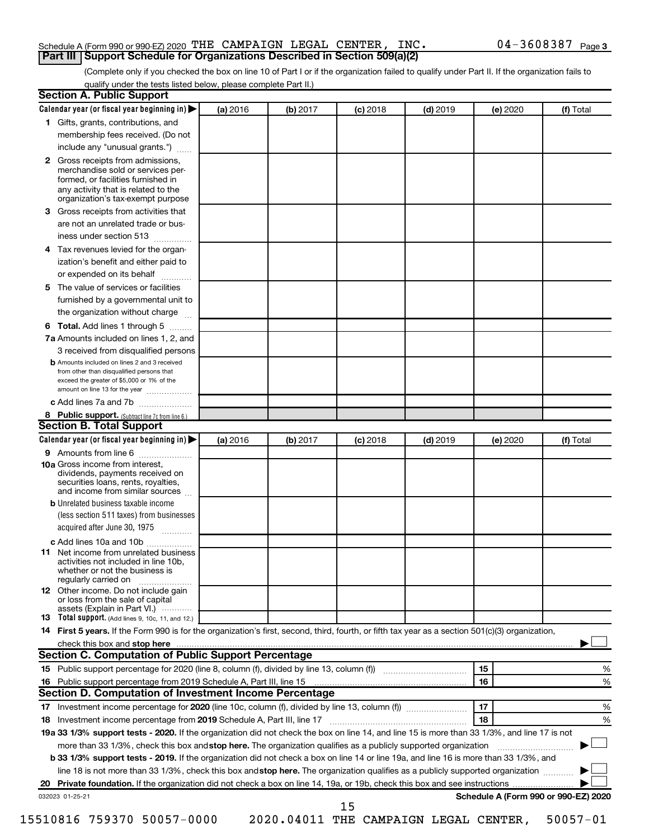#### Schedule A (Form 990 or 990-EZ) 2020 Page THE CAMPAIGN LEGAL CENTER, INC. 04-3608387 **Part III Support Schedule for Organizations Described in Section 509(a)(2)**

(Complete only if you checked the box on line 10 of Part I or if the organization failed to qualify under Part II. If the organization fails to qualify under the tests listed below, please complete Part II.)

| 1 Gifts, grants, contributions, and<br>membership fees received. (Do not<br>include any "unusual grants.")<br>Gross receipts from admissions,<br>$\mathbf{2}$<br>merchandise sold or services per-<br>formed, or facilities furnished in<br>any activity that is related to the<br>organization's tax-exempt purpose<br>Gross receipts from activities that<br>3.<br>are not an unrelated trade or bus-<br>iness under section 513<br>Tax revenues levied for the organ-<br>4<br>ization's benefit and either paid to<br>or expended on its behalf<br>.<br>The value of services or facilities<br>5<br>furnished by a governmental unit to<br>the organization without charge<br>Total. Add lines 1 through 5<br>6<br>7a Amounts included on lines 1, 2, and<br>3 received from disqualified persons<br><b>b</b> Amounts included on lines 2 and 3 received<br>from other than disqualified persons that<br>exceed the greater of \$5,000 or 1% of the<br>amount on line 13 for the year<br>c Add lines 7a and 7b<br>8 Public support. (Subtract line 7c from line 6.)<br><b>Section B. Total Support</b> |                                      |
|-----------------------------------------------------------------------------------------------------------------------------------------------------------------------------------------------------------------------------------------------------------------------------------------------------------------------------------------------------------------------------------------------------------------------------------------------------------------------------------------------------------------------------------------------------------------------------------------------------------------------------------------------------------------------------------------------------------------------------------------------------------------------------------------------------------------------------------------------------------------------------------------------------------------------------------------------------------------------------------------------------------------------------------------------------------------------------------------------------------|--------------------------------------|
|                                                                                                                                                                                                                                                                                                                                                                                                                                                                                                                                                                                                                                                                                                                                                                                                                                                                                                                                                                                                                                                                                                           |                                      |
|                                                                                                                                                                                                                                                                                                                                                                                                                                                                                                                                                                                                                                                                                                                                                                                                                                                                                                                                                                                                                                                                                                           |                                      |
|                                                                                                                                                                                                                                                                                                                                                                                                                                                                                                                                                                                                                                                                                                                                                                                                                                                                                                                                                                                                                                                                                                           |                                      |
|                                                                                                                                                                                                                                                                                                                                                                                                                                                                                                                                                                                                                                                                                                                                                                                                                                                                                                                                                                                                                                                                                                           |                                      |
|                                                                                                                                                                                                                                                                                                                                                                                                                                                                                                                                                                                                                                                                                                                                                                                                                                                                                                                                                                                                                                                                                                           |                                      |
|                                                                                                                                                                                                                                                                                                                                                                                                                                                                                                                                                                                                                                                                                                                                                                                                                                                                                                                                                                                                                                                                                                           |                                      |
|                                                                                                                                                                                                                                                                                                                                                                                                                                                                                                                                                                                                                                                                                                                                                                                                                                                                                                                                                                                                                                                                                                           |                                      |
|                                                                                                                                                                                                                                                                                                                                                                                                                                                                                                                                                                                                                                                                                                                                                                                                                                                                                                                                                                                                                                                                                                           |                                      |
|                                                                                                                                                                                                                                                                                                                                                                                                                                                                                                                                                                                                                                                                                                                                                                                                                                                                                                                                                                                                                                                                                                           |                                      |
|                                                                                                                                                                                                                                                                                                                                                                                                                                                                                                                                                                                                                                                                                                                                                                                                                                                                                                                                                                                                                                                                                                           |                                      |
|                                                                                                                                                                                                                                                                                                                                                                                                                                                                                                                                                                                                                                                                                                                                                                                                                                                                                                                                                                                                                                                                                                           |                                      |
|                                                                                                                                                                                                                                                                                                                                                                                                                                                                                                                                                                                                                                                                                                                                                                                                                                                                                                                                                                                                                                                                                                           |                                      |
|                                                                                                                                                                                                                                                                                                                                                                                                                                                                                                                                                                                                                                                                                                                                                                                                                                                                                                                                                                                                                                                                                                           |                                      |
|                                                                                                                                                                                                                                                                                                                                                                                                                                                                                                                                                                                                                                                                                                                                                                                                                                                                                                                                                                                                                                                                                                           |                                      |
|                                                                                                                                                                                                                                                                                                                                                                                                                                                                                                                                                                                                                                                                                                                                                                                                                                                                                                                                                                                                                                                                                                           |                                      |
|                                                                                                                                                                                                                                                                                                                                                                                                                                                                                                                                                                                                                                                                                                                                                                                                                                                                                                                                                                                                                                                                                                           |                                      |
|                                                                                                                                                                                                                                                                                                                                                                                                                                                                                                                                                                                                                                                                                                                                                                                                                                                                                                                                                                                                                                                                                                           |                                      |
|                                                                                                                                                                                                                                                                                                                                                                                                                                                                                                                                                                                                                                                                                                                                                                                                                                                                                                                                                                                                                                                                                                           |                                      |
|                                                                                                                                                                                                                                                                                                                                                                                                                                                                                                                                                                                                                                                                                                                                                                                                                                                                                                                                                                                                                                                                                                           |                                      |
| Calendar year (or fiscal year beginning in)<br>(a) 2016<br>(b) 2017<br>$(c)$ 2018<br>$(d)$ 2019                                                                                                                                                                                                                                                                                                                                                                                                                                                                                                                                                                                                                                                                                                                                                                                                                                                                                                                                                                                                           | (e) 2020<br>(f) Total                |
| 9 Amounts from line 6                                                                                                                                                                                                                                                                                                                                                                                                                                                                                                                                                                                                                                                                                                                                                                                                                                                                                                                                                                                                                                                                                     |                                      |
| <b>10a</b> Gross income from interest,<br>dividends, payments received on<br>securities loans, rents, royalties,<br>and income from similar sources                                                                                                                                                                                                                                                                                                                                                                                                                                                                                                                                                                                                                                                                                                                                                                                                                                                                                                                                                       |                                      |
| <b>b</b> Unrelated business taxable income                                                                                                                                                                                                                                                                                                                                                                                                                                                                                                                                                                                                                                                                                                                                                                                                                                                                                                                                                                                                                                                                |                                      |
| (less section 511 taxes) from businesses<br>acquired after June 30, 1975                                                                                                                                                                                                                                                                                                                                                                                                                                                                                                                                                                                                                                                                                                                                                                                                                                                                                                                                                                                                                                  |                                      |
| c Add lines 10a and 10b                                                                                                                                                                                                                                                                                                                                                                                                                                                                                                                                                                                                                                                                                                                                                                                                                                                                                                                                                                                                                                                                                   |                                      |
| Net income from unrelated business<br>11<br>activities not included in line 10b.<br>whether or not the business is<br>regularly carried on                                                                                                                                                                                                                                                                                                                                                                                                                                                                                                                                                                                                                                                                                                                                                                                                                                                                                                                                                                |                                      |
| <b>12</b> Other income. Do not include gain<br>or loss from the sale of capital<br>assets (Explain in Part VI.)                                                                                                                                                                                                                                                                                                                                                                                                                                                                                                                                                                                                                                                                                                                                                                                                                                                                                                                                                                                           |                                      |
| <b>13</b> Total support. (Add lines 9, 10c, 11, and 12.)                                                                                                                                                                                                                                                                                                                                                                                                                                                                                                                                                                                                                                                                                                                                                                                                                                                                                                                                                                                                                                                  |                                      |
| 14 First 5 years. If the Form 990 is for the organization's first, second, third, fourth, or fifth tax year as a section 501(c)(3) organization,                                                                                                                                                                                                                                                                                                                                                                                                                                                                                                                                                                                                                                                                                                                                                                                                                                                                                                                                                          |                                      |
| check this box and stop here measurements and the contract of the state of the state of the state of the contract of the contract of the contract of the contract of the contract of the contract of the contract of the contr                                                                                                                                                                                                                                                                                                                                                                                                                                                                                                                                                                                                                                                                                                                                                                                                                                                                            |                                      |
| Section C. Computation of Public Support Percentage                                                                                                                                                                                                                                                                                                                                                                                                                                                                                                                                                                                                                                                                                                                                                                                                                                                                                                                                                                                                                                                       |                                      |
| 15                                                                                                                                                                                                                                                                                                                                                                                                                                                                                                                                                                                                                                                                                                                                                                                                                                                                                                                                                                                                                                                                                                        | %                                    |
| 16                                                                                                                                                                                                                                                                                                                                                                                                                                                                                                                                                                                                                                                                                                                                                                                                                                                                                                                                                                                                                                                                                                        | %                                    |
| Section D. Computation of Investment Income Percentage                                                                                                                                                                                                                                                                                                                                                                                                                                                                                                                                                                                                                                                                                                                                                                                                                                                                                                                                                                                                                                                    |                                      |
| 17                                                                                                                                                                                                                                                                                                                                                                                                                                                                                                                                                                                                                                                                                                                                                                                                                                                                                                                                                                                                                                                                                                        | %                                    |
| 18                                                                                                                                                                                                                                                                                                                                                                                                                                                                                                                                                                                                                                                                                                                                                                                                                                                                                                                                                                                                                                                                                                        | %                                    |
| 19a 33 1/3% support tests - 2020. If the organization did not check the box on line 14, and line 15 is more than 33 1/3%, and line 17 is not                                                                                                                                                                                                                                                                                                                                                                                                                                                                                                                                                                                                                                                                                                                                                                                                                                                                                                                                                              |                                      |
| more than 33 1/3%, check this box and stop here. The organization qualifies as a publicly supported organization                                                                                                                                                                                                                                                                                                                                                                                                                                                                                                                                                                                                                                                                                                                                                                                                                                                                                                                                                                                          |                                      |
| b 33 1/3% support tests - 2019. If the organization did not check a box on line 14 or line 19a, and line 16 is more than 33 1/3%, and<br>line 18 is not more than 33 1/3%, check this box and stop here. The organization qualifies as a publicly supported organization                                                                                                                                                                                                                                                                                                                                                                                                                                                                                                                                                                                                                                                                                                                                                                                                                                  |                                      |
|                                                                                                                                                                                                                                                                                                                                                                                                                                                                                                                                                                                                                                                                                                                                                                                                                                                                                                                                                                                                                                                                                                           |                                      |
|                                                                                                                                                                                                                                                                                                                                                                                                                                                                                                                                                                                                                                                                                                                                                                                                                                                                                                                                                                                                                                                                                                           | Schedule A (Form 990 or 990-EZ) 2020 |
| 032023 01-25-21<br>15<br>15510816 759370 50057-0000<br>2020.04011 THE CAMPAIGN LEGAL CENTER,                                                                                                                                                                                                                                                                                                                                                                                                                                                                                                                                                                                                                                                                                                                                                                                                                                                                                                                                                                                                              | $50057 - 01$                         |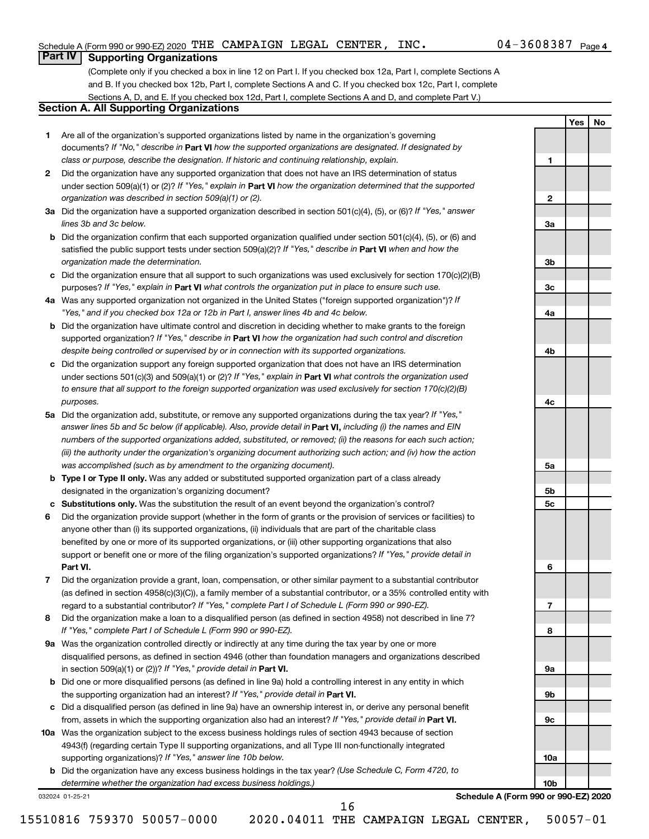**1**

**Yes No**

#### **Part IV Supporting Organizations**

(Complete only if you checked a box in line 12 on Part I. If you checked box 12a, Part I, complete Sections A and B. If you checked box 12b, Part I, complete Sections A and C. If you checked box 12c, Part I, complete Sections A, D, and E. If you checked box 12d, Part I, complete Sections A and D, and complete Part V.)

#### **Section A. All Supporting Organizations**

- **1** Are all of the organization's supported organizations listed by name in the organization's governing documents? If "No," describe in Part VI how the supported organizations are designated. If designated by *class or purpose, describe the designation. If historic and continuing relationship, explain.*
- **2** Did the organization have any supported organization that does not have an IRS determination of status under section 509(a)(1) or (2)? If "Yes," explain in Part **VI** how the organization determined that the supported *organization was described in section 509(a)(1) or (2).*
- **3a** Did the organization have a supported organization described in section 501(c)(4), (5), or (6)? If "Yes," answer *lines 3b and 3c below.*
- **b** Did the organization confirm that each supported organization qualified under section 501(c)(4), (5), or (6) and satisfied the public support tests under section 509(a)(2)? If "Yes," describe in Part VI when and how the *organization made the determination.*
- **c** Did the organization ensure that all support to such organizations was used exclusively for section 170(c)(2)(B) purposes? If "Yes," explain in Part VI what controls the organization put in place to ensure such use.
- **4 a** *If* Was any supported organization not organized in the United States ("foreign supported organization")? *"Yes," and if you checked box 12a or 12b in Part I, answer lines 4b and 4c below.*
- **b** Did the organization have ultimate control and discretion in deciding whether to make grants to the foreign supported organization? If "Yes," describe in Part VI how the organization had such control and discretion *despite being controlled or supervised by or in connection with its supported organizations.*
- **c** Did the organization support any foreign supported organization that does not have an IRS determination under sections 501(c)(3) and 509(a)(1) or (2)? If "Yes," explain in Part VI what controls the organization used *to ensure that all support to the foreign supported organization was used exclusively for section 170(c)(2)(B) purposes.*
- **5a** Did the organization add, substitute, or remove any supported organizations during the tax year? If "Yes," answer lines 5b and 5c below (if applicable). Also, provide detail in **Part VI,** including (i) the names and EIN *numbers of the supported organizations added, substituted, or removed; (ii) the reasons for each such action; (iii) the authority under the organization's organizing document authorizing such action; and (iv) how the action was accomplished (such as by amendment to the organizing document).*
- **b Type I or Type II only.** Was any added or substituted supported organization part of a class already designated in the organization's organizing document?
- **c Substitutions only.**  Was the substitution the result of an event beyond the organization's control?
- **6** Did the organization provide support (whether in the form of grants or the provision of services or facilities) to **Part VI.** support or benefit one or more of the filing organization's supported organizations? If "Yes," provide detail in anyone other than (i) its supported organizations, (ii) individuals that are part of the charitable class benefited by one or more of its supported organizations, or (iii) other supporting organizations that also
- **7** Did the organization provide a grant, loan, compensation, or other similar payment to a substantial contributor regard to a substantial contributor? If "Yes," complete Part I of Schedule L (Form 990 or 990-EZ). (as defined in section 4958(c)(3)(C)), a family member of a substantial contributor, or a 35% controlled entity with
- **8** Did the organization make a loan to a disqualified person (as defined in section 4958) not described in line 7? *If "Yes," complete Part I of Schedule L (Form 990 or 990-EZ).*
- **9 a** Was the organization controlled directly or indirectly at any time during the tax year by one or more in section 509(a)(1) or (2))? If "Yes," provide detail in **Part VI.** disqualified persons, as defined in section 4946 (other than foundation managers and organizations described
- **b** Did one or more disqualified persons (as defined in line 9a) hold a controlling interest in any entity in which the supporting organization had an interest? If "Yes," provide detail in Part VI.
- **c** Did a disqualified person (as defined in line 9a) have an ownership interest in, or derive any personal benefit from, assets in which the supporting organization also had an interest? If "Yes," provide detail in Part VI.
- **10 a** Was the organization subject to the excess business holdings rules of section 4943 because of section supporting organizations)? If "Yes," answer line 10b below. 4943(f) (regarding certain Type II supporting organizations, and all Type III non-functionally integrated
	- **b** Did the organization have any excess business holdings in the tax year? (Use Schedule C, Form 4720, to *determine whether the organization had excess business holdings.)*

032024 01-25-21

**Schedule A (Form 990 or 990-EZ) 2020**

15510816 759370 50057-0000 2020.04011 THE CAMPAIGN LEGAL CENTER, 50057-01

16

**2 3a 3b 3c 4a 4b 4c 5a 5b 5c 6 7 8 9a 9b 9c 10a 10b**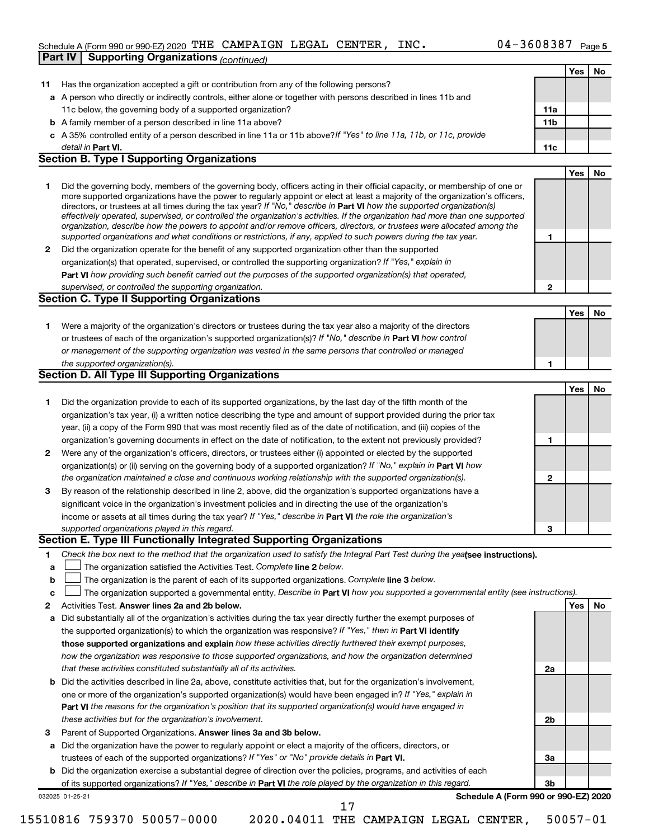#### Schedule A (Form 990 or 990-EZ) 2020 Page THE CAMPAIGN LEGAL CENTER, INC. 04-3608387

|    | <b>Supporting Organizations (continued)</b><br>Part IV                                                                                                                                                                                                    |     |            |           |
|----|-----------------------------------------------------------------------------------------------------------------------------------------------------------------------------------------------------------------------------------------------------------|-----|------------|-----------|
|    |                                                                                                                                                                                                                                                           |     | Yes        | No        |
| 11 | Has the organization accepted a gift or contribution from any of the following persons?                                                                                                                                                                   |     |            |           |
|    | a A person who directly or indirectly controls, either alone or together with persons described in lines 11b and                                                                                                                                          |     |            |           |
|    | 11c below, the governing body of a supported organization?                                                                                                                                                                                                | 11a |            |           |
|    | <b>b</b> A family member of a person described in line 11a above?                                                                                                                                                                                         | 11b |            |           |
|    | c A 35% controlled entity of a person described in line 11a or 11b above? If "Yes" to line 11a, 11b, or 11c, provide                                                                                                                                      |     |            |           |
|    | detail in <b>Part VI.</b>                                                                                                                                                                                                                                 | 11c |            |           |
|    | <b>Section B. Type I Supporting Organizations</b>                                                                                                                                                                                                         |     |            |           |
|    |                                                                                                                                                                                                                                                           |     | <b>Yes</b> | No        |
| 1  | Did the governing body, members of the governing body, officers acting in their official capacity, or membership of one or                                                                                                                                |     |            |           |
|    | more supported organizations have the power to regularly appoint or elect at least a majority of the organization's officers,                                                                                                                             |     |            |           |
|    | directors, or trustees at all times during the tax year? If "No," describe in Part VI how the supported organization(s)<br>effectively operated, supervised, or controlled the organization's activities. If the organization had more than one supported |     |            |           |
|    | organization, describe how the powers to appoint and/or remove officers, directors, or trustees were allocated among the                                                                                                                                  |     |            |           |
|    | supported organizations and what conditions or restrictions, if any, applied to such powers during the tax year.                                                                                                                                          | 1   |            |           |
| 2  | Did the organization operate for the benefit of any supported organization other than the supported                                                                                                                                                       |     |            |           |
|    | organization(s) that operated, supervised, or controlled the supporting organization? If "Yes," explain in                                                                                                                                                |     |            |           |
|    | Part VI how providing such benefit carried out the purposes of the supported organization(s) that operated,                                                                                                                                               |     |            |           |
|    | supervised, or controlled the supporting organization.                                                                                                                                                                                                    | 2   |            |           |
|    | <b>Section C. Type II Supporting Organizations</b>                                                                                                                                                                                                        |     |            |           |
|    |                                                                                                                                                                                                                                                           |     | <b>Yes</b> | <b>No</b> |
| 1  | Were a majority of the organization's directors or trustees during the tax year also a majority of the directors                                                                                                                                          |     |            |           |
|    | or trustees of each of the organization's supported organization(s)? If "No," describe in Part VI how control                                                                                                                                             |     |            |           |
|    | or management of the supporting organization was vested in the same persons that controlled or managed                                                                                                                                                    |     |            |           |
|    | the supported organization(s).                                                                                                                                                                                                                            | 1   |            |           |
|    | <b>Section D. All Type III Supporting Organizations</b>                                                                                                                                                                                                   |     |            |           |
|    |                                                                                                                                                                                                                                                           |     | <b>Yes</b> | <b>No</b> |
| 1  | Did the organization provide to each of its supported organizations, by the last day of the fifth month of the                                                                                                                                            |     |            |           |
|    | organization's tax year, (i) a written notice describing the type and amount of support provided during the prior tax                                                                                                                                     |     |            |           |
|    | year, (ii) a copy of the Form 990 that was most recently filed as of the date of notification, and (iii) copies of the                                                                                                                                    |     |            |           |
|    | organization's governing documents in effect on the date of notification, to the extent not previously provided?                                                                                                                                          | 1   |            |           |
| 2  | Were any of the organization's officers, directors, or trustees either (i) appointed or elected by the supported                                                                                                                                          |     |            |           |
|    | organization(s) or (ii) serving on the governing body of a supported organization? If "No," explain in Part VI how                                                                                                                                        |     |            |           |
|    | the organization maintained a close and continuous working relationship with the supported organization(s).                                                                                                                                               | 2   |            |           |
| З  | By reason of the relationship described in line 2, above, did the organization's supported organizations have a                                                                                                                                           |     |            |           |
|    | significant voice in the organization's investment policies and in directing the use of the organization's                                                                                                                                                |     |            |           |
|    | income or assets at all times during the tax year? If "Yes," describe in Part VI the role the organization's                                                                                                                                              |     |            |           |
|    | supported organizations played in this regard.                                                                                                                                                                                                            | 3   |            |           |
|    | Section E. Type III Functionally Integrated Supporting Organizations                                                                                                                                                                                      |     |            |           |
| 1  | Check the box next to the method that the organization used to satisfy the Integral Part Test during the yealsee instructions).                                                                                                                           |     |            |           |
| a  | The organization satisfied the Activities Test. Complete line 2 below.                                                                                                                                                                                    |     |            |           |
| b  | The organization is the parent of each of its supported organizations. Complete line 3 below.                                                                                                                                                             |     |            |           |
| c  | The organization supported a governmental entity. Describe in Part VI how you supported a governmental entity (see instructions).                                                                                                                         |     |            |           |
| 2  | Activities Test. Answer lines 2a and 2b below.                                                                                                                                                                                                            |     | Yes        | No        |
| а  | Did substantially all of the organization's activities during the tax year directly further the exempt purposes of                                                                                                                                        |     |            |           |
|    | the supported organization(s) to which the organization was responsive? If "Yes," then in Part VI identify                                                                                                                                                |     |            |           |
|    | those supported organizations and explain how these activities directly furthered their exempt purposes,                                                                                                                                                  |     |            |           |
|    | how the organization was responsive to those supported organizations, and how the organization determined                                                                                                                                                 |     |            |           |
|    | that these activities constituted substantially all of its activities.                                                                                                                                                                                    | 2a  |            |           |
|    | <b>b</b> Did the activities described in line 2a, above, constitute activities that, but for the organization's involvement,                                                                                                                              |     |            |           |
|    | one or more of the organization's supported organization(s) would have been engaged in? If "Yes," explain in                                                                                                                                              |     |            |           |
|    | Part VI the reasons for the organization's position that its supported organization(s) would have engaged in                                                                                                                                              |     |            |           |
|    | these activities but for the organization's involvement.                                                                                                                                                                                                  | 2b  |            |           |
| з  | Parent of Supported Organizations. Answer lines 3a and 3b below.                                                                                                                                                                                          |     |            |           |
| а  | Did the organization have the power to regularly appoint or elect a majority of the officers, directors, or                                                                                                                                               |     |            |           |
|    | trustees of each of the supported organizations? If "Yes" or "No" provide details in Part VI.                                                                                                                                                             | За  |            |           |
|    | <b>b</b> Did the organization exercise a substantial degree of direction over the policies, programs, and activities of each                                                                                                                              |     |            |           |
|    | of its supported organizations? If "Yes," describe in Part VI the role played by the organization in this regard.                                                                                                                                         | 3b  |            |           |
|    | Schedule A (Form 990 or 990-EZ) 2020<br>032025 01-25-21                                                                                                                                                                                                   |     |            |           |
|    | 17                                                                                                                                                                                                                                                        |     |            |           |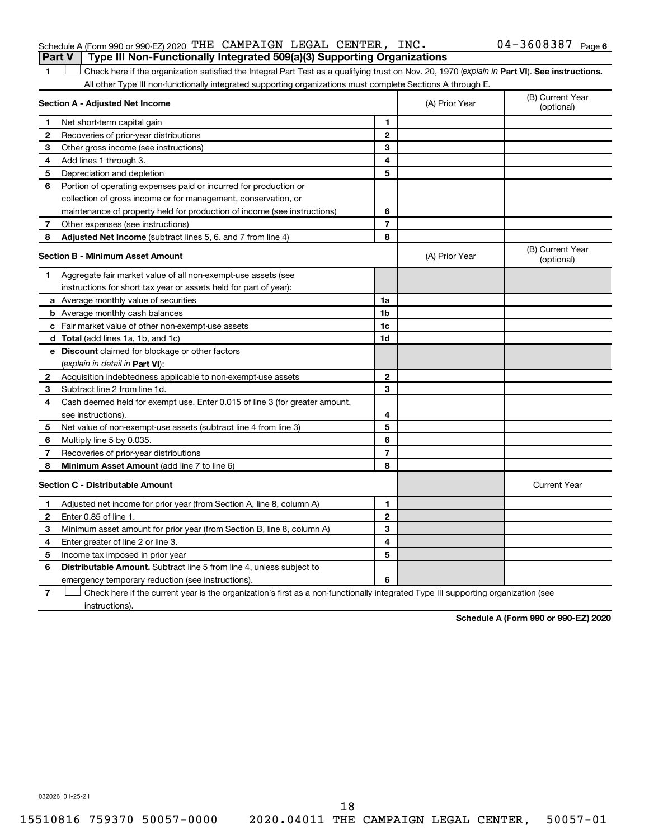#### Schedule A (Form 990 or 990-EZ) 2020 Page THE CAMPAIGN LEGAL CENTER, INC. 04-3608387 **Part V Type III Non-Functionally Integrated 509(a)(3) Supporting Organizations**

#### 04-3608387 Page 6

1 **Letter See instructions.** Check here if the organization satisfied the Integral Part Test as a qualifying trust on Nov. 20, 1970 (*explain in* Part **VI**). See instructions. All other Type III non-functionally integrated supporting organizations must complete Sections A through E.

|              | Section A - Adjusted Net Income                                             | (A) Prior Year | (B) Current Year<br>(optional) |                                |
|--------------|-----------------------------------------------------------------------------|----------------|--------------------------------|--------------------------------|
| 1            | Net short-term capital gain                                                 | 1              |                                |                                |
| $\mathbf{2}$ | Recoveries of prior-year distributions                                      | $\mathbf{2}$   |                                |                                |
| 3            | Other gross income (see instructions)                                       | 3              |                                |                                |
| 4            | Add lines 1 through 3.                                                      | 4              |                                |                                |
| 5            | Depreciation and depletion                                                  | 5              |                                |                                |
| 6            | Portion of operating expenses paid or incurred for production or            |                |                                |                                |
|              | collection of gross income or for management, conservation, or              |                |                                |                                |
|              | maintenance of property held for production of income (see instructions)    | 6              |                                |                                |
| 7            | Other expenses (see instructions)                                           | $\overline{7}$ |                                |                                |
| 8            | Adjusted Net Income (subtract lines 5, 6, and 7 from line 4)                | 8              |                                |                                |
|              | <b>Section B - Minimum Asset Amount</b>                                     |                | (A) Prior Year                 | (B) Current Year<br>(optional) |
| 1.           | Aggregate fair market value of all non-exempt-use assets (see               |                |                                |                                |
|              | instructions for short tax year or assets held for part of year):           |                |                                |                                |
|              | a Average monthly value of securities                                       | 1a             |                                |                                |
|              | <b>b</b> Average monthly cash balances                                      | 1b             |                                |                                |
|              | c Fair market value of other non-exempt-use assets                          | 1c             |                                |                                |
|              | d Total (add lines 1a, 1b, and 1c)                                          | 1d             |                                |                                |
|              | e Discount claimed for blockage or other factors                            |                |                                |                                |
|              | (explain in detail in <b>Part VI</b> ):                                     |                |                                |                                |
| $\mathbf{2}$ | Acquisition indebtedness applicable to non-exempt-use assets                | $\mathbf{2}$   |                                |                                |
| 3            | Subtract line 2 from line 1d.                                               | 3              |                                |                                |
| 4            | Cash deemed held for exempt use. Enter 0.015 of line 3 (for greater amount, |                |                                |                                |
|              | see instructions).                                                          | 4              |                                |                                |
| 5            | Net value of non-exempt-use assets (subtract line 4 from line 3)            | 5              |                                |                                |
| 6            | Multiply line 5 by 0.035.                                                   | 6              |                                |                                |
| 7            | Recoveries of prior-year distributions                                      | $\overline{7}$ |                                |                                |
| 8            | <b>Minimum Asset Amount (add line 7 to line 6)</b>                          | 8              |                                |                                |
|              | <b>Section C - Distributable Amount</b>                                     |                |                                | <b>Current Year</b>            |
| 1            | Adjusted net income for prior year (from Section A, line 8, column A)       | 1              |                                |                                |
| $\mathbf{2}$ | Enter 0.85 of line 1.                                                       | $\mathbf{2}$   |                                |                                |
| 3            | Minimum asset amount for prior year (from Section B, line 8, column A)      | 3              |                                |                                |
| 4            | Enter greater of line 2 or line 3.                                          | 4              |                                |                                |
| 5            | Income tax imposed in prior year                                            | 5              |                                |                                |
| 6            | Distributable Amount. Subtract line 5 from line 4, unless subject to        |                |                                |                                |
|              | emergency temporary reduction (see instructions).                           | 6              |                                |                                |
|              |                                                                             |                |                                |                                |

**7** Check here if the current year is the organization's first as a non-functionally integrated Type III supporting organization (see † instructions).

**Schedule A (Form 990 or 990-EZ) 2020**

032026 01-25-21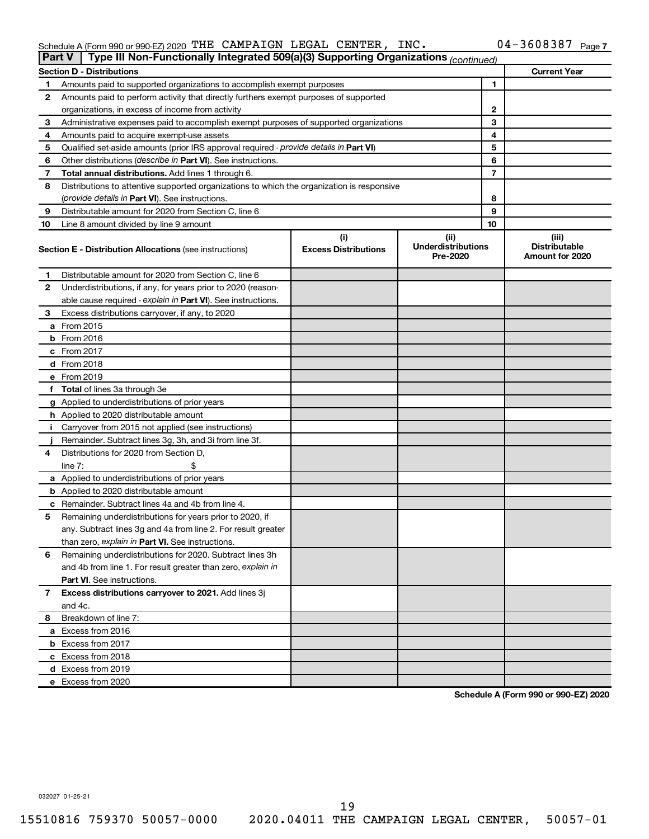#### Schedule A (Form 990 or 990-EZ) 2020 THE CAMPAIGN LEGAL CENTER, INC.  $04-3608387$  Page THE CAMPAIGN LEGAL CENTER, INC. 04-3608387

|    | Type III Non-Functionally Integrated 509(a)(3) Supporting Organizations (continued)<br><b>Part V</b> |                             |                                       |    |                                         |  |  |  |
|----|------------------------------------------------------------------------------------------------------|-----------------------------|---------------------------------------|----|-----------------------------------------|--|--|--|
|    | <b>Section D - Distributions</b>                                                                     |                             |                                       |    | <b>Current Year</b>                     |  |  |  |
| 1  | Amounts paid to supported organizations to accomplish exempt purposes                                |                             |                                       | 1  |                                         |  |  |  |
| 2  | Amounts paid to perform activity that directly furthers exempt purposes of supported                 |                             |                                       |    |                                         |  |  |  |
|    | organizations, in excess of income from activity                                                     |                             |                                       | 2  |                                         |  |  |  |
| 3  | Administrative expenses paid to accomplish exempt purposes of supported organizations                |                             |                                       | 3  |                                         |  |  |  |
| 4  | Amounts paid to acquire exempt-use assets                                                            |                             |                                       | 4  |                                         |  |  |  |
| 5  | Qualified set-aside amounts (prior IRS approval required - provide details in Part VI)               |                             |                                       | 5  |                                         |  |  |  |
| 6  | Other distributions ( <i>describe in Part VI</i> ). See instructions.                                |                             |                                       | 6  |                                         |  |  |  |
| 7  | Total annual distributions. Add lines 1 through 6.                                                   |                             |                                       | 7  |                                         |  |  |  |
| 8  | Distributions to attentive supported organizations to which the organization is responsive           |                             |                                       |    |                                         |  |  |  |
|    | (provide details in Part VI). See instructions.                                                      |                             |                                       | 8  |                                         |  |  |  |
| 9  | Distributable amount for 2020 from Section C, line 6                                                 |                             | 9                                     |    |                                         |  |  |  |
| 10 | Line 8 amount divided by line 9 amount                                                               |                             |                                       | 10 |                                         |  |  |  |
|    |                                                                                                      | (i)                         | (ii)                                  |    | (iii)                                   |  |  |  |
|    | <b>Section E - Distribution Allocations (see instructions)</b>                                       | <b>Excess Distributions</b> | <b>Underdistributions</b><br>Pre-2020 |    | <b>Distributable</b><br>Amount for 2020 |  |  |  |
| 1  | Distributable amount for 2020 from Section C, line 6                                                 |                             |                                       |    |                                         |  |  |  |
| 2  | Underdistributions, if any, for years prior to 2020 (reason-                                         |                             |                                       |    |                                         |  |  |  |
|    | able cause required - explain in Part VI). See instructions.                                         |                             |                                       |    |                                         |  |  |  |
| 3  | Excess distributions carryover, if any, to 2020                                                      |                             |                                       |    |                                         |  |  |  |
|    | a From 2015                                                                                          |                             |                                       |    |                                         |  |  |  |
|    | $b$ From 2016                                                                                        |                             |                                       |    |                                         |  |  |  |
|    | c From 2017                                                                                          |                             |                                       |    |                                         |  |  |  |
|    | <b>d</b> From 2018                                                                                   |                             |                                       |    |                                         |  |  |  |
|    | e From 2019                                                                                          |                             |                                       |    |                                         |  |  |  |
|    | f Total of lines 3a through 3e                                                                       |                             |                                       |    |                                         |  |  |  |
|    | g Applied to underdistributions of prior years                                                       |                             |                                       |    |                                         |  |  |  |
|    | <b>h</b> Applied to 2020 distributable amount                                                        |                             |                                       |    |                                         |  |  |  |
| Ť. | Carryover from 2015 not applied (see instructions)                                                   |                             |                                       |    |                                         |  |  |  |
|    | Remainder. Subtract lines 3g, 3h, and 3i from line 3f.                                               |                             |                                       |    |                                         |  |  |  |
| 4  | Distributions for 2020 from Section D,                                                               |                             |                                       |    |                                         |  |  |  |
|    | line 7:                                                                                              |                             |                                       |    |                                         |  |  |  |
|    | a Applied to underdistributions of prior years                                                       |                             |                                       |    |                                         |  |  |  |
|    | <b>b</b> Applied to 2020 distributable amount                                                        |                             |                                       |    |                                         |  |  |  |
|    | c Remainder. Subtract lines 4a and 4b from line 4.                                                   |                             |                                       |    |                                         |  |  |  |
| 5  | Remaining underdistributions for years prior to 2020, if                                             |                             |                                       |    |                                         |  |  |  |
|    | any. Subtract lines 3g and 4a from line 2. For result greater                                        |                             |                                       |    |                                         |  |  |  |
|    | than zero, explain in Part VI. See instructions.                                                     |                             |                                       |    |                                         |  |  |  |
| 6  | Remaining underdistributions for 2020. Subtract lines 3h                                             |                             |                                       |    |                                         |  |  |  |
|    | and 4b from line 1. For result greater than zero, explain in                                         |                             |                                       |    |                                         |  |  |  |
|    | <b>Part VI.</b> See instructions.                                                                    |                             |                                       |    |                                         |  |  |  |
| 7  | Excess distributions carryover to 2021. Add lines 3j                                                 |                             |                                       |    |                                         |  |  |  |
|    | and 4c.                                                                                              |                             |                                       |    |                                         |  |  |  |
| 8  | Breakdown of line 7:                                                                                 |                             |                                       |    |                                         |  |  |  |
|    | a Excess from 2016                                                                                   |                             |                                       |    |                                         |  |  |  |
|    | <b>b</b> Excess from 2017                                                                            |                             |                                       |    |                                         |  |  |  |
|    | c Excess from 2018                                                                                   |                             |                                       |    |                                         |  |  |  |
|    |                                                                                                      |                             |                                       |    |                                         |  |  |  |
|    | d Excess from 2019<br>e Excess from 2020                                                             |                             |                                       |    |                                         |  |  |  |
|    |                                                                                                      |                             |                                       |    |                                         |  |  |  |

**Schedule A (Form 990 or 990-EZ) 2020**

032027 01-25-21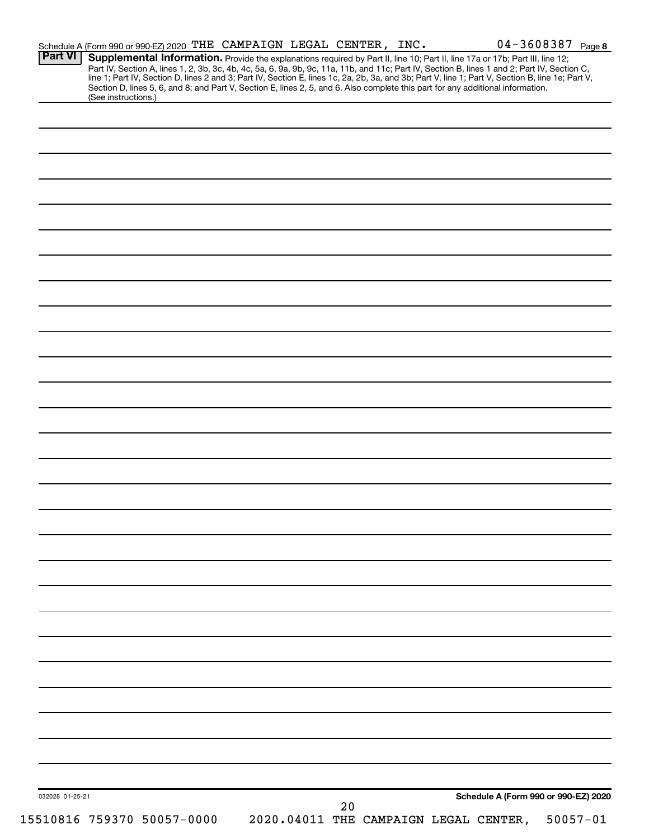| <b>Part VI</b>  | Supplemental Information. Provide the explanations required by Part II, line 10; Part II, line 17a or 17b; Part III, line 12;<br>Part IV, Section A, lines 1, 2, 3b, 3c, 4b, 4c, 5a, 6, 9a, 9b, 9c, 11a, 11b, and 11c; Part IV, Section B, lines 1 and 2; Part IV, Section C,<br>line 1; Part IV, Section D, lines 2 and 3; Part IV, Section E, lines 1c, 2a, 2b, 3a, and 3b; Part V, line 1; Part V, Section B, line 1e; Part V,<br>Section D, lines 5, 6, and 8; and Part V, Section E, lines 2, 5, and 6. Also complete this part for any additional information.<br>(See instructions.) |  |  |    |  |                                      |  |
|-----------------|---------------------------------------------------------------------------------------------------------------------------------------------------------------------------------------------------------------------------------------------------------------------------------------------------------------------------------------------------------------------------------------------------------------------------------------------------------------------------------------------------------------------------------------------------------------------------------------------|--|--|----|--|--------------------------------------|--|
|                 |                                                                                                                                                                                                                                                                                                                                                                                                                                                                                                                                                                                             |  |  |    |  |                                      |  |
|                 |                                                                                                                                                                                                                                                                                                                                                                                                                                                                                                                                                                                             |  |  |    |  |                                      |  |
|                 |                                                                                                                                                                                                                                                                                                                                                                                                                                                                                                                                                                                             |  |  |    |  |                                      |  |
|                 |                                                                                                                                                                                                                                                                                                                                                                                                                                                                                                                                                                                             |  |  |    |  |                                      |  |
|                 |                                                                                                                                                                                                                                                                                                                                                                                                                                                                                                                                                                                             |  |  |    |  |                                      |  |
|                 |                                                                                                                                                                                                                                                                                                                                                                                                                                                                                                                                                                                             |  |  |    |  |                                      |  |
|                 |                                                                                                                                                                                                                                                                                                                                                                                                                                                                                                                                                                                             |  |  |    |  |                                      |  |
|                 |                                                                                                                                                                                                                                                                                                                                                                                                                                                                                                                                                                                             |  |  |    |  |                                      |  |
|                 |                                                                                                                                                                                                                                                                                                                                                                                                                                                                                                                                                                                             |  |  |    |  |                                      |  |
|                 |                                                                                                                                                                                                                                                                                                                                                                                                                                                                                                                                                                                             |  |  |    |  |                                      |  |
|                 |                                                                                                                                                                                                                                                                                                                                                                                                                                                                                                                                                                                             |  |  |    |  |                                      |  |
|                 |                                                                                                                                                                                                                                                                                                                                                                                                                                                                                                                                                                                             |  |  |    |  |                                      |  |
|                 |                                                                                                                                                                                                                                                                                                                                                                                                                                                                                                                                                                                             |  |  |    |  |                                      |  |
|                 |                                                                                                                                                                                                                                                                                                                                                                                                                                                                                                                                                                                             |  |  |    |  |                                      |  |
|                 |                                                                                                                                                                                                                                                                                                                                                                                                                                                                                                                                                                                             |  |  |    |  |                                      |  |
|                 |                                                                                                                                                                                                                                                                                                                                                                                                                                                                                                                                                                                             |  |  |    |  |                                      |  |
|                 |                                                                                                                                                                                                                                                                                                                                                                                                                                                                                                                                                                                             |  |  |    |  |                                      |  |
|                 |                                                                                                                                                                                                                                                                                                                                                                                                                                                                                                                                                                                             |  |  |    |  |                                      |  |
|                 |                                                                                                                                                                                                                                                                                                                                                                                                                                                                                                                                                                                             |  |  |    |  |                                      |  |
|                 |                                                                                                                                                                                                                                                                                                                                                                                                                                                                                                                                                                                             |  |  |    |  |                                      |  |
|                 |                                                                                                                                                                                                                                                                                                                                                                                                                                                                                                                                                                                             |  |  |    |  |                                      |  |
|                 |                                                                                                                                                                                                                                                                                                                                                                                                                                                                                                                                                                                             |  |  |    |  |                                      |  |
|                 |                                                                                                                                                                                                                                                                                                                                                                                                                                                                                                                                                                                             |  |  |    |  |                                      |  |
|                 |                                                                                                                                                                                                                                                                                                                                                                                                                                                                                                                                                                                             |  |  |    |  |                                      |  |
|                 |                                                                                                                                                                                                                                                                                                                                                                                                                                                                                                                                                                                             |  |  |    |  |                                      |  |
|                 |                                                                                                                                                                                                                                                                                                                                                                                                                                                                                                                                                                                             |  |  |    |  |                                      |  |
|                 |                                                                                                                                                                                                                                                                                                                                                                                                                                                                                                                                                                                             |  |  |    |  |                                      |  |
|                 |                                                                                                                                                                                                                                                                                                                                                                                                                                                                                                                                                                                             |  |  |    |  |                                      |  |
|                 |                                                                                                                                                                                                                                                                                                                                                                                                                                                                                                                                                                                             |  |  |    |  |                                      |  |
|                 |                                                                                                                                                                                                                                                                                                                                                                                                                                                                                                                                                                                             |  |  |    |  |                                      |  |
|                 |                                                                                                                                                                                                                                                                                                                                                                                                                                                                                                                                                                                             |  |  |    |  |                                      |  |
|                 |                                                                                                                                                                                                                                                                                                                                                                                                                                                                                                                                                                                             |  |  |    |  |                                      |  |
|                 |                                                                                                                                                                                                                                                                                                                                                                                                                                                                                                                                                                                             |  |  |    |  |                                      |  |
|                 |                                                                                                                                                                                                                                                                                                                                                                                                                                                                                                                                                                                             |  |  |    |  |                                      |  |
|                 |                                                                                                                                                                                                                                                                                                                                                                                                                                                                                                                                                                                             |  |  |    |  |                                      |  |
|                 |                                                                                                                                                                                                                                                                                                                                                                                                                                                                                                                                                                                             |  |  |    |  |                                      |  |
|                 |                                                                                                                                                                                                                                                                                                                                                                                                                                                                                                                                                                                             |  |  |    |  |                                      |  |
|                 |                                                                                                                                                                                                                                                                                                                                                                                                                                                                                                                                                                                             |  |  |    |  |                                      |  |
|                 |                                                                                                                                                                                                                                                                                                                                                                                                                                                                                                                                                                                             |  |  |    |  |                                      |  |
|                 |                                                                                                                                                                                                                                                                                                                                                                                                                                                                                                                                                                                             |  |  |    |  |                                      |  |
|                 |                                                                                                                                                                                                                                                                                                                                                                                                                                                                                                                                                                                             |  |  |    |  |                                      |  |
|                 |                                                                                                                                                                                                                                                                                                                                                                                                                                                                                                                                                                                             |  |  |    |  |                                      |  |
|                 |                                                                                                                                                                                                                                                                                                                                                                                                                                                                                                                                                                                             |  |  |    |  |                                      |  |
|                 |                                                                                                                                                                                                                                                                                                                                                                                                                                                                                                                                                                                             |  |  |    |  |                                      |  |
|                 |                                                                                                                                                                                                                                                                                                                                                                                                                                                                                                                                                                                             |  |  |    |  |                                      |  |
|                 |                                                                                                                                                                                                                                                                                                                                                                                                                                                                                                                                                                                             |  |  |    |  |                                      |  |
|                 |                                                                                                                                                                                                                                                                                                                                                                                                                                                                                                                                                                                             |  |  |    |  |                                      |  |
| 032028 01-25-21 |                                                                                                                                                                                                                                                                                                                                                                                                                                                                                                                                                                                             |  |  | 20 |  | Schedule A (Form 990 or 990-EZ) 2020 |  |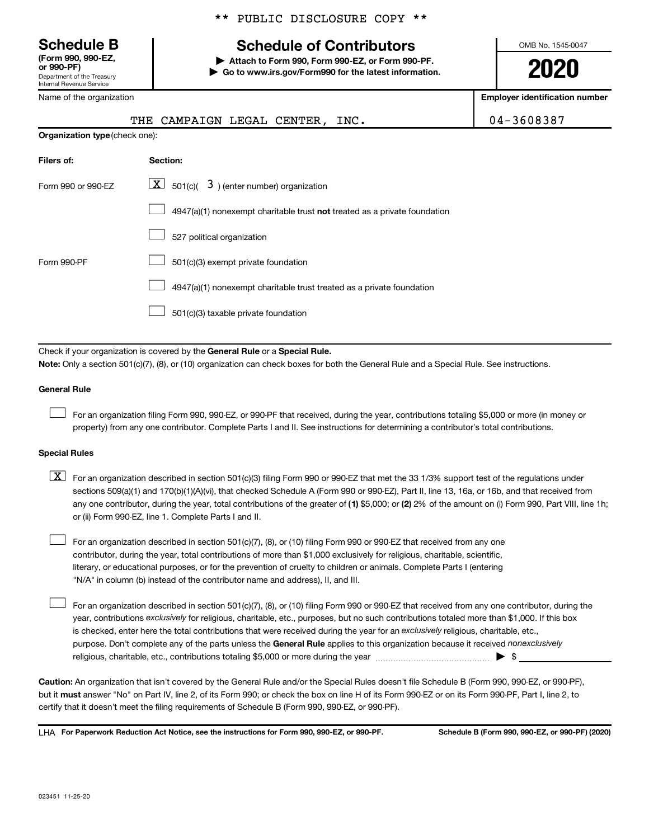**(Form 990, 990-EZ,**

Department of the Treasury Internal Revenue Service

Name of the organization

## **Schedule B Schedule of Contributors**

**or 990-PF) | Attach to Form 990, Form 990-EZ, or Form 990-PF. | Go to www.irs.gov/Form990 for the latest information.** OMB No. 1545-0047

**2020**

**Employer identification number**

| ivallie vi tile vigaliizativii |                                                                                                                                                                                                                                                                                                                                                                                                                                                                                                           | Linpioyer identification number |
|--------------------------------|-----------------------------------------------------------------------------------------------------------------------------------------------------------------------------------------------------------------------------------------------------------------------------------------------------------------------------------------------------------------------------------------------------------------------------------------------------------------------------------------------------------|---------------------------------|
|                                | THE<br>CAMPAIGN LEGAL CENTER,<br>INC.                                                                                                                                                                                                                                                                                                                                                                                                                                                                     | 04-3608387                      |
| Organization type (check one): |                                                                                                                                                                                                                                                                                                                                                                                                                                                                                                           |                                 |
| Filers of:                     | Section:                                                                                                                                                                                                                                                                                                                                                                                                                                                                                                  |                                 |
| Form 990 or 990-EZ             | $\lfloor x \rfloor$<br>501(c)( $3$ ) (enter number) organization                                                                                                                                                                                                                                                                                                                                                                                                                                          |                                 |
|                                | $4947(a)(1)$ nonexempt charitable trust not treated as a private foundation                                                                                                                                                                                                                                                                                                                                                                                                                               |                                 |
|                                | 527 political organization                                                                                                                                                                                                                                                                                                                                                                                                                                                                                |                                 |
| Form 990-PF                    | 501(c)(3) exempt private foundation                                                                                                                                                                                                                                                                                                                                                                                                                                                                       |                                 |
|                                | 4947(a)(1) nonexempt charitable trust treated as a private foundation                                                                                                                                                                                                                                                                                                                                                                                                                                     |                                 |
|                                | 501(c)(3) taxable private foundation                                                                                                                                                                                                                                                                                                                                                                                                                                                                      |                                 |
|                                |                                                                                                                                                                                                                                                                                                                                                                                                                                                                                                           |                                 |
|                                | Check if your organization is covered by the General Rule or a Special Rule.<br>Note: Only a section 501(c)(7), (8), or (10) organization can check boxes for both the General Rule and a Special Rule. See instructions.                                                                                                                                                                                                                                                                                 |                                 |
|                                |                                                                                                                                                                                                                                                                                                                                                                                                                                                                                                           |                                 |
| General Rule                   |                                                                                                                                                                                                                                                                                                                                                                                                                                                                                                           |                                 |
|                                | For an organization filing Form 990, 990-EZ, or 990-PF that received, during the year, contributions totaling \$5,000 or more (in money or<br>property) from any one contributor. Complete Parts I and II. See instructions for determining a contributor's total contributions.                                                                                                                                                                                                                          |                                 |
| <b>Special Rules</b>           |                                                                                                                                                                                                                                                                                                                                                                                                                                                                                                           |                                 |
| $\lfloor x \rfloor$            | For an organization described in section 501(c)(3) filing Form 990 or 990-EZ that met the 33 1/3% support test of the regulations under<br>sections 509(a)(1) and 170(b)(1)(A)(vi), that checked Schedule A (Form 990 or 990-EZ), Part II, line 13, 16a, or 16b, and that received from<br>any one contributor, during the year, total contributions of the greater of (1) \$5,000; or (2) 2% of the amount on (i) Form 990, Part VIII, line 1h;<br>or (ii) Form 990-EZ, line 1. Complete Parts I and II. |                                 |
|                                | For an organization described in section 501(c)(7), (8), or (10) filing Form 990 or 990-EZ that received from any one<br>contributor, during the year, total contributions of more than \$1,000 exclusively for religious, charitable, scientific,<br>literary, or educational purposes, or for the prevention of cruelty to children or animals. Complete Parts I (entering<br>"N/A" in column (b) instead of the contributor name and address), II, and III.                                            |                                 |
|                                | For an organization described in section 501(c)(7), (8), or (10) filing Form 990 or 990-EZ that received from any one contributor, during the<br>year, contributions exclusively for religious, charitable, etc., purposes, but no such contributions totaled more than \$1,000. If this box                                                                                                                                                                                                              |                                 |

purpose. Don't complete any of the parts unless the General Rule applies to this organization because it received nonexclusively is checked, enter here the total contributions that were received during the year for an exclusively religious, charitable, etc., religious, charitable, etc., contributions totaling \$5,000 or more during the year  $\ldots$  $\ldots$  $\ldots$  $\ldots$  $\ldots$  $\ldots$ 

**Caution:**  An organization that isn't covered by the General Rule and/or the Special Rules doesn't file Schedule B (Form 990, 990-EZ, or 990-PF),  **must** but it answer "No" on Part IV, line 2, of its Form 990; or check the box on line H of its Form 990-EZ or on its Form 990-PF, Part I, line 2, to certify that it doesn't meet the filing requirements of Schedule B (Form 990, 990-EZ, or 990-PF).

**For Paperwork Reduction Act Notice, see the instructions for Form 990, 990-EZ, or 990-PF. Schedule B (Form 990, 990-EZ, or 990-PF) (2020)** LHA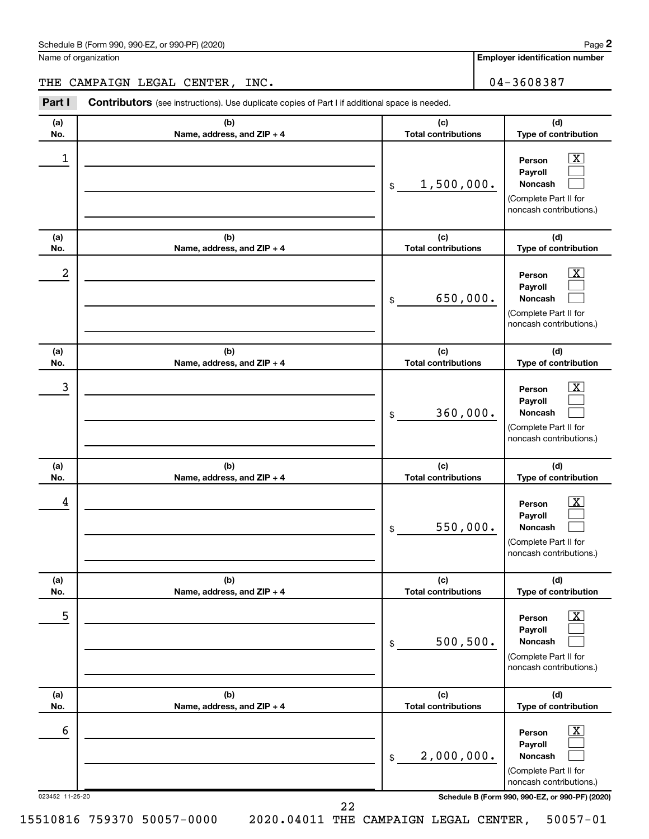| Schedule B (Form 990, 990-EZ, or 990-PF) (2020)<br>. The state of the state $\mathcal{L}$ is the state of the state of the state of the state of the state of the state of the state of the state of the state of the state of the state of the state of the state of the state of th | Page |
|---------------------------------------------------------------------------------------------------------------------------------------------------------------------------------------------------------------------------------------------------------------------------------------|------|
|---------------------------------------------------------------------------------------------------------------------------------------------------------------------------------------------------------------------------------------------------------------------------------------|------|

Name of organization

**Employer identification number**

THE CAMPAIGN LEGAL CENTER, INC. 04-3608387

| Part I          | <b>Contributors</b> (see instructions). Use duplicate copies of Part I if additional space is needed. |                                   |                                                                                                                  |  |  |  |  |  |
|-----------------|-------------------------------------------------------------------------------------------------------|-----------------------------------|------------------------------------------------------------------------------------------------------------------|--|--|--|--|--|
| (a)<br>No.      | (b)<br>Name, address, and ZIP + 4                                                                     | (c)<br><b>Total contributions</b> | (d)<br>Type of contribution                                                                                      |  |  |  |  |  |
| 1               |                                                                                                       | 1,500,000.<br>\$                  | $\mathbf{X}$<br>Person<br>Payroll<br><b>Noncash</b><br>(Complete Part II for<br>noncash contributions.)          |  |  |  |  |  |
| (a)<br>No.      | (b)<br>Name, address, and ZIP + 4                                                                     | (c)<br><b>Total contributions</b> | (d)<br>Type of contribution                                                                                      |  |  |  |  |  |
| 2               |                                                                                                       | 650,000.<br>\$                    | $\mathbf{X}$<br>Person<br>Payroll<br>Noncash<br>(Complete Part II for<br>noncash contributions.)                 |  |  |  |  |  |
| (a)<br>No.      | (b)<br>Name, address, and ZIP + 4                                                                     | (c)<br><b>Total contributions</b> | (d)<br>Type of contribution                                                                                      |  |  |  |  |  |
| 3               |                                                                                                       | 360,000.<br>\$                    | $\overline{\mathbf{X}}$<br>Person<br>Payroll<br>Noncash<br>(Complete Part II for<br>noncash contributions.)      |  |  |  |  |  |
| (a)<br>No.      | (b)<br>Name, address, and ZIP + 4                                                                     | (c)<br><b>Total contributions</b> | (d)<br>Type of contribution                                                                                      |  |  |  |  |  |
| 4               |                                                                                                       | 550,000.<br>\$                    | $\overline{\mathbf{X}}$<br>Person<br>Payroll<br>Noncash<br>(Complete Part II for<br>noncash contributions.)      |  |  |  |  |  |
| (a)<br>No.      | (b)<br>Name, address, and ZIP + 4                                                                     | (c)<br><b>Total contributions</b> | (d)<br>Type of contribution                                                                                      |  |  |  |  |  |
| 5               |                                                                                                       | 500, 500.<br>$\$$                 | $\overline{\text{X}}$<br>Person<br>Payroll<br>Noncash<br>(Complete Part II for<br>noncash contributions.)        |  |  |  |  |  |
| (a)<br>No.      | (b)<br>Name, address, and ZIP + 4                                                                     | (c)<br><b>Total contributions</b> | (d)<br>Type of contribution                                                                                      |  |  |  |  |  |
| 6               |                                                                                                       | 2,000,000.<br>$\$$                | $\overline{\text{X}}$<br>Person<br>Payroll<br><b>Noncash</b><br>(Complete Part II for<br>noncash contributions.) |  |  |  |  |  |
| 023452 11-25-20 |                                                                                                       | っっ                                | Schedule B (Form 990, 990-EZ, or 990-PF) (2020)                                                                  |  |  |  |  |  |

22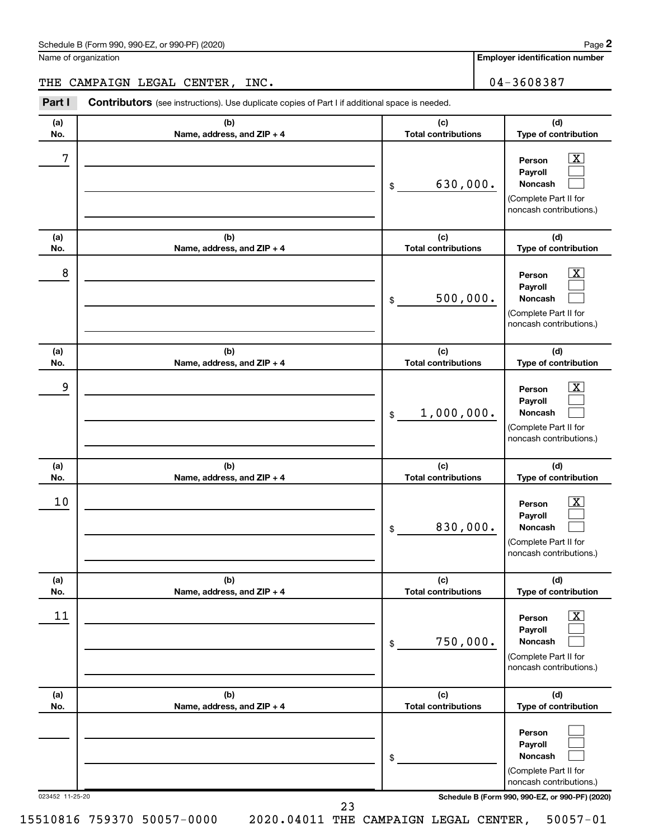| Schedule B (Form 990, 990-EZ, or 990-PF) (2020)<br>. The state of the state $\mathcal{L}$ is the state of the state of the state of the state of the state of the state of the state of the state of the state of the state of the state of the state of the state of the state of th | Page |
|---------------------------------------------------------------------------------------------------------------------------------------------------------------------------------------------------------------------------------------------------------------------------------------|------|
|---------------------------------------------------------------------------------------------------------------------------------------------------------------------------------------------------------------------------------------------------------------------------------------|------|

Name of organization

**Employer identification number**

THE CAMPAIGN LEGAL CENTER, INC.  $\vert$  04-3608387

023452 11-25-20 **Schedule B (Form 990, 990-EZ, or 990-PF) (2020) (a) No. (b) Name, address, and ZIP + 4 (c) Total contributions (d) Type of contribution Person Payroll Noncash (a) No. (b) Name, address, and ZIP + 4 (c) Total contributions (d) Type of contribution Person Payroll Noncash (a) No. (b) Name, address, and ZIP + 4 (c) Total contributions (d) Type of contribution Person Payroll Noncash (a) No. (b) Name, address, and ZIP + 4 (c) Total contributions (d) Type of contribution Person Payroll Noncash (a) No. (b) Name, address, and ZIP + 4 (c) Total contributions (d) Type of contribution Person Payroll Noncash (a) No. (b) Name, address, and ZIP + 4 (c) Total contributions (d) Type of contribution Person Payroll Noncash Part I** Contributors (see instructions). Use duplicate copies of Part I if additional space is needed. \$ (Complete Part II for noncash contributions.) \$ (Complete Part II for noncash contributions.) \$ (Complete Part II for noncash contributions.) \$ (Complete Part II for noncash contributions.) \$ (Complete Part II for noncash contributions.) \$ (Complete Part II for noncash contributions.)  $\boxed{\textbf{X}}$  $\Box$  $\Box$  $\overline{\mathbf{X}}$  $\Box$  $\Box$  $\boxed{\textbf{X}}$  $\Box$  $\Box$  $\boxed{\text{X}}$  $\Box$  $\Box$  $\boxed{\text{X}}$  $\Box$  $\Box$  $\Box$  $\Box$  $\Box$  $7$   $|$  Person  $\overline{\text{X}}$ 630,000.  $8$  Person  $\overline{\text{X}}$ 500,000. 9 X 1,000,000.  $10$  Person  $\overline{\text{X}}$ 830,000.  $\begin{array}{|c|c|c|c|c|}\hline \text{11} & \text{Person} & \text{X} \\\hline \end{array}$ 750,000. 23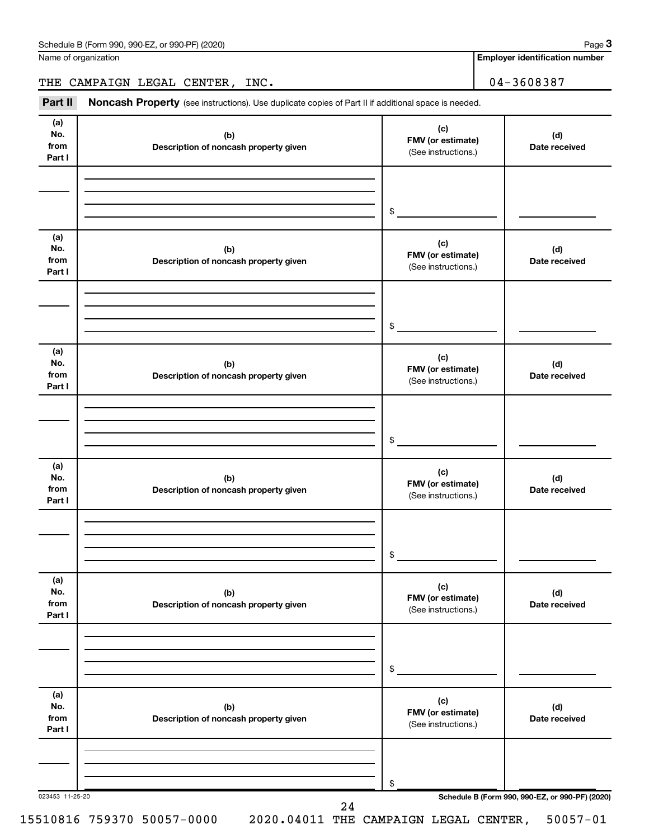Name of organization

**Employer identification number**

THE CAMPAIGN LEGAL CENTER, INC.  $04-3608387$ 

Part II Noncash Property (see instructions). Use duplicate copies of Part II if additional space is needed.

| (a)<br>No.<br>from<br>Part I | (b)<br>Description of noncash property given | (c)<br>FMV (or estimate)<br>(See instructions.) | (d)<br>Date received |
|------------------------------|----------------------------------------------|-------------------------------------------------|----------------------|
|                              |                                              | \$                                              |                      |
| (a)<br>No.<br>from<br>Part I | (b)<br>Description of noncash property given | (c)<br>FMV (or estimate)<br>(See instructions.) | (d)<br>Date received |
|                              |                                              | \$                                              |                      |
| (a)<br>No.<br>from<br>Part I | (b)<br>Description of noncash property given | (c)<br>FMV (or estimate)<br>(See instructions.) | (d)<br>Date received |
|                              |                                              | \$                                              |                      |
| (a)<br>No.<br>from<br>Part I | (b)<br>Description of noncash property given | (c)<br>FMV (or estimate)<br>(See instructions.) | (d)<br>Date received |
|                              |                                              | \$                                              |                      |
| (a)<br>No.<br>from<br>Part I | (b)<br>Description of noncash property given | (c)<br>FMV (or estimate)<br>(See instructions.) | (d)<br>Date received |
|                              |                                              | \$                                              |                      |
| (a)<br>No.<br>from<br>Part I | (b)<br>Description of noncash property given | (c)<br>FMV (or estimate)<br>(See instructions.) | (d)<br>Date received |
|                              |                                              | \$                                              |                      |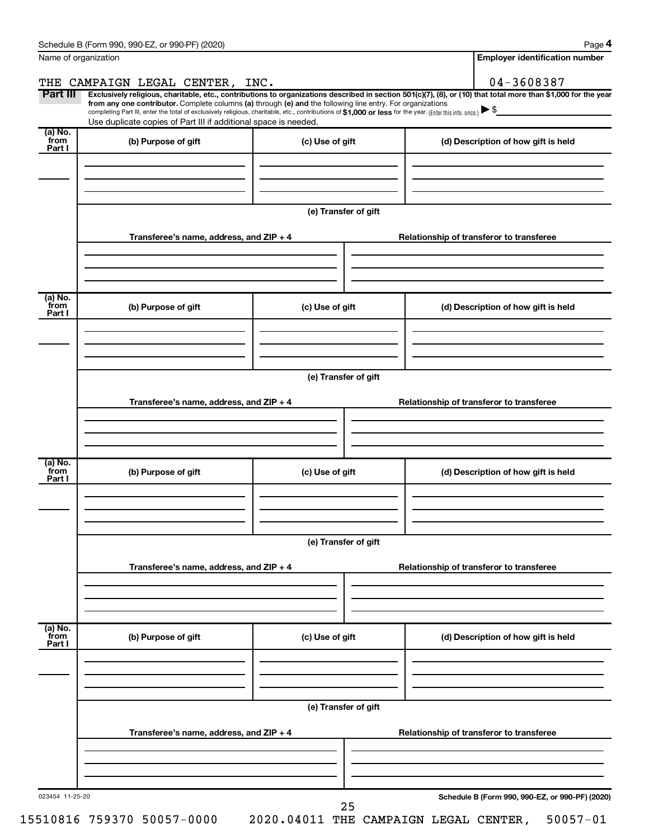| Name of organization      |                                                                                                                                                                                                                                                                                                                                                                                                                                                                                                             |                                             | <b>Employer identification number</b>                           |
|---------------------------|-------------------------------------------------------------------------------------------------------------------------------------------------------------------------------------------------------------------------------------------------------------------------------------------------------------------------------------------------------------------------------------------------------------------------------------------------------------------------------------------------------------|---------------------------------------------|-----------------------------------------------------------------|
|                           | THE CAMPAIGN LEGAL CENTER, INC.                                                                                                                                                                                                                                                                                                                                                                                                                                                                             |                                             | 04-3608387                                                      |
| Part III                  | Exclusively religious, charitable, etc., contributions to organizations described in section 501(c)(7), (8), or (10) that total more than \$1,000 for the year<br>from any one contributor. Complete columns (a) through (e) and the following line entry. For organizations<br>completing Part III, enter the total of exclusively religious, charitable, etc., contributions of \$1,000 or less for the year. (Enter this info. once.)<br>Use duplicate copies of Part III if additional space is needed. |                                             |                                                                 |
| (a) No.<br>from<br>Part I | (b) Purpose of gift                                                                                                                                                                                                                                                                                                                                                                                                                                                                                         | (c) Use of gift                             | (d) Description of how gift is held                             |
|                           |                                                                                                                                                                                                                                                                                                                                                                                                                                                                                                             | (e) Transfer of gift                        |                                                                 |
|                           | Transferee's name, address, and $ZIP + 4$                                                                                                                                                                                                                                                                                                                                                                                                                                                                   |                                             | Relationship of transferor to transferee                        |
| (a) No.<br>from<br>Part I | (b) Purpose of gift                                                                                                                                                                                                                                                                                                                                                                                                                                                                                         | (c) Use of gift                             | (d) Description of how gift is held                             |
|                           |                                                                                                                                                                                                                                                                                                                                                                                                                                                                                                             |                                             |                                                                 |
|                           |                                                                                                                                                                                                                                                                                                                                                                                                                                                                                                             | (e) Transfer of gift                        |                                                                 |
|                           | Transferee's name, address, and $ZIP + 4$                                                                                                                                                                                                                                                                                                                                                                                                                                                                   |                                             | Relationship of transferor to transferee                        |
| (a) No.<br>from<br>Part I | (b) Purpose of gift                                                                                                                                                                                                                                                                                                                                                                                                                                                                                         | (c) Use of gift                             | (d) Description of how gift is held                             |
|                           |                                                                                                                                                                                                                                                                                                                                                                                                                                                                                                             | (e) Transfer of gift                        |                                                                 |
|                           | Transferee's name, address, and ZIP + 4                                                                                                                                                                                                                                                                                                                                                                                                                                                                     |                                             | Relationship of transferor to transferee                        |
| (a) No.<br>from           |                                                                                                                                                                                                                                                                                                                                                                                                                                                                                                             |                                             |                                                                 |
| Part I                    | (b) Purpose of gift                                                                                                                                                                                                                                                                                                                                                                                                                                                                                         | (c) Use of gift                             | (d) Description of how gift is held                             |
|                           |                                                                                                                                                                                                                                                                                                                                                                                                                                                                                                             | (e) Transfer of gift                        |                                                                 |
|                           | Transferee's name, address, and ZIP + 4                                                                                                                                                                                                                                                                                                                                                                                                                                                                     |                                             | Relationship of transferor to transferee                        |
|                           |                                                                                                                                                                                                                                                                                                                                                                                                                                                                                                             |                                             |                                                                 |
| 023454 11-25-20           | 15510816 759370 50057-0000                                                                                                                                                                                                                                                                                                                                                                                                                                                                                  | 25<br>2020.04011 THE CAMPAIGN LEGAL CENTER, | Schedule B (Form 990, 990-EZ, or 990-PF) (2020)<br>$50057 - 01$ |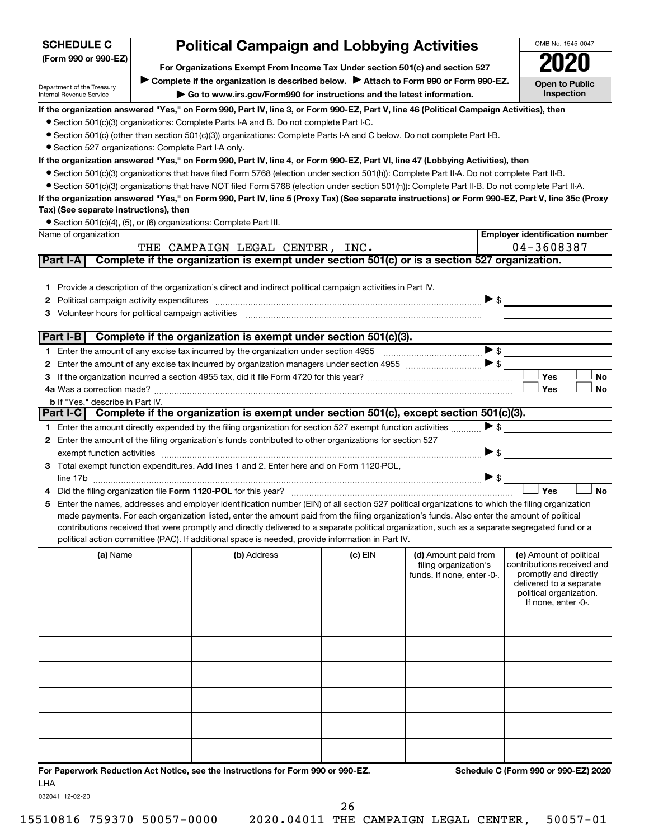| <b>Political Campaign and Lobbying Activities</b><br><b>SCHEDULE C</b> |                                     |                                                                                                                                                  |         |                                               |                          | OMB No. 1545-0047                                     |
|------------------------------------------------------------------------|-------------------------------------|--------------------------------------------------------------------------------------------------------------------------------------------------|---------|-----------------------------------------------|--------------------------|-------------------------------------------------------|
| (Form 990 or 990-EZ)                                                   |                                     |                                                                                                                                                  |         |                                               |                          |                                                       |
|                                                                        |                                     |                                                                                                                                                  |         |                                               |                          |                                                       |
| Department of the Treasury<br>Internal Revenue Service                 | <b>Open to Public</b><br>Inspection |                                                                                                                                                  |         |                                               |                          |                                                       |
|                                                                        |                                     | If the organization answered "Yes," on Form 990, Part IV, line 3, or Form 990-EZ, Part V, line 46 (Political Campaign Activities), then          |         |                                               |                          |                                                       |
|                                                                        |                                     | • Section 501(c)(3) organizations: Complete Parts I-A and B. Do not complete Part I-C.                                                           |         |                                               |                          |                                                       |
|                                                                        |                                     | • Section 501(c) (other than section 501(c)(3)) organizations: Complete Parts I-A and C below. Do not complete Part I-B.                         |         |                                               |                          |                                                       |
| • Section 527 organizations: Complete Part I-A only.                   |                                     |                                                                                                                                                  |         |                                               |                          |                                                       |
|                                                                        |                                     | If the organization answered "Yes," on Form 990, Part IV, line 4, or Form 990-EZ, Part VI, line 47 (Lobbying Activities), then                   |         |                                               |                          |                                                       |
|                                                                        |                                     | ● Section 501(c)(3) organizations that have filed Form 5768 (election under section 501(h)): Complete Part II-A. Do not complete Part II-B.      |         |                                               |                          |                                                       |
|                                                                        |                                     | • Section 501(c)(3) organizations that have NOT filed Form 5768 (election under section 501(h)): Complete Part II-B. Do not complete Part II-A.  |         |                                               |                          |                                                       |
|                                                                        |                                     | If the organization answered "Yes," on Form 990, Part IV, line 5 (Proxy Tax) (See separate instructions) or Form 990-EZ, Part V, line 35c (Proxy |         |                                               |                          |                                                       |
| Tax) (See separate instructions), then                                 |                                     |                                                                                                                                                  |         |                                               |                          |                                                       |
|                                                                        |                                     | • Section 501(c)(4), (5), or (6) organizations: Complete Part III.                                                                               |         |                                               |                          |                                                       |
| Name of organization                                                   |                                     |                                                                                                                                                  |         |                                               |                          | <b>Employer identification number</b>                 |
|                                                                        |                                     | THE CAMPAIGN LEGAL CENTER, INC.                                                                                                                  |         |                                               |                          | 04-3608387                                            |
| Part I-A                                                               |                                     | Complete if the organization is exempt under section 501(c) or is a section 527 organization.                                                    |         |                                               |                          |                                                       |
|                                                                        |                                     |                                                                                                                                                  |         |                                               |                          |                                                       |
| 1.                                                                     |                                     | Provide a description of the organization's direct and indirect political campaign activities in Part IV.                                        |         |                                               |                          |                                                       |
| 2                                                                      |                                     |                                                                                                                                                  |         |                                               | $\triangleright$ s       |                                                       |
| Volunteer hours for political campaign activities<br>з                 |                                     |                                                                                                                                                  |         |                                               |                          |                                                       |
| Part $I-B$                                                             |                                     | Complete if the organization is exempt under section 501(c)(3).                                                                                  |         |                                               |                          |                                                       |
|                                                                        |                                     |                                                                                                                                                  |         |                                               | >                        |                                                       |
| 2                                                                      |                                     |                                                                                                                                                  |         |                                               |                          |                                                       |
| з                                                                      |                                     |                                                                                                                                                  |         |                                               |                          | Yes<br><b>No</b>                                      |
|                                                                        |                                     |                                                                                                                                                  |         |                                               |                          | Yes<br>No                                             |
| <b>b</b> If "Yes," describe in Part IV.                                |                                     |                                                                                                                                                  |         |                                               |                          |                                                       |
| Part I-C                                                               |                                     | Complete if the organization is exempt under section 501(c), except section 501(c)(3).                                                           |         |                                               |                          |                                                       |
|                                                                        |                                     | 1 Enter the amount directly expended by the filing organization for section 527 exempt function activities                                       |         |                                               | $\triangleright$ s       |                                                       |
| 2                                                                      |                                     | Enter the amount of the filing organization's funds contributed to other organizations for section 527                                           |         |                                               |                          |                                                       |
|                                                                        |                                     |                                                                                                                                                  |         |                                               | $\blacktriangleright$ \$ |                                                       |
|                                                                        |                                     | 3 Total exempt function expenditures. Add lines 1 and 2. Enter here and on Form 1120-POL,                                                        |         |                                               |                          |                                                       |
|                                                                        |                                     |                                                                                                                                                  |         |                                               | $\triangleright$ \$      |                                                       |
| 4                                                                      |                                     | Did the filing organization file Form 1120-POL for this year?                                                                                    |         |                                               |                          | <b>No</b><br>Yes                                      |
| 5                                                                      |                                     | Enter the names, addresses and employer identification number (EIN) of all section 527 political organizations to which the filing organization  |         |                                               |                          |                                                       |
|                                                                        |                                     | made payments. For each organization listed, enter the amount paid from the filing organization's funds. Also enter the amount of political      |         |                                               |                          |                                                       |
|                                                                        |                                     | contributions received that were promptly and directly delivered to a separate political organization, such as a separate segregated fund or a   |         |                                               |                          |                                                       |
|                                                                        |                                     | political action committee (PAC). If additional space is needed, provide information in Part IV.                                                 |         |                                               |                          |                                                       |
| (a) Name                                                               |                                     | (b) Address                                                                                                                                      | (c) EIN | (d) Amount paid from<br>filing organization's |                          | (e) Amount of political<br>contributions received and |
|                                                                        |                                     |                                                                                                                                                  |         | funds. If none, enter -0-.                    |                          | promptly and directly                                 |
|                                                                        |                                     |                                                                                                                                                  |         |                                               |                          | delivered to a separate<br>political organization.    |
|                                                                        |                                     |                                                                                                                                                  |         |                                               |                          | If none, enter -0-.                                   |
|                                                                        |                                     |                                                                                                                                                  |         |                                               |                          |                                                       |
|                                                                        |                                     |                                                                                                                                                  |         |                                               |                          |                                                       |
|                                                                        |                                     |                                                                                                                                                  |         |                                               |                          |                                                       |
|                                                                        |                                     |                                                                                                                                                  |         |                                               |                          |                                                       |
|                                                                        |                                     |                                                                                                                                                  |         |                                               |                          |                                                       |
|                                                                        |                                     |                                                                                                                                                  |         |                                               |                          |                                                       |
|                                                                        |                                     |                                                                                                                                                  |         |                                               |                          |                                                       |
|                                                                        |                                     |                                                                                                                                                  |         |                                               |                          |                                                       |
|                                                                        |                                     |                                                                                                                                                  |         |                                               |                          |                                                       |
|                                                                        |                                     |                                                                                                                                                  |         |                                               |                          |                                                       |

**For Paperwork Reduction Act Notice, see the Instructions for Form 990 or 990-EZ. Schedule C (Form 990 or 990-EZ) 2020** LHA

032041 12-02-20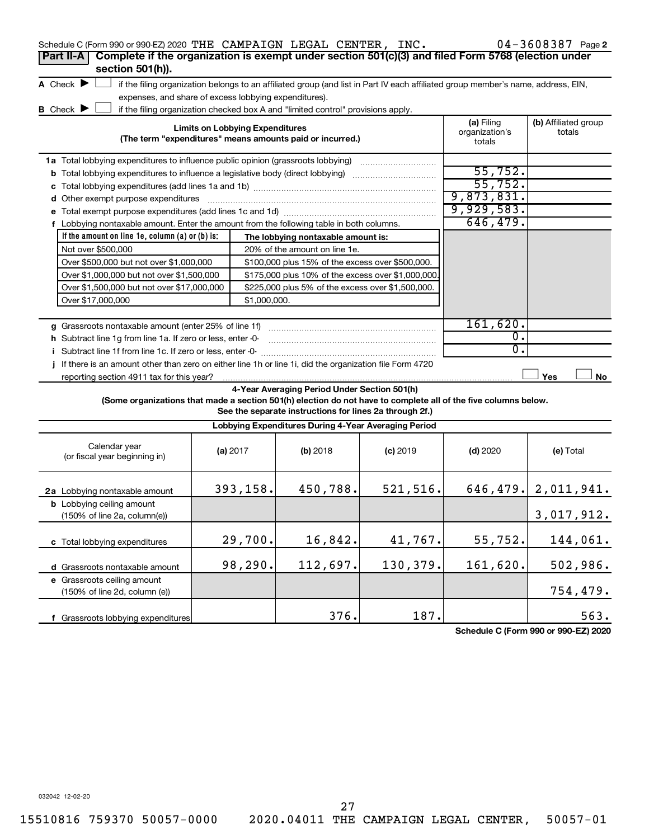| Schedule C (Form 990 or 990-EZ) 2020 THE CAMPAIGN LEGAL CENTER, INC.                                            |                                        |              |                                                                                                                                   |            |                                        | 04-3608387 Page 2              |
|-----------------------------------------------------------------------------------------------------------------|----------------------------------------|--------------|-----------------------------------------------------------------------------------------------------------------------------------|------------|----------------------------------------|--------------------------------|
| Complete if the organization is exempt under section 501(c)(3) and filed Form 5768 (election under<br>Part II-A |                                        |              |                                                                                                                                   |            |                                        |                                |
| section 501(h)).                                                                                                |                                        |              |                                                                                                                                   |            |                                        |                                |
| A Check $\blacktriangleright$                                                                                   |                                        |              | if the filing organization belongs to an affiliated group (and list in Part IV each affiliated group member's name, address, EIN, |            |                                        |                                |
| expenses, and share of excess lobbying expenditures).                                                           |                                        |              |                                                                                                                                   |            |                                        |                                |
| <b>B</b> Check $\blacktriangleright$                                                                            |                                        |              | if the filing organization checked box A and "limited control" provisions apply.                                                  |            |                                        |                                |
|                                                                                                                 | <b>Limits on Lobbying Expenditures</b> |              | (The term "expenditures" means amounts paid or incurred.)                                                                         |            | (a) Filing<br>organization's<br>totals | (b) Affiliated group<br>totals |
| 1a Total lobbying expenditures to influence public opinion (grassroots lobbying)                                |                                        |              |                                                                                                                                   |            |                                        |                                |
| <b>b</b> Total lobbying expenditures to influence a legislative body (direct lobbying)                          |                                        |              |                                                                                                                                   |            | 55,752.                                |                                |
|                                                                                                                 |                                        |              |                                                                                                                                   |            | 55,752.                                |                                |
| d Other exempt purpose expenditures                                                                             |                                        |              |                                                                                                                                   |            | 9,873,831.                             |                                |
|                                                                                                                 |                                        |              |                                                                                                                                   |            | 9,929,583.                             |                                |
| f Lobbying nontaxable amount. Enter the amount from the following table in both columns.                        |                                        |              |                                                                                                                                   |            | 646, 479.                              |                                |
| If the amount on line 1e, column $(a)$ or $(b)$ is:                                                             |                                        |              | The lobbying nontaxable amount is:                                                                                                |            |                                        |                                |
| Not over \$500,000                                                                                              |                                        |              | 20% of the amount on line 1e.                                                                                                     |            |                                        |                                |
| Over \$500,000 but not over \$1,000,000                                                                         |                                        |              | \$100,000 plus 15% of the excess over \$500,000.                                                                                  |            |                                        |                                |
| Over \$1,000,000 but not over \$1,500,000                                                                       |                                        |              | \$175,000 plus 10% of the excess over \$1,000,000                                                                                 |            |                                        |                                |
| Over \$1,500,000 but not over \$17,000,000                                                                      |                                        |              | \$225,000 plus 5% of the excess over \$1,500,000.                                                                                 |            |                                        |                                |
| Over \$17,000,000                                                                                               |                                        | \$1,000,000. |                                                                                                                                   |            |                                        |                                |
|                                                                                                                 |                                        |              |                                                                                                                                   |            |                                        |                                |
| g Grassroots nontaxable amount (enter 25% of line 1f)                                                           |                                        |              |                                                                                                                                   |            | 161,620.                               |                                |
| h Subtract line 1g from line 1a. If zero or less, enter -0-                                                     |                                        |              |                                                                                                                                   |            | $\overline{0}$ .                       |                                |
| i Subtract line 1f from line 1c. If zero or less, enter -0-                                                     |                                        |              |                                                                                                                                   |            | 0.                                     |                                |
| If there is an amount other than zero on either line 1h or line 1i, did the organization file Form 4720<br>Ť    |                                        |              |                                                                                                                                   |            |                                        |                                |
| reporting section 4911 tax for this year?                                                                       |                                        |              |                                                                                                                                   |            |                                        | Yes<br>No                      |
|                                                                                                                 |                                        |              | 4-Year Averaging Period Under Section 501(h)                                                                                      |            |                                        |                                |
| (Some organizations that made a section 501(h) election do not have to complete all of the five columns below.  |                                        |              | See the separate instructions for lines 2a through 2f.)                                                                           |            |                                        |                                |
|                                                                                                                 |                                        |              | Lobbying Expenditures During 4-Year Averaging Period                                                                              |            |                                        |                                |
| Calendar year<br>(or fiscal year beginning in)                                                                  | (a) 2017                               |              | (b) 2018                                                                                                                          | $(c)$ 2019 | $(d)$ 2020                             | (e) Total                      |
| 2a Lobbying nontaxable amount                                                                                   | 393,158.                               |              | 450,788.                                                                                                                          | 521, 516.  |                                        | 646, 479. 2, 011, 941.         |
| <b>b</b> Lobbying ceiling amount<br>(150% of line 2a, column(e))                                                |                                        |              |                                                                                                                                   |            |                                        | 3,017,912.                     |
| c Total lobbying expenditures                                                                                   |                                        | 29,700.      | 16,842.                                                                                                                           | 41,767.    | 55,752.                                | 144,061.                       |
| d Grassroots nontaxable amount                                                                                  |                                        | 98,290.      | 112,697.                                                                                                                          | 130,379.   | 161,620.                               | 502,986.                       |
| e Grassroots ceiling amount                                                                                     |                                        |              |                                                                                                                                   |            |                                        |                                |
| (150% of line 2d, column (e))                                                                                   |                                        |              |                                                                                                                                   |            |                                        | 754,479.                       |
| f Grassroots lobbying expenditures                                                                              |                                        |              | 376.                                                                                                                              | 187.       |                                        | 563.                           |
|                                                                                                                 |                                        |              |                                                                                                                                   |            |                                        |                                |

**Schedule C (Form 990 or 990-EZ) 2020**

032042 12-02-20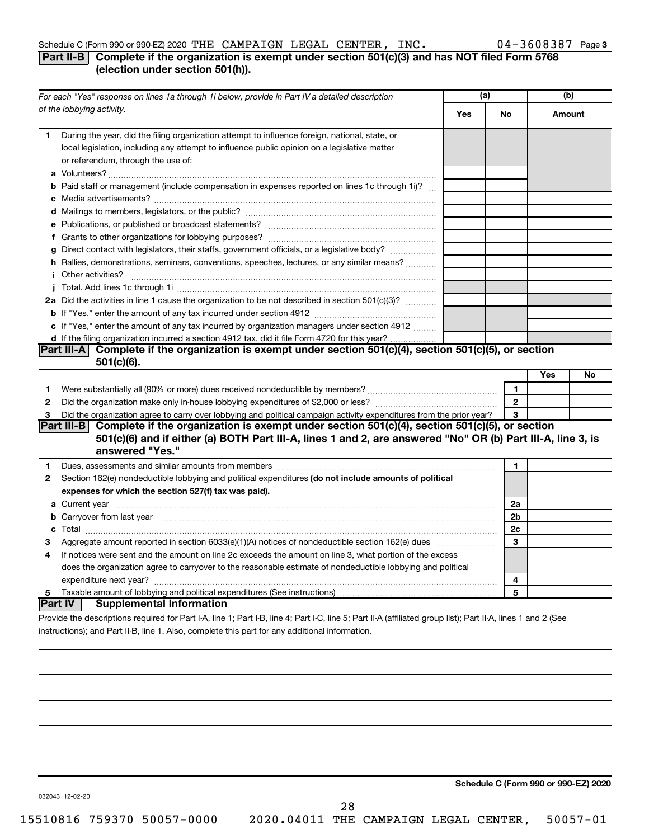#### Schedule C (Form 990 or 990-EZ) 2020 THE CAMPAIGN LEGAL CENTER, INC.  $04-3608387$  Page

#### **Part II-B Complete if the organization is exempt under section 501(c)(3) and has NOT filed Form 5768 (election under section 501(h)).**

|              | For each "Yes" response on lines 1a through 1i below, provide in Part IV a detailed description                                                                                                                                            |     |                | (b) |        |
|--------------|--------------------------------------------------------------------------------------------------------------------------------------------------------------------------------------------------------------------------------------------|-----|----------------|-----|--------|
|              | of the lobbying activity.                                                                                                                                                                                                                  | Yes | No             |     | Amount |
| 1            | During the year, did the filing organization attempt to influence foreign, national, state, or<br>local legislation, including any attempt to influence public opinion on a legislative matter<br>or referendum, through the use of:       |     |                |     |        |
|              | <b>b</b> Paid staff or management (include compensation in expenses reported on lines 1c through 1i)?                                                                                                                                      |     |                |     |        |
|              |                                                                                                                                                                                                                                            |     |                |     |        |
|              |                                                                                                                                                                                                                                            |     |                |     |        |
|              |                                                                                                                                                                                                                                            |     |                |     |        |
|              | g Direct contact with legislators, their staffs, government officials, or a legislative body?                                                                                                                                              |     |                |     |        |
|              | h Rallies, demonstrations, seminars, conventions, speeches, lectures, or any similar means?                                                                                                                                                |     |                |     |        |
|              | <b>i</b> Other activities?                                                                                                                                                                                                                 |     |                |     |        |
|              |                                                                                                                                                                                                                                            |     |                |     |        |
|              | 2a Did the activities in line 1 cause the organization to be not described in section 501(c)(3)?                                                                                                                                           |     |                |     |        |
|              |                                                                                                                                                                                                                                            |     |                |     |        |
|              | c If "Yes," enter the amount of any tax incurred by organization managers under section 4912                                                                                                                                               |     |                |     |        |
|              | d If the filing organization incurred a section 4912 tax, did it file Form 4720 for this year?                                                                                                                                             |     |                |     |        |
|              | Part III-A Complete if the organization is exempt under section $501(c)(4)$ , section $501(c)(5)$ , or section                                                                                                                             |     |                |     |        |
|              | $501(c)(6)$ .                                                                                                                                                                                                                              |     |                |     |        |
|              |                                                                                                                                                                                                                                            |     |                | Yes | No     |
| 1            |                                                                                                                                                                                                                                            |     | 1              |     |        |
| $\mathbf{2}$ |                                                                                                                                                                                                                                            |     | $\overline{2}$ |     |        |
| 3            | Did the organization agree to carry over lobbying and political campaign activity expenditures from the prior year?                                                                                                                        |     | 3              |     |        |
|              | Part III-B Complete if the organization is exempt under section 501(c)(4), section 501(c)(5), or section<br>501(c)(6) and if either (a) BOTH Part III-A, lines 1 and 2, are answered "No" OR (b) Part III-A, line 3, is<br>answered "Yes." |     |                |     |        |
| 1            | Dues, assessments and similar amounts from members [111] Dues, assessments and similar members [11] Dues, assessments and similar amounts from members [11] Dues, assessments and similar amounts from members [11] Dues and S             |     | 1              |     |        |
| 2            | Section 162(e) nondeductible lobbying and political expenditures (do not include amounts of political                                                                                                                                      |     |                |     |        |
|              | expenses for which the section 527(f) tax was paid).                                                                                                                                                                                       |     |                |     |        |
|              |                                                                                                                                                                                                                                            |     | 2a             |     |        |
|              | b Carryover from last year manufactured and contract the contract of the contract of the contract of the contract of contract of contract of contract of contract of contract of contract of contract of contract of contract              |     | 2 <sub>b</sub> |     |        |
|              |                                                                                                                                                                                                                                            |     | 2c             |     |        |
| З            |                                                                                                                                                                                                                                            |     | 3              |     |        |
| 4            | If notices were sent and the amount on line 2c exceeds the amount on line 3, what portion of the excess                                                                                                                                    |     |                |     |        |
|              | does the organization agree to carryover to the reasonable estimate of nondeductible lobbying and political                                                                                                                                |     |                |     |        |
|              |                                                                                                                                                                                                                                            |     | 4              |     |        |
| 5            |                                                                                                                                                                                                                                            |     | 5              |     |        |
|              | ∣Part IV ⊺<br><b>Supplemental Information</b>                                                                                                                                                                                              |     |                |     |        |
|              | Provide the descriptions required for Part I-A, line 1; Part I-B, line 4; Part I-C, line 5; Part II-A (affiliated group list); Part II-A, lines 1 and 2 (See                                                                               |     |                |     |        |

instructions); and Part II-B, line 1. Also, complete this part for any additional information.

**Schedule C (Form 990 or 990-EZ) 2020**

032043 12-02-20

28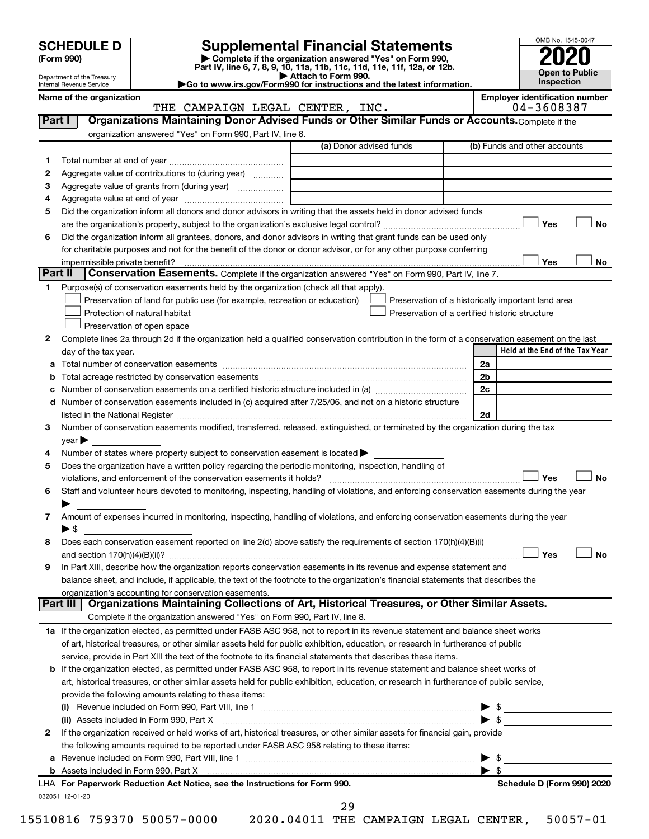| <b>SCHEDULE D</b> |  |  |  |
|-------------------|--|--|--|
|-------------------|--|--|--|

Department of the Treasury Internal Revenue Service

| (Form 990) |  |
|------------|--|
|------------|--|

# **SCHEDULE D Supplemental Financial Statements**<br> **Form 990 2020**<br> **Part IV** line 6.7.8.9.10, 11a, 11b, 11d, 11d, 11d, 11d, 11d, 12a, 0r, 12b

**(Form 990) | Complete if the organization answered "Yes" on Form 990, Part IV, line 6, 7, 8, 9, 10, 11a, 11b, 11c, 11d, 11e, 11f, 12a, or 12b.**

**| Attach to Form 990. |Go to www.irs.gov/Form990 for instructions and the latest information.**



on<br>THE CAMPAIGN LEGAL CENTER, INC.<br>THE CAMPAIGN LEGAL CENTER, INC. THE CAMPAIGN LEGAL CENTER, INC.

| 1  |                                                                                                                                                                                                                                | (a) Donor advised funds                                                                                                             | (b) Funds and other accounts                          |
|----|--------------------------------------------------------------------------------------------------------------------------------------------------------------------------------------------------------------------------------|-------------------------------------------------------------------------------------------------------------------------------------|-------------------------------------------------------|
|    |                                                                                                                                                                                                                                |                                                                                                                                     |                                                       |
| 2  | Aggregate value of contributions to (during year)                                                                                                                                                                              |                                                                                                                                     |                                                       |
| З  |                                                                                                                                                                                                                                |                                                                                                                                     |                                                       |
| 4  |                                                                                                                                                                                                                                |                                                                                                                                     |                                                       |
| 5  | Did the organization inform all donors and donor advisors in writing that the assets held in donor advised funds                                                                                                               |                                                                                                                                     |                                                       |
|    |                                                                                                                                                                                                                                |                                                                                                                                     | Yes                                                   |
| 6  | Did the organization inform all grantees, donors, and donor advisors in writing that grant funds can be used only                                                                                                              |                                                                                                                                     |                                                       |
|    | for charitable purposes and not for the benefit of the donor or donor advisor, or for any other purpose conferring                                                                                                             |                                                                                                                                     |                                                       |
|    |                                                                                                                                                                                                                                |                                                                                                                                     | Yes                                                   |
|    | Part II<br>Conservation Easements. Complete if the organization answered "Yes" on Form 990, Part IV, line 7.                                                                                                                   |                                                                                                                                     |                                                       |
| 1. | Purpose(s) of conservation easements held by the organization (check all that apply).                                                                                                                                          |                                                                                                                                     |                                                       |
|    | Preservation of land for public use (for example, recreation or education)                                                                                                                                                     |                                                                                                                                     | Preservation of a historically important land area    |
|    | Protection of natural habitat                                                                                                                                                                                                  |                                                                                                                                     | Preservation of a certified historic structure        |
|    | Preservation of open space                                                                                                                                                                                                     |                                                                                                                                     |                                                       |
| 2  | Complete lines 2a through 2d if the organization held a qualified conservation contribution in the form of a conservation easement on the last                                                                                 |                                                                                                                                     |                                                       |
|    | day of the tax year.                                                                                                                                                                                                           |                                                                                                                                     | Held at the End of the Tax Year                       |
| а  |                                                                                                                                                                                                                                |                                                                                                                                     | 2a                                                    |
|    | Total acreage restricted by conservation easements [11] matter continuum matter of the stricted by conservation easements [11] matter continuum matter of the stricted by conservation easements [11] matter continuum matter  |                                                                                                                                     | 2 <sub>b</sub>                                        |
|    | Number of conservation easements on a certified historic structure included in (a) manufacture included in (a)                                                                                                                 |                                                                                                                                     | 2 <sub>c</sub>                                        |
| d  | Number of conservation easements included in (c) acquired after 7/25/06, and not on a historic structure                                                                                                                       |                                                                                                                                     |                                                       |
|    | listed in the National Register [111] [12] The National Register [11] Manuscritt, Manuscritt, Manuscritt, Manuscritt, Manuscritt, Manuscritt, Manuscritt, Manuscritt, Manuscritt, Manuscritt, Manuscritt, Manuscritt, Manuscri |                                                                                                                                     | 2d                                                    |
| 3  | Number of conservation easements modified, transferred, released, extinguished, or terminated by the organization during the tax                                                                                               |                                                                                                                                     |                                                       |
|    | $year \blacktriangleright$                                                                                                                                                                                                     |                                                                                                                                     |                                                       |
| 4  | Number of states where property subject to conservation easement is located >                                                                                                                                                  |                                                                                                                                     |                                                       |
| 5  | Does the organization have a written policy regarding the periodic monitoring, inspection, handling of                                                                                                                         |                                                                                                                                     |                                                       |
|    | violations, and enforcement of the conservation easements it holds?                                                                                                                                                            |                                                                                                                                     | Yes                                                   |
| 6  | Staff and volunteer hours devoted to monitoring, inspecting, handling of violations, and enforcing conservation easements during the year                                                                                      |                                                                                                                                     |                                                       |
|    |                                                                                                                                                                                                                                |                                                                                                                                     |                                                       |
| 7  |                                                                                                                                                                                                                                |                                                                                                                                     |                                                       |
|    |                                                                                                                                                                                                                                | Amount of expenses incurred in monitoring, inspecting, handling of violations, and enforcing conservation easements during the year |                                                       |
|    | $\blacktriangleright$ \$                                                                                                                                                                                                       |                                                                                                                                     |                                                       |
| 8  | Does each conservation easement reported on line 2(d) above satisfy the requirements of section 170(h)(4)(B)(i)                                                                                                                |                                                                                                                                     |                                                       |
|    |                                                                                                                                                                                                                                |                                                                                                                                     | Yes                                                   |
| 9  | In Part XIII, describe how the organization reports conservation easements in its revenue and expense statement and                                                                                                            |                                                                                                                                     |                                                       |
|    | balance sheet, and include, if applicable, the text of the footnote to the organization's financial statements that describes the                                                                                              |                                                                                                                                     |                                                       |
|    | organization's accounting for conservation easements.                                                                                                                                                                          |                                                                                                                                     |                                                       |
|    | Organizations Maintaining Collections of Art, Historical Treasures, or Other Similar Assets.<br>Part III                                                                                                                       |                                                                                                                                     |                                                       |
|    | Complete if the organization answered "Yes" on Form 990, Part IV, line 8.                                                                                                                                                      |                                                                                                                                     |                                                       |
|    | 1a If the organization elected, as permitted under FASB ASC 958, not to report in its revenue statement and balance sheet works                                                                                                |                                                                                                                                     |                                                       |
|    | of art, historical treasures, or other similar assets held for public exhibition, education, or research in furtherance of public                                                                                              |                                                                                                                                     |                                                       |
|    | service, provide in Part XIII the text of the footnote to its financial statements that describes these items.                                                                                                                 |                                                                                                                                     |                                                       |
|    | <b>b</b> If the organization elected, as permitted under FASB ASC 958, to report in its revenue statement and balance sheet works of                                                                                           |                                                                                                                                     |                                                       |
|    | art, historical treasures, or other similar assets held for public exhibition, education, or research in furtherance of public service,                                                                                        |                                                                                                                                     |                                                       |
|    | provide the following amounts relating to these items:                                                                                                                                                                         |                                                                                                                                     |                                                       |
|    |                                                                                                                                                                                                                                |                                                                                                                                     |                                                       |
|    | (ii) Assets included in Form 990, Part X                                                                                                                                                                                       |                                                                                                                                     | $\blacktriangleright$ \$                              |
| 2  | If the organization received or held works of art, historical treasures, or other similar assets for financial gain, provide                                                                                                   |                                                                                                                                     |                                                       |
|    | the following amounts required to be reported under FASB ASC 958 relating to these items:                                                                                                                                      |                                                                                                                                     |                                                       |
| а  |                                                                                                                                                                                                                                |                                                                                                                                     | - \$                                                  |
|    | LHA For Paperwork Reduction Act Notice, see the Instructions for Form 990.                                                                                                                                                     |                                                                                                                                     | $\blacktriangleright$ s<br>Schedule D (Form 990) 2020 |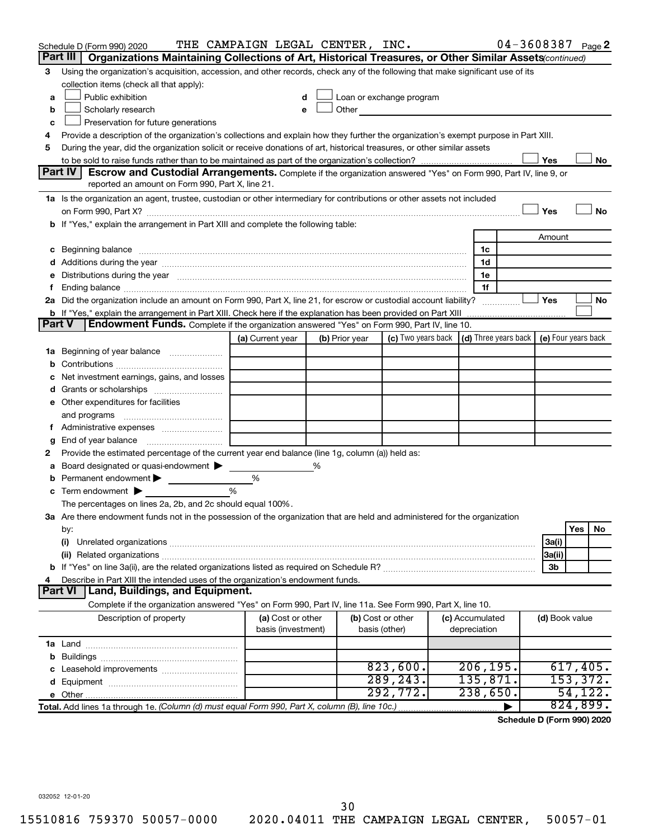| Organizations Maintaining Collections of Art, Historical Treasures, or Other Similar Assets(continued)<br>Using the organization's acquisition, accession, and other records, check any of the following that make significant use of its<br>3<br>collection items (check all that apply):<br>Public exhibition<br>Loan or exchange program<br>a<br>Other and the control of the control of the control of the control of the control of the control of the control of the control of the control of the control of the control of the control of the control of the control of th<br>Scholarly research<br>b<br>e<br>Preservation for future generations<br>с<br>Provide a description of the organization's collections and explain how they further the organization's exempt purpose in Part XIII.<br>4<br>During the year, did the organization solicit or receive donations of art, historical treasures, or other similar assets<br>5<br>Yes<br>No<br>Part IV<br><b>Escrow and Custodial Arrangements.</b> Complete if the organization answered "Yes" on Form 990, Part IV, line 9, or<br>reported an amount on Form 990, Part X, line 21.<br>1a Is the organization an agent, trustee, custodian or other intermediary for contributions or other assets not included<br>Yes<br>No<br>b If "Yes," explain the arrangement in Part XIII and complete the following table:<br>Amount<br>1c<br>1d<br>Distributions during the year manufactured and an account of the year manufactured and the year manufactured and the year manufactured and the year manufactured and the year manufactured and the year manufactured and the y<br>1e<br>е<br>1f<br>f.<br>2a Did the organization include an amount on Form 990, Part X, line 21, for escrow or custodial account liability?<br>Yes<br>No<br><b>Part V</b><br>Endowment Funds. Complete if the organization answered "Yes" on Form 990, Part IV, line 10.<br>(c) Two years back $\vert$ (d) Three years back $\vert$ (e) Four years back<br>(a) Current year<br>(b) Prior year<br>1a Beginning of year balance<br>b<br>Net investment earnings, gains, and losses<br>с<br>Grants or scholarships <i></i><br>d<br>e Other expenditures for facilities<br>and programs<br>f Administrative expenses <i></i><br>End of year balance <i>manually contained</i><br>g<br>Provide the estimated percentage of the current year end balance (line 1g, column (a)) held as:<br>2<br>Board designated or quasi-endowment<br>%<br>а<br>Permanent endowment<br>%<br>b<br>Term endowment $\blacktriangleright$<br>%<br>с<br>The percentages on lines 2a, 2b, and 2c should equal 100%.<br>3a Are there endowment funds not in the possession of the organization that are held and administered for the organization<br>Yes<br>No<br>by:<br>(i)<br>3a(i)<br>3a(ii)<br>3b<br>Describe in Part XIII the intended uses of the organization's endowment funds.<br>4<br>Part VI   Land, Buildings, and Equipment.<br>Complete if the organization answered "Yes" on Form 990, Part IV, line 11a. See Form 990, Part X, line 10.<br>Description of property<br>(a) Cost or other<br>(b) Cost or other<br>(c) Accumulated<br>(d) Book value<br>basis (investment)<br>basis (other)<br>depreciation<br>823,600.<br>206, 195.<br>617,405.<br>289, 243.<br>135,871.<br>153,372.<br>d<br>292,772.<br>238,650.<br>54,122.<br>824,899.<br>Total. Add lines 1a through 1e. (Column (d) must equal Form 990, Part X, column (B), line 10c.) | Schedule D (Form 990) 2020<br>Part III | THE CAMPAIGN LEGAL CENTER, INC. |  |  |  |  |  | 04-3608387 Page 2 |  |  |
|---------------------------------------------------------------------------------------------------------------------------------------------------------------------------------------------------------------------------------------------------------------------------------------------------------------------------------------------------------------------------------------------------------------------------------------------------------------------------------------------------------------------------------------------------------------------------------------------------------------------------------------------------------------------------------------------------------------------------------------------------------------------------------------------------------------------------------------------------------------------------------------------------------------------------------------------------------------------------------------------------------------------------------------------------------------------------------------------------------------------------------------------------------------------------------------------------------------------------------------------------------------------------------------------------------------------------------------------------------------------------------------------------------------------------------------------------------------------------------------------------------------------------------------------------------------------------------------------------------------------------------------------------------------------------------------------------------------------------------------------------------------------------------------------------------------------------------------------------------------------------------------------------------------------------------------------------------------------------------------------------------------------------------------------------------------------------------------------------------------------------------------------------------------------------------------------------------------------------------------------------------------------------------------------------------------------------------------------------------------------------------------------------------------------------------------------------------------------------------------------------------------------------------------------------------------------------------------------------------------------------------------------------------------------------------------------------------------------------------------------------------------------------------------------------------------------------------------------------------------------------------------------------------------------------------------------------------------------------------------------------------------------------------------------------------------------------------------------------------------------------------------------------------------------------------------------------------------------------------------------------------------------------------------------------------------------------------------------------------------------------------------------------------------------------------------------------------------------------|----------------------------------------|---------------------------------|--|--|--|--|--|-------------------|--|--|
|                                                                                                                                                                                                                                                                                                                                                                                                                                                                                                                                                                                                                                                                                                                                                                                                                                                                                                                                                                                                                                                                                                                                                                                                                                                                                                                                                                                                                                                                                                                                                                                                                                                                                                                                                                                                                                                                                                                                                                                                                                                                                                                                                                                                                                                                                                                                                                                                                                                                                                                                                                                                                                                                                                                                                                                                                                                                                                                                                                                                                                                                                                                                                                                                                                                                                                                                                                                                                                                                           |                                        |                                 |  |  |  |  |  |                   |  |  |
|                                                                                                                                                                                                                                                                                                                                                                                                                                                                                                                                                                                                                                                                                                                                                                                                                                                                                                                                                                                                                                                                                                                                                                                                                                                                                                                                                                                                                                                                                                                                                                                                                                                                                                                                                                                                                                                                                                                                                                                                                                                                                                                                                                                                                                                                                                                                                                                                                                                                                                                                                                                                                                                                                                                                                                                                                                                                                                                                                                                                                                                                                                                                                                                                                                                                                                                                                                                                                                                                           |                                        |                                 |  |  |  |  |  |                   |  |  |
|                                                                                                                                                                                                                                                                                                                                                                                                                                                                                                                                                                                                                                                                                                                                                                                                                                                                                                                                                                                                                                                                                                                                                                                                                                                                                                                                                                                                                                                                                                                                                                                                                                                                                                                                                                                                                                                                                                                                                                                                                                                                                                                                                                                                                                                                                                                                                                                                                                                                                                                                                                                                                                                                                                                                                                                                                                                                                                                                                                                                                                                                                                                                                                                                                                                                                                                                                                                                                                                                           |                                        |                                 |  |  |  |  |  |                   |  |  |
|                                                                                                                                                                                                                                                                                                                                                                                                                                                                                                                                                                                                                                                                                                                                                                                                                                                                                                                                                                                                                                                                                                                                                                                                                                                                                                                                                                                                                                                                                                                                                                                                                                                                                                                                                                                                                                                                                                                                                                                                                                                                                                                                                                                                                                                                                                                                                                                                                                                                                                                                                                                                                                                                                                                                                                                                                                                                                                                                                                                                                                                                                                                                                                                                                                                                                                                                                                                                                                                                           |                                        |                                 |  |  |  |  |  |                   |  |  |
|                                                                                                                                                                                                                                                                                                                                                                                                                                                                                                                                                                                                                                                                                                                                                                                                                                                                                                                                                                                                                                                                                                                                                                                                                                                                                                                                                                                                                                                                                                                                                                                                                                                                                                                                                                                                                                                                                                                                                                                                                                                                                                                                                                                                                                                                                                                                                                                                                                                                                                                                                                                                                                                                                                                                                                                                                                                                                                                                                                                                                                                                                                                                                                                                                                                                                                                                                                                                                                                                           |                                        |                                 |  |  |  |  |  |                   |  |  |
|                                                                                                                                                                                                                                                                                                                                                                                                                                                                                                                                                                                                                                                                                                                                                                                                                                                                                                                                                                                                                                                                                                                                                                                                                                                                                                                                                                                                                                                                                                                                                                                                                                                                                                                                                                                                                                                                                                                                                                                                                                                                                                                                                                                                                                                                                                                                                                                                                                                                                                                                                                                                                                                                                                                                                                                                                                                                                                                                                                                                                                                                                                                                                                                                                                                                                                                                                                                                                                                                           |                                        |                                 |  |  |  |  |  |                   |  |  |
|                                                                                                                                                                                                                                                                                                                                                                                                                                                                                                                                                                                                                                                                                                                                                                                                                                                                                                                                                                                                                                                                                                                                                                                                                                                                                                                                                                                                                                                                                                                                                                                                                                                                                                                                                                                                                                                                                                                                                                                                                                                                                                                                                                                                                                                                                                                                                                                                                                                                                                                                                                                                                                                                                                                                                                                                                                                                                                                                                                                                                                                                                                                                                                                                                                                                                                                                                                                                                                                                           |                                        |                                 |  |  |  |  |  |                   |  |  |
|                                                                                                                                                                                                                                                                                                                                                                                                                                                                                                                                                                                                                                                                                                                                                                                                                                                                                                                                                                                                                                                                                                                                                                                                                                                                                                                                                                                                                                                                                                                                                                                                                                                                                                                                                                                                                                                                                                                                                                                                                                                                                                                                                                                                                                                                                                                                                                                                                                                                                                                                                                                                                                                                                                                                                                                                                                                                                                                                                                                                                                                                                                                                                                                                                                                                                                                                                                                                                                                                           |                                        |                                 |  |  |  |  |  |                   |  |  |
|                                                                                                                                                                                                                                                                                                                                                                                                                                                                                                                                                                                                                                                                                                                                                                                                                                                                                                                                                                                                                                                                                                                                                                                                                                                                                                                                                                                                                                                                                                                                                                                                                                                                                                                                                                                                                                                                                                                                                                                                                                                                                                                                                                                                                                                                                                                                                                                                                                                                                                                                                                                                                                                                                                                                                                                                                                                                                                                                                                                                                                                                                                                                                                                                                                                                                                                                                                                                                                                                           |                                        |                                 |  |  |  |  |  |                   |  |  |
|                                                                                                                                                                                                                                                                                                                                                                                                                                                                                                                                                                                                                                                                                                                                                                                                                                                                                                                                                                                                                                                                                                                                                                                                                                                                                                                                                                                                                                                                                                                                                                                                                                                                                                                                                                                                                                                                                                                                                                                                                                                                                                                                                                                                                                                                                                                                                                                                                                                                                                                                                                                                                                                                                                                                                                                                                                                                                                                                                                                                                                                                                                                                                                                                                                                                                                                                                                                                                                                                           |                                        |                                 |  |  |  |  |  |                   |  |  |
|                                                                                                                                                                                                                                                                                                                                                                                                                                                                                                                                                                                                                                                                                                                                                                                                                                                                                                                                                                                                                                                                                                                                                                                                                                                                                                                                                                                                                                                                                                                                                                                                                                                                                                                                                                                                                                                                                                                                                                                                                                                                                                                                                                                                                                                                                                                                                                                                                                                                                                                                                                                                                                                                                                                                                                                                                                                                                                                                                                                                                                                                                                                                                                                                                                                                                                                                                                                                                                                                           |                                        |                                 |  |  |  |  |  |                   |  |  |
|                                                                                                                                                                                                                                                                                                                                                                                                                                                                                                                                                                                                                                                                                                                                                                                                                                                                                                                                                                                                                                                                                                                                                                                                                                                                                                                                                                                                                                                                                                                                                                                                                                                                                                                                                                                                                                                                                                                                                                                                                                                                                                                                                                                                                                                                                                                                                                                                                                                                                                                                                                                                                                                                                                                                                                                                                                                                                                                                                                                                                                                                                                                                                                                                                                                                                                                                                                                                                                                                           |                                        |                                 |  |  |  |  |  |                   |  |  |
|                                                                                                                                                                                                                                                                                                                                                                                                                                                                                                                                                                                                                                                                                                                                                                                                                                                                                                                                                                                                                                                                                                                                                                                                                                                                                                                                                                                                                                                                                                                                                                                                                                                                                                                                                                                                                                                                                                                                                                                                                                                                                                                                                                                                                                                                                                                                                                                                                                                                                                                                                                                                                                                                                                                                                                                                                                                                                                                                                                                                                                                                                                                                                                                                                                                                                                                                                                                                                                                                           |                                        |                                 |  |  |  |  |  |                   |  |  |
|                                                                                                                                                                                                                                                                                                                                                                                                                                                                                                                                                                                                                                                                                                                                                                                                                                                                                                                                                                                                                                                                                                                                                                                                                                                                                                                                                                                                                                                                                                                                                                                                                                                                                                                                                                                                                                                                                                                                                                                                                                                                                                                                                                                                                                                                                                                                                                                                                                                                                                                                                                                                                                                                                                                                                                                                                                                                                                                                                                                                                                                                                                                                                                                                                                                                                                                                                                                                                                                                           |                                        |                                 |  |  |  |  |  |                   |  |  |
|                                                                                                                                                                                                                                                                                                                                                                                                                                                                                                                                                                                                                                                                                                                                                                                                                                                                                                                                                                                                                                                                                                                                                                                                                                                                                                                                                                                                                                                                                                                                                                                                                                                                                                                                                                                                                                                                                                                                                                                                                                                                                                                                                                                                                                                                                                                                                                                                                                                                                                                                                                                                                                                                                                                                                                                                                                                                                                                                                                                                                                                                                                                                                                                                                                                                                                                                                                                                                                                                           |                                        |                                 |  |  |  |  |  |                   |  |  |
|                                                                                                                                                                                                                                                                                                                                                                                                                                                                                                                                                                                                                                                                                                                                                                                                                                                                                                                                                                                                                                                                                                                                                                                                                                                                                                                                                                                                                                                                                                                                                                                                                                                                                                                                                                                                                                                                                                                                                                                                                                                                                                                                                                                                                                                                                                                                                                                                                                                                                                                                                                                                                                                                                                                                                                                                                                                                                                                                                                                                                                                                                                                                                                                                                                                                                                                                                                                                                                                                           |                                        |                                 |  |  |  |  |  |                   |  |  |
|                                                                                                                                                                                                                                                                                                                                                                                                                                                                                                                                                                                                                                                                                                                                                                                                                                                                                                                                                                                                                                                                                                                                                                                                                                                                                                                                                                                                                                                                                                                                                                                                                                                                                                                                                                                                                                                                                                                                                                                                                                                                                                                                                                                                                                                                                                                                                                                                                                                                                                                                                                                                                                                                                                                                                                                                                                                                                                                                                                                                                                                                                                                                                                                                                                                                                                                                                                                                                                                                           |                                        |                                 |  |  |  |  |  |                   |  |  |
|                                                                                                                                                                                                                                                                                                                                                                                                                                                                                                                                                                                                                                                                                                                                                                                                                                                                                                                                                                                                                                                                                                                                                                                                                                                                                                                                                                                                                                                                                                                                                                                                                                                                                                                                                                                                                                                                                                                                                                                                                                                                                                                                                                                                                                                                                                                                                                                                                                                                                                                                                                                                                                                                                                                                                                                                                                                                                                                                                                                                                                                                                                                                                                                                                                                                                                                                                                                                                                                                           |                                        |                                 |  |  |  |  |  |                   |  |  |
|                                                                                                                                                                                                                                                                                                                                                                                                                                                                                                                                                                                                                                                                                                                                                                                                                                                                                                                                                                                                                                                                                                                                                                                                                                                                                                                                                                                                                                                                                                                                                                                                                                                                                                                                                                                                                                                                                                                                                                                                                                                                                                                                                                                                                                                                                                                                                                                                                                                                                                                                                                                                                                                                                                                                                                                                                                                                                                                                                                                                                                                                                                                                                                                                                                                                                                                                                                                                                                                                           |                                        |                                 |  |  |  |  |  |                   |  |  |
|                                                                                                                                                                                                                                                                                                                                                                                                                                                                                                                                                                                                                                                                                                                                                                                                                                                                                                                                                                                                                                                                                                                                                                                                                                                                                                                                                                                                                                                                                                                                                                                                                                                                                                                                                                                                                                                                                                                                                                                                                                                                                                                                                                                                                                                                                                                                                                                                                                                                                                                                                                                                                                                                                                                                                                                                                                                                                                                                                                                                                                                                                                                                                                                                                                                                                                                                                                                                                                                                           |                                        |                                 |  |  |  |  |  |                   |  |  |
|                                                                                                                                                                                                                                                                                                                                                                                                                                                                                                                                                                                                                                                                                                                                                                                                                                                                                                                                                                                                                                                                                                                                                                                                                                                                                                                                                                                                                                                                                                                                                                                                                                                                                                                                                                                                                                                                                                                                                                                                                                                                                                                                                                                                                                                                                                                                                                                                                                                                                                                                                                                                                                                                                                                                                                                                                                                                                                                                                                                                                                                                                                                                                                                                                                                                                                                                                                                                                                                                           |                                        |                                 |  |  |  |  |  |                   |  |  |
|                                                                                                                                                                                                                                                                                                                                                                                                                                                                                                                                                                                                                                                                                                                                                                                                                                                                                                                                                                                                                                                                                                                                                                                                                                                                                                                                                                                                                                                                                                                                                                                                                                                                                                                                                                                                                                                                                                                                                                                                                                                                                                                                                                                                                                                                                                                                                                                                                                                                                                                                                                                                                                                                                                                                                                                                                                                                                                                                                                                                                                                                                                                                                                                                                                                                                                                                                                                                                                                                           |                                        |                                 |  |  |  |  |  |                   |  |  |
|                                                                                                                                                                                                                                                                                                                                                                                                                                                                                                                                                                                                                                                                                                                                                                                                                                                                                                                                                                                                                                                                                                                                                                                                                                                                                                                                                                                                                                                                                                                                                                                                                                                                                                                                                                                                                                                                                                                                                                                                                                                                                                                                                                                                                                                                                                                                                                                                                                                                                                                                                                                                                                                                                                                                                                                                                                                                                                                                                                                                                                                                                                                                                                                                                                                                                                                                                                                                                                                                           |                                        |                                 |  |  |  |  |  |                   |  |  |
|                                                                                                                                                                                                                                                                                                                                                                                                                                                                                                                                                                                                                                                                                                                                                                                                                                                                                                                                                                                                                                                                                                                                                                                                                                                                                                                                                                                                                                                                                                                                                                                                                                                                                                                                                                                                                                                                                                                                                                                                                                                                                                                                                                                                                                                                                                                                                                                                                                                                                                                                                                                                                                                                                                                                                                                                                                                                                                                                                                                                                                                                                                                                                                                                                                                                                                                                                                                                                                                                           |                                        |                                 |  |  |  |  |  |                   |  |  |
|                                                                                                                                                                                                                                                                                                                                                                                                                                                                                                                                                                                                                                                                                                                                                                                                                                                                                                                                                                                                                                                                                                                                                                                                                                                                                                                                                                                                                                                                                                                                                                                                                                                                                                                                                                                                                                                                                                                                                                                                                                                                                                                                                                                                                                                                                                                                                                                                                                                                                                                                                                                                                                                                                                                                                                                                                                                                                                                                                                                                                                                                                                                                                                                                                                                                                                                                                                                                                                                                           |                                        |                                 |  |  |  |  |  |                   |  |  |
|                                                                                                                                                                                                                                                                                                                                                                                                                                                                                                                                                                                                                                                                                                                                                                                                                                                                                                                                                                                                                                                                                                                                                                                                                                                                                                                                                                                                                                                                                                                                                                                                                                                                                                                                                                                                                                                                                                                                                                                                                                                                                                                                                                                                                                                                                                                                                                                                                                                                                                                                                                                                                                                                                                                                                                                                                                                                                                                                                                                                                                                                                                                                                                                                                                                                                                                                                                                                                                                                           |                                        |                                 |  |  |  |  |  |                   |  |  |
|                                                                                                                                                                                                                                                                                                                                                                                                                                                                                                                                                                                                                                                                                                                                                                                                                                                                                                                                                                                                                                                                                                                                                                                                                                                                                                                                                                                                                                                                                                                                                                                                                                                                                                                                                                                                                                                                                                                                                                                                                                                                                                                                                                                                                                                                                                                                                                                                                                                                                                                                                                                                                                                                                                                                                                                                                                                                                                                                                                                                                                                                                                                                                                                                                                                                                                                                                                                                                                                                           |                                        |                                 |  |  |  |  |  |                   |  |  |
|                                                                                                                                                                                                                                                                                                                                                                                                                                                                                                                                                                                                                                                                                                                                                                                                                                                                                                                                                                                                                                                                                                                                                                                                                                                                                                                                                                                                                                                                                                                                                                                                                                                                                                                                                                                                                                                                                                                                                                                                                                                                                                                                                                                                                                                                                                                                                                                                                                                                                                                                                                                                                                                                                                                                                                                                                                                                                                                                                                                                                                                                                                                                                                                                                                                                                                                                                                                                                                                                           |                                        |                                 |  |  |  |  |  |                   |  |  |
|                                                                                                                                                                                                                                                                                                                                                                                                                                                                                                                                                                                                                                                                                                                                                                                                                                                                                                                                                                                                                                                                                                                                                                                                                                                                                                                                                                                                                                                                                                                                                                                                                                                                                                                                                                                                                                                                                                                                                                                                                                                                                                                                                                                                                                                                                                                                                                                                                                                                                                                                                                                                                                                                                                                                                                                                                                                                                                                                                                                                                                                                                                                                                                                                                                                                                                                                                                                                                                                                           |                                        |                                 |  |  |  |  |  |                   |  |  |
|                                                                                                                                                                                                                                                                                                                                                                                                                                                                                                                                                                                                                                                                                                                                                                                                                                                                                                                                                                                                                                                                                                                                                                                                                                                                                                                                                                                                                                                                                                                                                                                                                                                                                                                                                                                                                                                                                                                                                                                                                                                                                                                                                                                                                                                                                                                                                                                                                                                                                                                                                                                                                                                                                                                                                                                                                                                                                                                                                                                                                                                                                                                                                                                                                                                                                                                                                                                                                                                                           |                                        |                                 |  |  |  |  |  |                   |  |  |
|                                                                                                                                                                                                                                                                                                                                                                                                                                                                                                                                                                                                                                                                                                                                                                                                                                                                                                                                                                                                                                                                                                                                                                                                                                                                                                                                                                                                                                                                                                                                                                                                                                                                                                                                                                                                                                                                                                                                                                                                                                                                                                                                                                                                                                                                                                                                                                                                                                                                                                                                                                                                                                                                                                                                                                                                                                                                                                                                                                                                                                                                                                                                                                                                                                                                                                                                                                                                                                                                           |                                        |                                 |  |  |  |  |  |                   |  |  |
|                                                                                                                                                                                                                                                                                                                                                                                                                                                                                                                                                                                                                                                                                                                                                                                                                                                                                                                                                                                                                                                                                                                                                                                                                                                                                                                                                                                                                                                                                                                                                                                                                                                                                                                                                                                                                                                                                                                                                                                                                                                                                                                                                                                                                                                                                                                                                                                                                                                                                                                                                                                                                                                                                                                                                                                                                                                                                                                                                                                                                                                                                                                                                                                                                                                                                                                                                                                                                                                                           |                                        |                                 |  |  |  |  |  |                   |  |  |
|                                                                                                                                                                                                                                                                                                                                                                                                                                                                                                                                                                                                                                                                                                                                                                                                                                                                                                                                                                                                                                                                                                                                                                                                                                                                                                                                                                                                                                                                                                                                                                                                                                                                                                                                                                                                                                                                                                                                                                                                                                                                                                                                                                                                                                                                                                                                                                                                                                                                                                                                                                                                                                                                                                                                                                                                                                                                                                                                                                                                                                                                                                                                                                                                                                                                                                                                                                                                                                                                           |                                        |                                 |  |  |  |  |  |                   |  |  |
|                                                                                                                                                                                                                                                                                                                                                                                                                                                                                                                                                                                                                                                                                                                                                                                                                                                                                                                                                                                                                                                                                                                                                                                                                                                                                                                                                                                                                                                                                                                                                                                                                                                                                                                                                                                                                                                                                                                                                                                                                                                                                                                                                                                                                                                                                                                                                                                                                                                                                                                                                                                                                                                                                                                                                                                                                                                                                                                                                                                                                                                                                                                                                                                                                                                                                                                                                                                                                                                                           |                                        |                                 |  |  |  |  |  |                   |  |  |
|                                                                                                                                                                                                                                                                                                                                                                                                                                                                                                                                                                                                                                                                                                                                                                                                                                                                                                                                                                                                                                                                                                                                                                                                                                                                                                                                                                                                                                                                                                                                                                                                                                                                                                                                                                                                                                                                                                                                                                                                                                                                                                                                                                                                                                                                                                                                                                                                                                                                                                                                                                                                                                                                                                                                                                                                                                                                                                                                                                                                                                                                                                                                                                                                                                                                                                                                                                                                                                                                           |                                        |                                 |  |  |  |  |  |                   |  |  |
|                                                                                                                                                                                                                                                                                                                                                                                                                                                                                                                                                                                                                                                                                                                                                                                                                                                                                                                                                                                                                                                                                                                                                                                                                                                                                                                                                                                                                                                                                                                                                                                                                                                                                                                                                                                                                                                                                                                                                                                                                                                                                                                                                                                                                                                                                                                                                                                                                                                                                                                                                                                                                                                                                                                                                                                                                                                                                                                                                                                                                                                                                                                                                                                                                                                                                                                                                                                                                                                                           |                                        |                                 |  |  |  |  |  |                   |  |  |
|                                                                                                                                                                                                                                                                                                                                                                                                                                                                                                                                                                                                                                                                                                                                                                                                                                                                                                                                                                                                                                                                                                                                                                                                                                                                                                                                                                                                                                                                                                                                                                                                                                                                                                                                                                                                                                                                                                                                                                                                                                                                                                                                                                                                                                                                                                                                                                                                                                                                                                                                                                                                                                                                                                                                                                                                                                                                                                                                                                                                                                                                                                                                                                                                                                                                                                                                                                                                                                                                           |                                        |                                 |  |  |  |  |  |                   |  |  |
|                                                                                                                                                                                                                                                                                                                                                                                                                                                                                                                                                                                                                                                                                                                                                                                                                                                                                                                                                                                                                                                                                                                                                                                                                                                                                                                                                                                                                                                                                                                                                                                                                                                                                                                                                                                                                                                                                                                                                                                                                                                                                                                                                                                                                                                                                                                                                                                                                                                                                                                                                                                                                                                                                                                                                                                                                                                                                                                                                                                                                                                                                                                                                                                                                                                                                                                                                                                                                                                                           |                                        |                                 |  |  |  |  |  |                   |  |  |
|                                                                                                                                                                                                                                                                                                                                                                                                                                                                                                                                                                                                                                                                                                                                                                                                                                                                                                                                                                                                                                                                                                                                                                                                                                                                                                                                                                                                                                                                                                                                                                                                                                                                                                                                                                                                                                                                                                                                                                                                                                                                                                                                                                                                                                                                                                                                                                                                                                                                                                                                                                                                                                                                                                                                                                                                                                                                                                                                                                                                                                                                                                                                                                                                                                                                                                                                                                                                                                                                           |                                        |                                 |  |  |  |  |  |                   |  |  |
|                                                                                                                                                                                                                                                                                                                                                                                                                                                                                                                                                                                                                                                                                                                                                                                                                                                                                                                                                                                                                                                                                                                                                                                                                                                                                                                                                                                                                                                                                                                                                                                                                                                                                                                                                                                                                                                                                                                                                                                                                                                                                                                                                                                                                                                                                                                                                                                                                                                                                                                                                                                                                                                                                                                                                                                                                                                                                                                                                                                                                                                                                                                                                                                                                                                                                                                                                                                                                                                                           |                                        |                                 |  |  |  |  |  |                   |  |  |
|                                                                                                                                                                                                                                                                                                                                                                                                                                                                                                                                                                                                                                                                                                                                                                                                                                                                                                                                                                                                                                                                                                                                                                                                                                                                                                                                                                                                                                                                                                                                                                                                                                                                                                                                                                                                                                                                                                                                                                                                                                                                                                                                                                                                                                                                                                                                                                                                                                                                                                                                                                                                                                                                                                                                                                                                                                                                                                                                                                                                                                                                                                                                                                                                                                                                                                                                                                                                                                                                           |                                        |                                 |  |  |  |  |  |                   |  |  |
|                                                                                                                                                                                                                                                                                                                                                                                                                                                                                                                                                                                                                                                                                                                                                                                                                                                                                                                                                                                                                                                                                                                                                                                                                                                                                                                                                                                                                                                                                                                                                                                                                                                                                                                                                                                                                                                                                                                                                                                                                                                                                                                                                                                                                                                                                                                                                                                                                                                                                                                                                                                                                                                                                                                                                                                                                                                                                                                                                                                                                                                                                                                                                                                                                                                                                                                                                                                                                                                                           |                                        |                                 |  |  |  |  |  |                   |  |  |
|                                                                                                                                                                                                                                                                                                                                                                                                                                                                                                                                                                                                                                                                                                                                                                                                                                                                                                                                                                                                                                                                                                                                                                                                                                                                                                                                                                                                                                                                                                                                                                                                                                                                                                                                                                                                                                                                                                                                                                                                                                                                                                                                                                                                                                                                                                                                                                                                                                                                                                                                                                                                                                                                                                                                                                                                                                                                                                                                                                                                                                                                                                                                                                                                                                                                                                                                                                                                                                                                           |                                        |                                 |  |  |  |  |  |                   |  |  |
|                                                                                                                                                                                                                                                                                                                                                                                                                                                                                                                                                                                                                                                                                                                                                                                                                                                                                                                                                                                                                                                                                                                                                                                                                                                                                                                                                                                                                                                                                                                                                                                                                                                                                                                                                                                                                                                                                                                                                                                                                                                                                                                                                                                                                                                                                                                                                                                                                                                                                                                                                                                                                                                                                                                                                                                                                                                                                                                                                                                                                                                                                                                                                                                                                                                                                                                                                                                                                                                                           |                                        |                                 |  |  |  |  |  |                   |  |  |
|                                                                                                                                                                                                                                                                                                                                                                                                                                                                                                                                                                                                                                                                                                                                                                                                                                                                                                                                                                                                                                                                                                                                                                                                                                                                                                                                                                                                                                                                                                                                                                                                                                                                                                                                                                                                                                                                                                                                                                                                                                                                                                                                                                                                                                                                                                                                                                                                                                                                                                                                                                                                                                                                                                                                                                                                                                                                                                                                                                                                                                                                                                                                                                                                                                                                                                                                                                                                                                                                           |                                        |                                 |  |  |  |  |  |                   |  |  |
|                                                                                                                                                                                                                                                                                                                                                                                                                                                                                                                                                                                                                                                                                                                                                                                                                                                                                                                                                                                                                                                                                                                                                                                                                                                                                                                                                                                                                                                                                                                                                                                                                                                                                                                                                                                                                                                                                                                                                                                                                                                                                                                                                                                                                                                                                                                                                                                                                                                                                                                                                                                                                                                                                                                                                                                                                                                                                                                                                                                                                                                                                                                                                                                                                                                                                                                                                                                                                                                                           |                                        |                                 |  |  |  |  |  |                   |  |  |
|                                                                                                                                                                                                                                                                                                                                                                                                                                                                                                                                                                                                                                                                                                                                                                                                                                                                                                                                                                                                                                                                                                                                                                                                                                                                                                                                                                                                                                                                                                                                                                                                                                                                                                                                                                                                                                                                                                                                                                                                                                                                                                                                                                                                                                                                                                                                                                                                                                                                                                                                                                                                                                                                                                                                                                                                                                                                                                                                                                                                                                                                                                                                                                                                                                                                                                                                                                                                                                                                           |                                        |                                 |  |  |  |  |  |                   |  |  |
|                                                                                                                                                                                                                                                                                                                                                                                                                                                                                                                                                                                                                                                                                                                                                                                                                                                                                                                                                                                                                                                                                                                                                                                                                                                                                                                                                                                                                                                                                                                                                                                                                                                                                                                                                                                                                                                                                                                                                                                                                                                                                                                                                                                                                                                                                                                                                                                                                                                                                                                                                                                                                                                                                                                                                                                                                                                                                                                                                                                                                                                                                                                                                                                                                                                                                                                                                                                                                                                                           |                                        |                                 |  |  |  |  |  |                   |  |  |
|                                                                                                                                                                                                                                                                                                                                                                                                                                                                                                                                                                                                                                                                                                                                                                                                                                                                                                                                                                                                                                                                                                                                                                                                                                                                                                                                                                                                                                                                                                                                                                                                                                                                                                                                                                                                                                                                                                                                                                                                                                                                                                                                                                                                                                                                                                                                                                                                                                                                                                                                                                                                                                                                                                                                                                                                                                                                                                                                                                                                                                                                                                                                                                                                                                                                                                                                                                                                                                                                           |                                        |                                 |  |  |  |  |  |                   |  |  |
|                                                                                                                                                                                                                                                                                                                                                                                                                                                                                                                                                                                                                                                                                                                                                                                                                                                                                                                                                                                                                                                                                                                                                                                                                                                                                                                                                                                                                                                                                                                                                                                                                                                                                                                                                                                                                                                                                                                                                                                                                                                                                                                                                                                                                                                                                                                                                                                                                                                                                                                                                                                                                                                                                                                                                                                                                                                                                                                                                                                                                                                                                                                                                                                                                                                                                                                                                                                                                                                                           |                                        |                                 |  |  |  |  |  |                   |  |  |
|                                                                                                                                                                                                                                                                                                                                                                                                                                                                                                                                                                                                                                                                                                                                                                                                                                                                                                                                                                                                                                                                                                                                                                                                                                                                                                                                                                                                                                                                                                                                                                                                                                                                                                                                                                                                                                                                                                                                                                                                                                                                                                                                                                                                                                                                                                                                                                                                                                                                                                                                                                                                                                                                                                                                                                                                                                                                                                                                                                                                                                                                                                                                                                                                                                                                                                                                                                                                                                                                           |                                        |                                 |  |  |  |  |  |                   |  |  |

**Schedule D (Form 990) 2020**

032052 12-01-20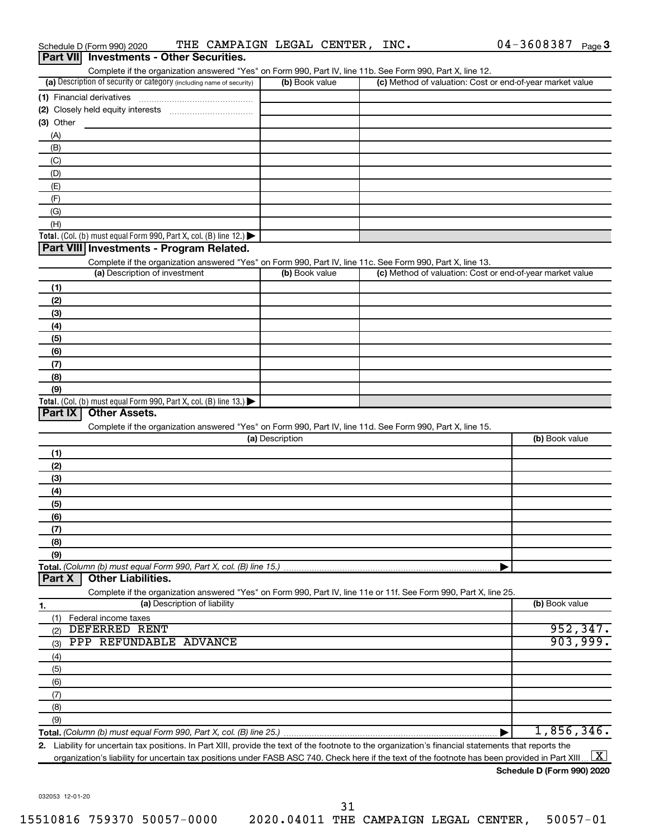|                  | Schedule D (Form 990) 2020                                                                                                                           |                              | THE CAMPAIGN LEGAL CENTER, INC. |                                                                                                                   | $04 - 3608387$ | Page 3              |
|------------------|------------------------------------------------------------------------------------------------------------------------------------------------------|------------------------------|---------------------------------|-------------------------------------------------------------------------------------------------------------------|----------------|---------------------|
| <b>Part VIII</b> | <b>Investments - Other Securities.</b>                                                                                                               |                              |                                 |                                                                                                                   |                |                     |
|                  |                                                                                                                                                      |                              |                                 | Complete if the organization answered "Yes" on Form 990, Part IV, line 11b. See Form 990, Part X, line 12.        |                |                     |
|                  | (a) Description of security or category (including name of security)                                                                                 |                              | (b) Book value                  | (c) Method of valuation: Cost or end-of-year market value                                                         |                |                     |
|                  | (1) Financial derivatives                                                                                                                            |                              |                                 |                                                                                                                   |                |                     |
|                  |                                                                                                                                                      |                              |                                 |                                                                                                                   |                |                     |
| (3) Other        |                                                                                                                                                      |                              |                                 |                                                                                                                   |                |                     |
| (A)              |                                                                                                                                                      |                              |                                 |                                                                                                                   |                |                     |
| (B)              |                                                                                                                                                      |                              |                                 |                                                                                                                   |                |                     |
| (C)              |                                                                                                                                                      |                              |                                 |                                                                                                                   |                |                     |
| (D)              |                                                                                                                                                      |                              |                                 |                                                                                                                   |                |                     |
| (E)              |                                                                                                                                                      |                              |                                 |                                                                                                                   |                |                     |
| (F)              |                                                                                                                                                      |                              |                                 |                                                                                                                   |                |                     |
| (G)              |                                                                                                                                                      |                              |                                 |                                                                                                                   |                |                     |
| (H)              |                                                                                                                                                      |                              |                                 |                                                                                                                   |                |                     |
|                  | Total. (Col. (b) must equal Form 990, Part X, col. (B) line 12.)                                                                                     |                              |                                 |                                                                                                                   |                |                     |
|                  | Part VIII Investments - Program Related.                                                                                                             |                              |                                 |                                                                                                                   |                |                     |
|                  |                                                                                                                                                      |                              |                                 | Complete if the organization answered "Yes" on Form 990, Part IV, line 11c. See Form 990, Part X, line 13.        |                |                     |
|                  | (a) Description of investment                                                                                                                        |                              | (b) Book value                  | (c) Method of valuation: Cost or end-of-year market value                                                         |                |                     |
| (1)              |                                                                                                                                                      |                              |                                 |                                                                                                                   |                |                     |
| (2)              |                                                                                                                                                      |                              |                                 |                                                                                                                   |                |                     |
| (3)              |                                                                                                                                                      |                              |                                 |                                                                                                                   |                |                     |
| (4)              |                                                                                                                                                      |                              |                                 |                                                                                                                   |                |                     |
|                  |                                                                                                                                                      |                              |                                 |                                                                                                                   |                |                     |
| (5)              |                                                                                                                                                      |                              |                                 |                                                                                                                   |                |                     |
| (6)              |                                                                                                                                                      |                              |                                 |                                                                                                                   |                |                     |
| (7)              |                                                                                                                                                      |                              |                                 |                                                                                                                   |                |                     |
| (8)              |                                                                                                                                                      |                              |                                 |                                                                                                                   |                |                     |
| (9)              |                                                                                                                                                      |                              |                                 |                                                                                                                   |                |                     |
| Part IX          | Total. (Col. (b) must equal Form 990, Part X, col. (B) line 13.)<br><b>Other Assets.</b>                                                             |                              |                                 |                                                                                                                   |                |                     |
|                  |                                                                                                                                                      |                              |                                 |                                                                                                                   |                |                     |
|                  |                                                                                                                                                      |                              | (a) Description                 | Complete if the organization answered "Yes" on Form 990, Part IV, line 11d. See Form 990, Part X, line 15.        | (b) Book value |                     |
|                  |                                                                                                                                                      |                              |                                 |                                                                                                                   |                |                     |
| (1)              |                                                                                                                                                      |                              |                                 |                                                                                                                   |                |                     |
| (2)              |                                                                                                                                                      |                              |                                 |                                                                                                                   |                |                     |
| (3)              |                                                                                                                                                      |                              |                                 |                                                                                                                   |                |                     |
| (4)              |                                                                                                                                                      |                              |                                 |                                                                                                                   |                |                     |
| (5)              |                                                                                                                                                      |                              |                                 |                                                                                                                   |                |                     |
| (6)              |                                                                                                                                                      |                              |                                 |                                                                                                                   |                |                     |
| (7)              |                                                                                                                                                      |                              |                                 |                                                                                                                   |                |                     |
| (8)              |                                                                                                                                                      |                              |                                 |                                                                                                                   |                |                     |
| (9)              |                                                                                                                                                      |                              |                                 |                                                                                                                   |                |                     |
|                  | Total. (Column (b) must equal Form 990, Part X, col. (B) line 15.)                                                                                   |                              |                                 |                                                                                                                   |                |                     |
| Part X           | <b>Other Liabilities.</b>                                                                                                                            |                              |                                 |                                                                                                                   |                |                     |
|                  |                                                                                                                                                      |                              |                                 | Complete if the organization answered "Yes" on Form 990, Part IV, line 11e or 11f. See Form 990, Part X, line 25. |                |                     |
| 1.               |                                                                                                                                                      | (a) Description of liability |                                 |                                                                                                                   | (b) Book value |                     |
| (1)              | Federal income taxes                                                                                                                                 |                              |                                 |                                                                                                                   |                |                     |
| (2)              | DEFERRED RENT                                                                                                                                        |                              |                                 |                                                                                                                   |                | 952, 347.           |
| (3)              | PPP REFUNDABLE ADVANCE                                                                                                                               |                              |                                 |                                                                                                                   |                | 903,999.            |
| (4)              |                                                                                                                                                      |                              |                                 |                                                                                                                   |                |                     |
| (5)              |                                                                                                                                                      |                              |                                 |                                                                                                                   |                |                     |
| (6)              |                                                                                                                                                      |                              |                                 |                                                                                                                   |                |                     |
| (7)              |                                                                                                                                                      |                              |                                 |                                                                                                                   |                |                     |
| (8)              |                                                                                                                                                      |                              |                                 |                                                                                                                   |                |                     |
| (9)              |                                                                                                                                                      |                              |                                 |                                                                                                                   |                |                     |
|                  |                                                                                                                                                      |                              |                                 |                                                                                                                   | 1,856,346.     |                     |
|                  | 2. Liability for uncertain tax positions. In Part XIII, provide the text of the footnote to the organization's financial statements that reports the |                              |                                 |                                                                                                                   |                |                     |
|                  | organization's liability for uncertain tax positions under FASB ASC 740. Check here if the text of the footnote has been provided in Part XIII       |                              |                                 |                                                                                                                   |                | $\lfloor x \rfloor$ |

04-3608387 Page 3

032053 12-01-20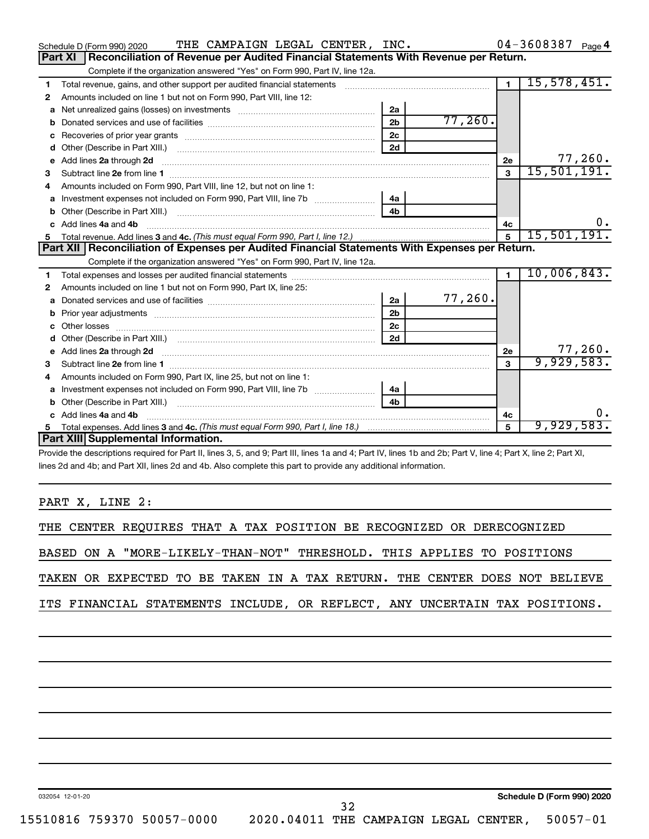|   | THE CAMPAIGN LEGAL CENTER, INC.<br>Schedule D (Form 990) 2020                                                                                                                                                                        |                |         |                | $04 - 3608387$ Page 4 |
|---|--------------------------------------------------------------------------------------------------------------------------------------------------------------------------------------------------------------------------------------|----------------|---------|----------------|-----------------------|
|   | <b>Part XI</b><br>Reconciliation of Revenue per Audited Financial Statements With Revenue per Return.                                                                                                                                |                |         |                |                       |
|   | Complete if the organization answered "Yes" on Form 990, Part IV, line 12a.                                                                                                                                                          |                |         |                |                       |
| 1 | Total revenue, gains, and other support per audited financial statements                                                                                                                                                             |                |         | $\overline{1}$ | 15,578,451.           |
| 2 | Amounts included on line 1 but not on Form 990, Part VIII, line 12:                                                                                                                                                                  |                |         |                |                       |
| a |                                                                                                                                                                                                                                      | 2a             |         |                |                       |
|   |                                                                                                                                                                                                                                      | 2 <sub>b</sub> | 77,260. |                |                       |
|   |                                                                                                                                                                                                                                      | 2c             |         |                |                       |
| d |                                                                                                                                                                                                                                      | 2d             |         |                |                       |
| е | Add lines 2a through 2d                                                                                                                                                                                                              |                |         | 2e             | 77,260.               |
| 3 |                                                                                                                                                                                                                                      |                |         | 3              | 15,501,191.           |
| 4 | Amounts included on Form 990, Part VIII, line 12, but not on line 1:                                                                                                                                                                 |                |         |                |                       |
| а |                                                                                                                                                                                                                                      | 4a             |         |                |                       |
|   |                                                                                                                                                                                                                                      | 4 <sub>h</sub> |         |                |                       |
|   | c Add lines 4a and 4b                                                                                                                                                                                                                |                |         | 4с             | υ.                    |
|   |                                                                                                                                                                                                                                      |                |         | $5\phantom{a}$ | 15,501,191.           |
|   | Part XII   Reconciliation of Expenses per Audited Financial Statements With Expenses per Return.                                                                                                                                     |                |         |                |                       |
|   | Complete if the organization answered "Yes" on Form 990, Part IV, line 12a.                                                                                                                                                          |                |         |                |                       |
| 1 |                                                                                                                                                                                                                                      |                |         | $\blacksquare$ | 10,006,843.           |
| 2 | Amounts included on line 1 but not on Form 990, Part IX, line 25:                                                                                                                                                                    |                |         |                |                       |
| а |                                                                                                                                                                                                                                      | 2a             | 77,260. |                |                       |
| b |                                                                                                                                                                                                                                      | 2 <sub>b</sub> |         |                |                       |
|   |                                                                                                                                                                                                                                      | 2 <sub>c</sub> |         |                |                       |
| d |                                                                                                                                                                                                                                      | 2d             |         |                |                       |
| е | Add lines 2a through 2d <b>contained a contained a contained a contained a</b> contained a contained a contained a contained a contact a contact a contact a contact a contact a contact a contact a contact a contact a contact a   |                |         | 2e             | 77,260.               |
| 3 |                                                                                                                                                                                                                                      |                |         | $\mathbf{a}$   | 9,929,583.            |
|   | Amounts included on Form 990, Part IX, line 25, but not on line 1:                                                                                                                                                                   |                |         |                |                       |
| a |                                                                                                                                                                                                                                      | 4a             |         |                |                       |
| b |                                                                                                                                                                                                                                      | 4 <sub>b</sub> |         |                |                       |
|   | Add lines 4a and 4b                                                                                                                                                                                                                  |                |         | 4с             | 0.                    |
| 5 |                                                                                                                                                                                                                                      |                |         | 5              | 9,929,583.            |
|   | Part XIII Supplemental Information.                                                                                                                                                                                                  |                |         |                |                       |
|   | <b>CONTRACT OF LOD LIBERT ASSESSED AT LOCAL LIBERTY A DISCUSSION AND LIST OF LIBERTY OF A LIBERTY AND LIBERTY OF A LIBERTY AND LIBERTY AND LIBERTY AND LIBERTY AND LIBERTY AND LIBERTY AND LIBERTY AND LIBERTY AND LIBERTY AND L</b> |                |         |                |                       |

Provide the descriptions required for Part II, lines 3, 5, and 9; Part III, lines 1a and 4; Part IV, lines 1b and 2b; Part V, line 4; Part X, line 2; Part XI, lines 2d and 4b; and Part XII, lines 2d and 4b. Also complete this part to provide any additional information.

PART X, LINE 2:

|  |  | THE CENTER REQUIRES THAT A TAX POSITION BE RECOGNIZED OR DERECOGNIZED      |  |  |  |  |  |  |  |  |  |
|--|--|----------------------------------------------------------------------------|--|--|--|--|--|--|--|--|--|
|  |  | BASED ON A "MORE-LIKELY-THAN-NOT" THRESHOLD. THIS APPLIES TO POSITIONS     |  |  |  |  |  |  |  |  |  |
|  |  | TAKEN OR EXPECTED TO BE TAKEN IN A TAX RETURN. THE CENTER DOES NOT BELIEVE |  |  |  |  |  |  |  |  |  |
|  |  | ITS FINANCIAL STATEMENTS INCLUDE, OR REFLECT, ANY UNCERTAIN TAX POSITIONS. |  |  |  |  |  |  |  |  |  |

032054 12-01-20

**Schedule D (Form 990) 2020**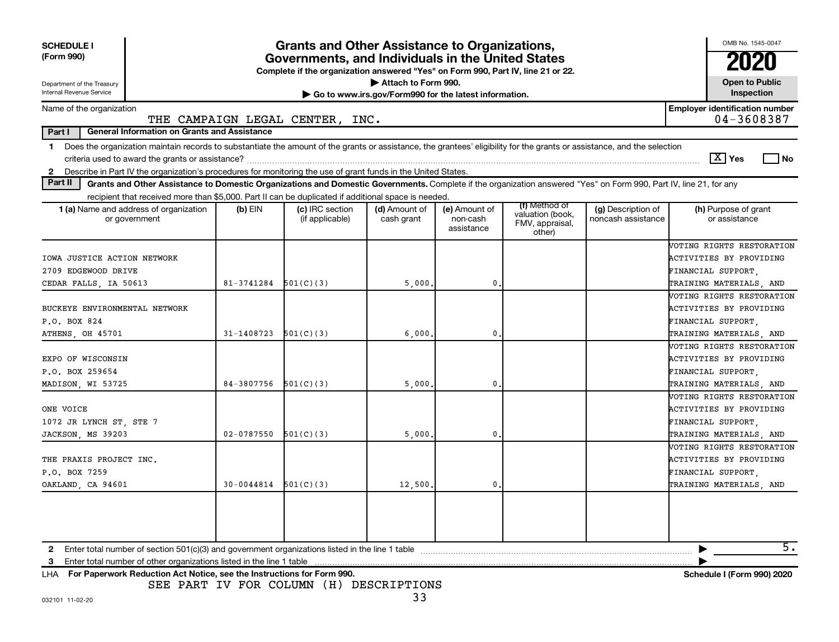| <b>SCHEDULE I</b><br>(Form 990)                                                                                                                                                                                                                                                                            |                          | <b>Grants and Other Assistance to Organizations,</b><br>Governments, and Individuals in the United States<br>Complete if the organization answered "Yes" on Form 990, Part IV, line 21 or 22. |                                                                              |                                         |                                                                |                                          | OMB No. 1545-0047                                                                                            |
|------------------------------------------------------------------------------------------------------------------------------------------------------------------------------------------------------------------------------------------------------------------------------------------------------------|--------------------------|-----------------------------------------------------------------------------------------------------------------------------------------------------------------------------------------------|------------------------------------------------------------------------------|-----------------------------------------|----------------------------------------------------------------|------------------------------------------|--------------------------------------------------------------------------------------------------------------|
| Department of the Treasury<br>Internal Revenue Service                                                                                                                                                                                                                                                     |                          |                                                                                                                                                                                               | Attach to Form 990.<br>Go to www.irs.gov/Form990 for the latest information. |                                         |                                                                |                                          | <b>Open to Public</b><br>Inspection                                                                          |
| Name of the organization                                                                                                                                                                                                                                                                                   |                          | THE CAMPAIGN LEGAL CENTER, INC.                                                                                                                                                               |                                                                              |                                         |                                                                |                                          | <b>Employer identification number</b><br>04-3608387                                                          |
| Part I<br><b>General Information on Grants and Assistance</b>                                                                                                                                                                                                                                              |                          |                                                                                                                                                                                               |                                                                              |                                         |                                                                |                                          |                                                                                                              |
| Does the organization maintain records to substantiate the amount of the grants or assistance, the grantees' eligibility for the grants or assistance, and the selection<br>$\mathbf 1$<br>2 Describe in Part IV the organization's procedures for monitoring the use of grant funds in the United States. |                          |                                                                                                                                                                                               |                                                                              |                                         |                                                                |                                          | $ \mathbf{X} $ Yes<br>l No                                                                                   |
| Part II<br>Grants and Other Assistance to Domestic Organizations and Domestic Governments. Complete if the organization answered "Yes" on Form 990, Part IV, line 21, for any                                                                                                                              |                          |                                                                                                                                                                                               |                                                                              |                                         |                                                                |                                          |                                                                                                              |
| recipient that received more than \$5,000. Part II can be duplicated if additional space is needed.                                                                                                                                                                                                        |                          |                                                                                                                                                                                               |                                                                              |                                         |                                                                |                                          |                                                                                                              |
| <b>1 (a)</b> Name and address of organization<br>or government                                                                                                                                                                                                                                             | $(b)$ EIN                | (c) IRC section<br>(if applicable)                                                                                                                                                            | (d) Amount of<br>cash grant                                                  | (e) Amount of<br>non-cash<br>assistance | (f) Method of<br>valuation (book,<br>FMV, appraisal,<br>other) | (g) Description of<br>noncash assistance | (h) Purpose of grant<br>or assistance                                                                        |
| IOWA JUSTICE ACTION NETWORK<br>2709 EDGEWOOD DRIVE<br>CEDAR FALLS, IA 50613                                                                                                                                                                                                                                | 81-3741284               | 501(C)(3)                                                                                                                                                                                     | 5,000                                                                        | 0.                                      |                                                                |                                          | VOTING RIGHTS RESTORATION<br><b>ACTIVITIES BY PROVIDING</b><br>FINANCIAL SUPPORT.<br>TRAINING MATERIALS, AND |
| BUCKEYE ENVIRONMENTAL NETWORK<br>P.O. BOX 824                                                                                                                                                                                                                                                              |                          |                                                                                                                                                                                               |                                                                              |                                         |                                                                |                                          | VOTING RIGHTS RESTORATION<br>ACTIVITIES BY PROVIDING<br>FINANCIAL SUPPORT,                                   |
| ATHENS, OH 45701                                                                                                                                                                                                                                                                                           | 31-1408723               | 501(C)(3)                                                                                                                                                                                     | 6,000                                                                        | $\mathbf{0}$                            |                                                                |                                          | TRAINING MATERIALS, AND                                                                                      |
| EXPO OF WISCONSIN<br>P.O. BOX 259654<br>MADISON, WI 53725                                                                                                                                                                                                                                                  | 84-3807756               | 501(C)(3)                                                                                                                                                                                     | 5,000                                                                        | $\mathbf 0$                             |                                                                |                                          | VOTING RIGHTS RESTORATION<br>ACTIVITIES BY PROVIDING<br>FINANCIAL SUPPORT,<br>TRAINING MATERIALS, AND        |
| ONE VOICE<br>1072 JR LYNCH ST, STE 7<br>JACKSON, MS 39203                                                                                                                                                                                                                                                  | $02 - 0787550$           | 501(C)(3)                                                                                                                                                                                     | 5,000                                                                        | $\mathbf{0}$                            |                                                                |                                          | VOTING RIGHTS RESTORATION<br>ACTIVITIES BY PROVIDING<br>FINANCIAL SUPPORT,<br>TRAINING MATERIALS, AND        |
| THE PRAXIS PROJECT INC.<br>P.O. BOX 7259<br>OAKLAND, CA 94601                                                                                                                                                                                                                                              | $30-0044814$ $501(C)(3)$ |                                                                                                                                                                                               | 12,500                                                                       | $\mathbf{0}$                            |                                                                |                                          | VOTING RIGHTS RESTORATION<br>ACTIVITIES BY PROVIDING<br>FINANCIAL SUPPORT.<br>TRAINING MATERIALS, AND        |
| 3 Enter total number of other organizations listed in the line 1 table                                                                                                                                                                                                                                     |                          |                                                                                                                                                                                               |                                                                              |                                         |                                                                |                                          | $\overline{5}$ .                                                                                             |

**For Paperwork Reduction Act Notice, see the Instructions for Form 990. Schedule I (Form 990) 2020** LHA SEE PART IV FOR COLUMN (H) DESCRIPTIONS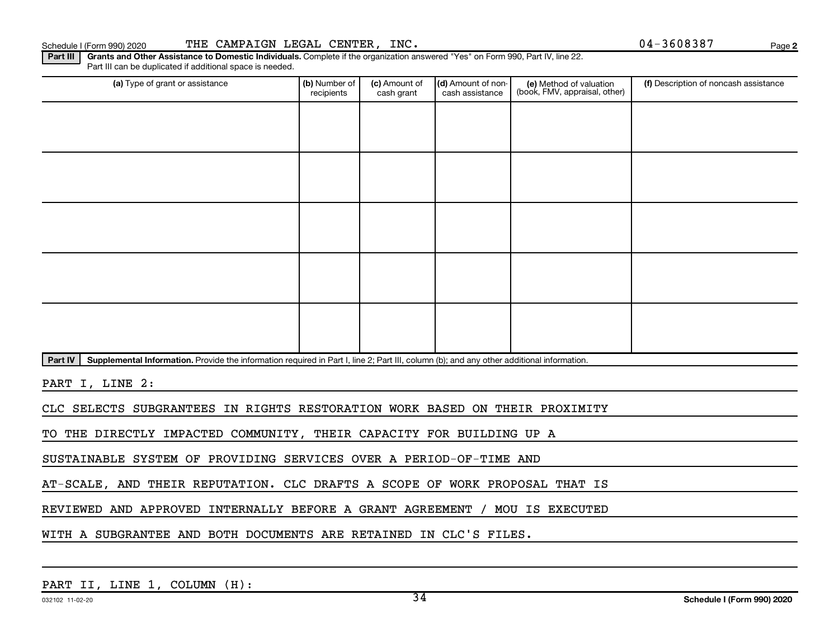**2**

Part III | Grants and Other Assistance to Domestic Individuals. Complete if the organization answered "Yes" on Form 990, Part IV, line 22. Part III can be duplicated if additional space is needed.

| (a) Type of grant or assistance                                                                                                                      | (b) Number of<br>recipients | (c) Amount of<br>cash grant | (d) Amount of non-<br>cash assistance | (e) Method of valuation<br>(book, FMV, appraisal, other) | (f) Description of noncash assistance |
|------------------------------------------------------------------------------------------------------------------------------------------------------|-----------------------------|-----------------------------|---------------------------------------|----------------------------------------------------------|---------------------------------------|
|                                                                                                                                                      |                             |                             |                                       |                                                          |                                       |
|                                                                                                                                                      |                             |                             |                                       |                                                          |                                       |
|                                                                                                                                                      |                             |                             |                                       |                                                          |                                       |
|                                                                                                                                                      |                             |                             |                                       |                                                          |                                       |
|                                                                                                                                                      |                             |                             |                                       |                                                          |                                       |
|                                                                                                                                                      |                             |                             |                                       |                                                          |                                       |
|                                                                                                                                                      |                             |                             |                                       |                                                          |                                       |
|                                                                                                                                                      |                             |                             |                                       |                                                          |                                       |
|                                                                                                                                                      |                             |                             |                                       |                                                          |                                       |
|                                                                                                                                                      |                             |                             |                                       |                                                          |                                       |
| Supplemental Information. Provide the information required in Part I, line 2; Part III, column (b); and any other additional information.<br>Part IV |                             |                             |                                       |                                                          |                                       |
|                                                                                                                                                      |                             |                             |                                       |                                                          |                                       |

PART I, LINE 2:

CLC SELECTS SUBGRANTEES IN RIGHTS RESTORATION WORK BASED ON THEIR PROXIMITY

TO THE DIRECTLY IMPACTED COMMUNITY, THEIR CAPACITY FOR BUILDING UP A

SUSTAINABLE SYSTEM OF PROVIDING SERVICES OVER A PERIOD-OF-TIME AND

AT-SCALE, AND THEIR REPUTATION. CLC DRAFTS A SCOPE OF WORK PROPOSAL THAT IS

REVIEWED AND APPROVED INTERNALLY BEFORE A GRANT AGREEMENT / MOU IS EXECUTED

WITH A SUBGRANTEE AND BOTH DOCUMENTS ARE RETAINED IN CLC'S FILES.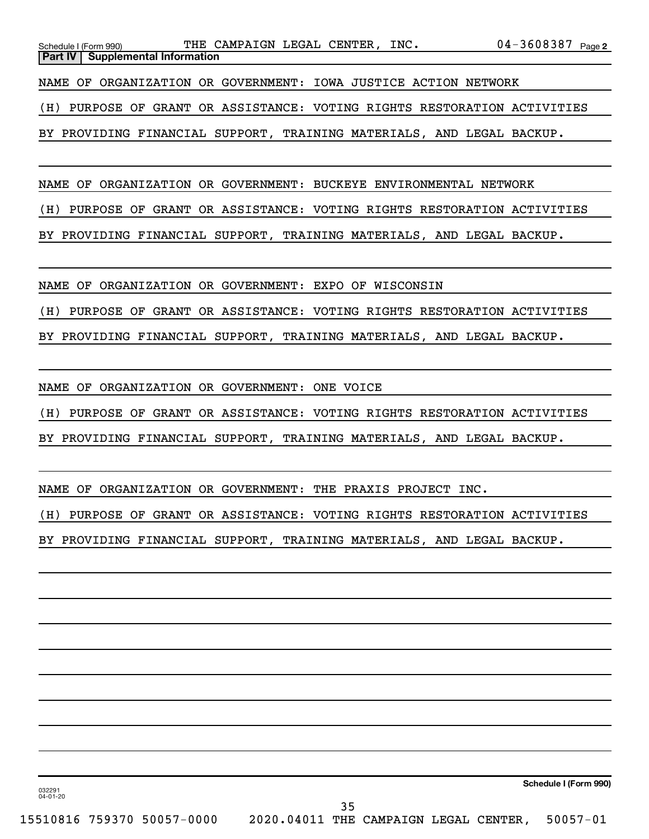| Schedule I (Form 990) |                                                                 | THE CAMPAIGN LEGAL CENTER, INC. |  |  | 04-3608387 <sub>Page2</sub>                                              |  |
|-----------------------|-----------------------------------------------------------------|---------------------------------|--|--|--------------------------------------------------------------------------|--|
|                       | <b>Part IV Supplemental Information</b>                         |                                 |  |  |                                                                          |  |
|                       |                                                                 |                                 |  |  |                                                                          |  |
|                       | NAME OF ORGANIZATION OR GOVERNMENT: IOWA JUSTICE ACTION NETWORK |                                 |  |  |                                                                          |  |
|                       |                                                                 |                                 |  |  |                                                                          |  |
|                       |                                                                 |                                 |  |  | (H) PURPOSE OF GRANT OR ASSISTANCE: VOTING RIGHTS RESTORATION ACTIVITIES |  |

BY PROVIDING FINANCIAL SUPPORT, TRAINING MATERIALS, AND LEGAL BACKUP.

NAME OF ORGANIZATION OR GOVERNMENT: BUCKEYE ENVIRONMENTAL NETWORK

(H) PURPOSE OF GRANT OR ASSISTANCE: VOTING RIGHTS RESTORATION ACTIVITIES

BY PROVIDING FINANCIAL SUPPORT, TRAINING MATERIALS, AND LEGAL BACKUP.

NAME OF ORGANIZATION OR GOVERNMENT: EXPO OF WISCONSIN

(H) PURPOSE OF GRANT OR ASSISTANCE: VOTING RIGHTS RESTORATION ACTIVITIES

BY PROVIDING FINANCIAL SUPPORT, TRAINING MATERIALS, AND LEGAL BACKUP.

NAME OF ORGANIZATION OR GOVERNMENT: ONE VOICE

(H) PURPOSE OF GRANT OR ASSISTANCE: VOTING RIGHTS RESTORATION ACTIVITIES

BY PROVIDING FINANCIAL SUPPORT, TRAINING MATERIALS, AND LEGAL BACKUP.

NAME OF ORGANIZATION OR GOVERNMENT: THE PRAXIS PROJECT INC.

(H) PURPOSE OF GRANT OR ASSISTANCE: VOTING RIGHTS RESTORATION ACTIVITIES

BY PROVIDING FINANCIAL SUPPORT, TRAINING MATERIALS, AND LEGAL BACKUP.

**Schedule I (Form 990)**

032291 04-01-20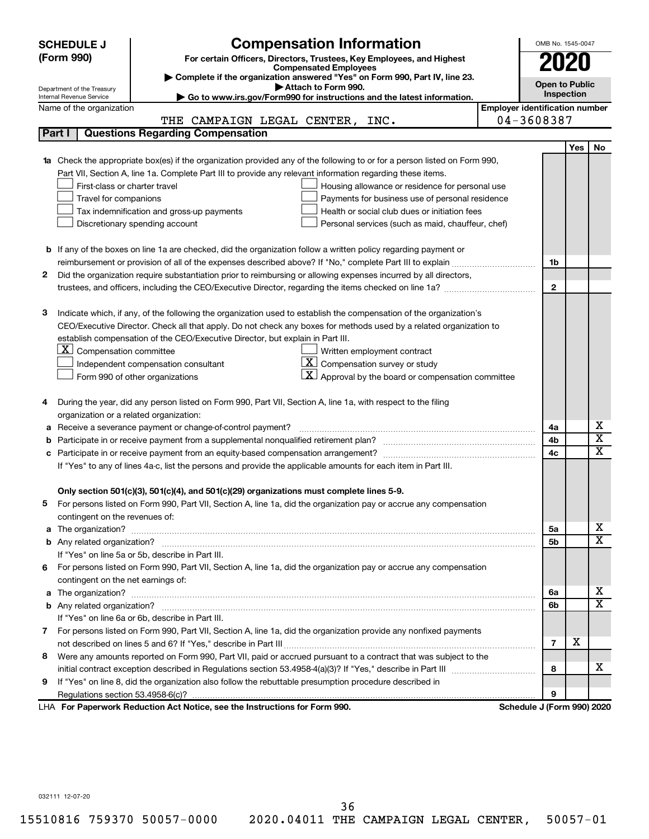|    | <b>Compensation Information</b><br><b>SCHEDULE J</b>                                                                                                                                                 |                                       |              | OMB No. 1545-0047     |                             |
|----|------------------------------------------------------------------------------------------------------------------------------------------------------------------------------------------------------|---------------------------------------|--------------|-----------------------|-----------------------------|
|    | (Form 990)<br>For certain Officers, Directors, Trustees, Key Employees, and Highest                                                                                                                  |                                       |              |                       |                             |
|    | <b>Compensated Employees</b>                                                                                                                                                                         |                                       |              |                       |                             |
|    | Complete if the organization answered "Yes" on Form 990, Part IV, line 23.<br>Attach to Form 990.                                                                                                    |                                       |              | <b>Open to Public</b> |                             |
|    | Department of the Treasury<br>Go to www.irs.gov/Form990 for instructions and the latest information.<br>Internal Revenue Service                                                                     |                                       |              | Inspection            |                             |
|    | Name of the organization                                                                                                                                                                             | <b>Employer identification number</b> |              |                       |                             |
|    | THE CAMPAIGN LEGAL CENTER, INC.                                                                                                                                                                      | 04-3608387                            |              |                       |                             |
|    | <b>Questions Regarding Compensation</b><br>Part I                                                                                                                                                    |                                       |              |                       |                             |
|    |                                                                                                                                                                                                      |                                       |              | <b>Yes</b>            | No                          |
|    | Check the appropriate box(es) if the organization provided any of the following to or for a person listed on Form 990,                                                                               |                                       |              |                       |                             |
|    | Part VII, Section A, line 1a. Complete Part III to provide any relevant information regarding these items.                                                                                           |                                       |              |                       |                             |
|    | First-class or charter travel<br>Housing allowance or residence for personal use                                                                                                                     |                                       |              |                       |                             |
|    | Travel for companions<br>Payments for business use of personal residence                                                                                                                             |                                       |              |                       |                             |
|    | Tax indemnification and gross-up payments<br>Health or social club dues or initiation fees                                                                                                           |                                       |              |                       |                             |
|    | Discretionary spending account<br>Personal services (such as maid, chauffeur, chef)                                                                                                                  |                                       |              |                       |                             |
|    |                                                                                                                                                                                                      |                                       |              |                       |                             |
|    | <b>b</b> If any of the boxes on line 1a are checked, did the organization follow a written policy regarding payment or                                                                               |                                       |              |                       |                             |
|    | reimbursement or provision of all of the expenses described above? If "No," complete Part III to explain                                                                                             |                                       | 1b           |                       |                             |
| 2  | Did the organization require substantiation prior to reimbursing or allowing expenses incurred by all directors,                                                                                     |                                       |              |                       |                             |
|    |                                                                                                                                                                                                      |                                       | $\mathbf{2}$ |                       |                             |
|    |                                                                                                                                                                                                      |                                       |              |                       |                             |
| з  | Indicate which, if any, of the following the organization used to establish the compensation of the organization's                                                                                   |                                       |              |                       |                             |
|    | CEO/Executive Director. Check all that apply. Do not check any boxes for methods used by a related organization to<br>establish compensation of the CEO/Executive Director, but explain in Part III. |                                       |              |                       |                             |
|    | $ \mathbf{X} $ Compensation committee<br>Written employment contract                                                                                                                                 |                                       |              |                       |                             |
|    | $\boxed{\textbf{X}}$ Compensation survey or study<br>Independent compensation consultant                                                                                                             |                                       |              |                       |                             |
|    | Approval by the board or compensation committee<br>Form 990 of other organizations                                                                                                                   |                                       |              |                       |                             |
|    |                                                                                                                                                                                                      |                                       |              |                       |                             |
| 4  | During the year, did any person listed on Form 990, Part VII, Section A, line 1a, with respect to the filing                                                                                         |                                       |              |                       |                             |
|    | organization or a related organization:                                                                                                                                                              |                                       |              |                       |                             |
| а  | Receive a severance payment or change-of-control payment?                                                                                                                                            |                                       | 4a           |                       | х                           |
| b  |                                                                                                                                                                                                      |                                       | 4b           |                       | $\overline{\text{x}}$       |
| с  | Participate in or receive payment from an equity-based compensation arrangement?                                                                                                                     |                                       | 4c           |                       | $\overline{\textnormal{x}}$ |
|    | If "Yes" to any of lines 4a-c, list the persons and provide the applicable amounts for each item in Part III.                                                                                        |                                       |              |                       |                             |
|    |                                                                                                                                                                                                      |                                       |              |                       |                             |
|    | Only section 501(c)(3), 501(c)(4), and 501(c)(29) organizations must complete lines 5-9.                                                                                                             |                                       |              |                       |                             |
|    | For persons listed on Form 990, Part VII, Section A, line 1a, did the organization pay or accrue any compensation                                                                                    |                                       |              |                       |                             |
|    | contingent on the revenues of:                                                                                                                                                                       |                                       |              |                       |                             |
| a  |                                                                                                                                                                                                      |                                       | 5a           |                       | х                           |
|    |                                                                                                                                                                                                      |                                       | 5b           |                       | $\overline{\mathbf{X}}$     |
|    | If "Yes" on line 5a or 5b, describe in Part III.                                                                                                                                                     |                                       |              |                       |                             |
| 6. | For persons listed on Form 990, Part VII, Section A, line 1a, did the organization pay or accrue any compensation                                                                                    |                                       |              |                       |                             |
|    | contingent on the net earnings of:                                                                                                                                                                   |                                       |              |                       |                             |
| a  |                                                                                                                                                                                                      |                                       | 6а           |                       | х                           |
|    |                                                                                                                                                                                                      |                                       | 6b           |                       | $\overline{\mathbf{X}}$     |
|    | If "Yes" on line 6a or 6b, describe in Part III.                                                                                                                                                     |                                       |              |                       |                             |
|    | 7 For persons listed on Form 990, Part VII, Section A, line 1a, did the organization provide any nonfixed payments                                                                                   |                                       |              |                       |                             |
|    |                                                                                                                                                                                                      |                                       | 7            | х                     |                             |
| 8  | Were any amounts reported on Form 990, Part VII, paid or accrued pursuant to a contract that was subject to the                                                                                      |                                       |              |                       |                             |
|    |                                                                                                                                                                                                      |                                       | 8            |                       | х                           |
| 9  | If "Yes" on line 8, did the organization also follow the rebuttable presumption procedure described in                                                                                               |                                       |              |                       |                             |
|    |                                                                                                                                                                                                      |                                       | 9            |                       |                             |
|    | LHA For Paperwork Reduction Act Notice, see the Instructions for Form 990.                                                                                                                           | Schedule J (Form 990) 2020            |              |                       |                             |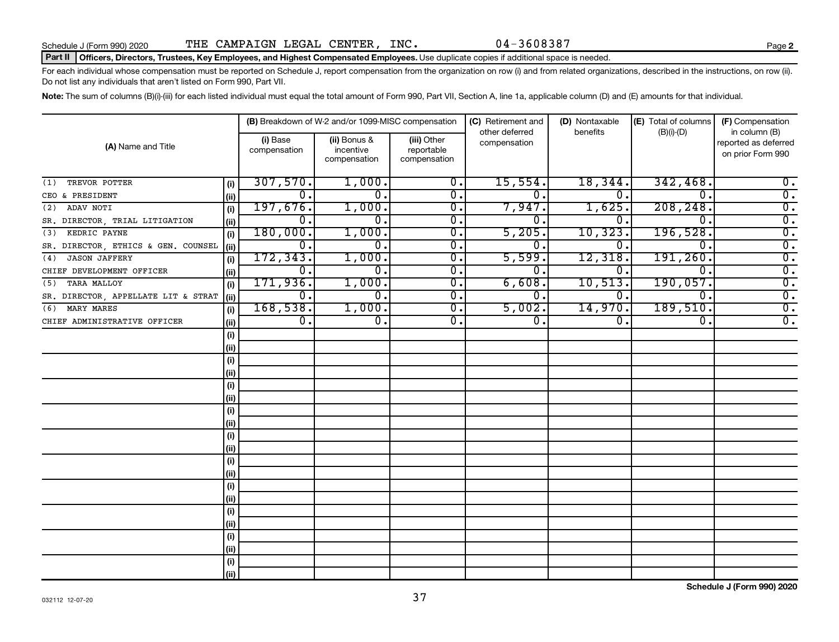#### Part II | Officers, Directors, Trustees, Key Employees, and Highest Compensated Employees. Use duplicate copies if additional space is needed.

For each individual whose compensation must be reported on Schedule J, report compensation from the organization on row (i) and from related organizations, described in the instructions, on row (ii). Do not list any individuals that aren't listed on Form 990, Part VII.

Note: The sum of columns (B)(i)-(iii) for each listed individual must equal the total amount of Form 990, Part VII, Section A, line 1a, applicable column (D) and (E) amounts for that individual.

|                                     |       |                          | (B) Breakdown of W-2 and/or 1099-MISC compensation |                                           | (C) Retirement and             | (D) Nontaxable   | (E) Total of columns        | (F) Compensation                                           |
|-------------------------------------|-------|--------------------------|----------------------------------------------------|-------------------------------------------|--------------------------------|------------------|-----------------------------|------------------------------------------------------------|
| (A) Name and Title                  |       | (i) Base<br>compensation | (ii) Bonus &<br>incentive<br>compensation          | (iii) Other<br>reportable<br>compensation | other deferred<br>compensation | benefits         | $(B)(i)$ - $(D)$            | in column (B)<br>reported as deferred<br>on prior Form 990 |
| TREVOR POTTER<br>(1)                | (i)   | 307,570.                 | 1,000.                                             | $\overline{0}$ .                          | 15,554.                        | 18,344.          | 342, 468.                   | 0.                                                         |
| CEO & PRESIDENT                     | (ii)  | 0.                       | 0.                                                 | 0.                                        | $\Omega$ .                     | 0.               | 0.                          | $\overline{0}$ .                                           |
| ADAV NOTI<br>(2)                    | (i)   | 197,676.                 | 1,000.                                             | $\overline{\mathbf{0}}$ .                 | 7,947.                         | 1,625.           | 208, 248.                   | $\overline{0}$ .                                           |
| SR. DIRECTOR, TRIAL LITIGATION      | (ii)  | 0.                       | 0.                                                 | $\overline{\mathbf{0}}$ .                 | 0.                             | 0                | $\Omega$ .                  | $\overline{0}$ .                                           |
| (3)<br>KEDRIC PAYNE                 | (i)   | 180,000.                 | 1,000.                                             | $\overline{\mathbf{0}}$ .                 | 5,205.                         | 10,323           | 196,528.                    | $\overline{0}$ .                                           |
| SR. DIRECTOR, ETHICS & GEN. COUNSEL | (ii)  | $\overline{0}$ .         | 0.                                                 | $\overline{\mathbf{0}}$ .                 | 0.                             | 0                | $\Omega$ .                  | $\overline{0}$ .                                           |
| <b>JASON JAFFERY</b><br>(4)         | (i)   | 172, 343.                | 1,000.                                             | $\overline{0}$ .                          | 5,599.                         | 12,318           | 191,260.                    | $\overline{0}$ .                                           |
| CHIEF DEVELOPMENT OFFICER           | (ii)  | 0.                       | 0.                                                 | 0.                                        | 0.                             | $\Omega$ .       | $\overline{0}$ .            | $\overline{0}$ .                                           |
| TARA MALLOY<br>(5)                  | (i)   | 171,936.                 | 1,000.                                             | $\overline{0}$ .                          | 6,608.                         | 10, 513.         | 190,057.                    | $\overline{0}$ .                                           |
| SR. DIRECTOR, APPELLATE LIT & STRAT | (ii)  | $\overline{0}$ .         | $\overline{0}$ .                                   | $\overline{0}$ .                          | $\overline{0}$ .               | 0.               | $\overline{0}$ .            | $\overline{0}$ .                                           |
| MARY MARES<br>(6)                   | (i)   | 168,538.                 | 1,000.                                             | $\overline{0}$ .                          | 5,002.                         | 14,970.          | 189,510.                    | $\overline{0}$ .                                           |
| CHIEF ADMINISTRATIVE OFFICER        | (ii)  | $\overline{0}$ .         | $\overline{\mathfrak{o}}$ .                        | $\overline{0}$ .                          | $\overline{0}$ .               | $\overline{0}$ . | $\overline{\mathfrak{o}}$ . | $\overline{0}$ .                                           |
|                                     | (i)   |                          |                                                    |                                           |                                |                  |                             |                                                            |
|                                     | (ii)  |                          |                                                    |                                           |                                |                  |                             |                                                            |
|                                     | (i)   |                          |                                                    |                                           |                                |                  |                             |                                                            |
|                                     | (ii)  |                          |                                                    |                                           |                                |                  |                             |                                                            |
|                                     | (i)   |                          |                                                    |                                           |                                |                  |                             |                                                            |
|                                     | (ii)  |                          |                                                    |                                           |                                |                  |                             |                                                            |
|                                     | (i)   |                          |                                                    |                                           |                                |                  |                             |                                                            |
|                                     | (ii)  |                          |                                                    |                                           |                                |                  |                             |                                                            |
|                                     | (i)   |                          |                                                    |                                           |                                |                  |                             |                                                            |
|                                     | (ii)  |                          |                                                    |                                           |                                |                  |                             |                                                            |
|                                     | (i)   |                          |                                                    |                                           |                                |                  |                             |                                                            |
|                                     | (ii)  |                          |                                                    |                                           |                                |                  |                             |                                                            |
|                                     | (i)   |                          |                                                    |                                           |                                |                  |                             |                                                            |
|                                     | (ii)  |                          |                                                    |                                           |                                |                  |                             |                                                            |
|                                     | (i)   |                          |                                                    |                                           |                                |                  |                             |                                                            |
|                                     | (ii)  |                          |                                                    |                                           |                                |                  |                             |                                                            |
|                                     | (i)   |                          |                                                    |                                           |                                |                  |                             |                                                            |
|                                     | (ii)  |                          |                                                    |                                           |                                |                  |                             |                                                            |
|                                     | (i)   |                          |                                                    |                                           |                                |                  |                             |                                                            |
|                                     | (iii) |                          |                                                    |                                           |                                |                  |                             |                                                            |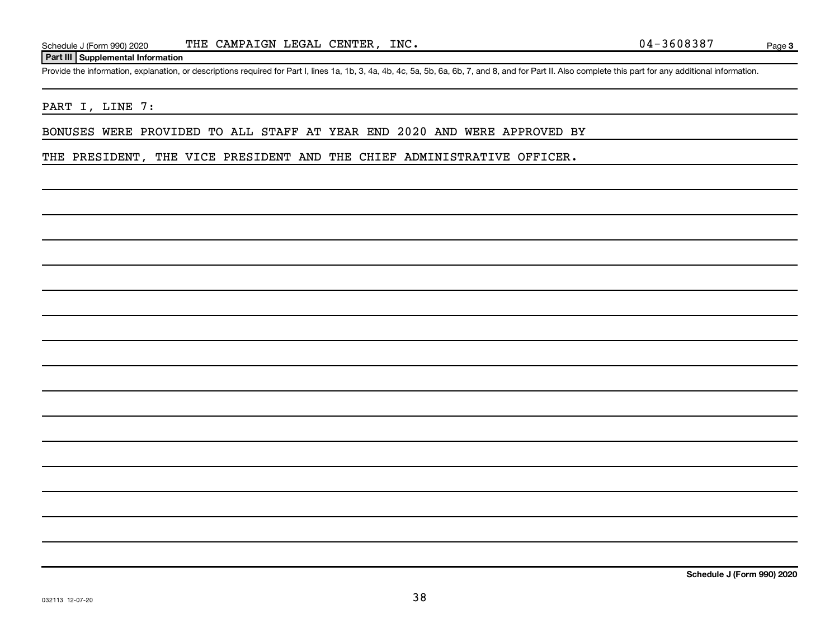#### **Part III Supplemental Information**

Provide the information, explanation, or descriptions required for Part I, lines 1a, 1b, 3, 4a, 4b, 4c, 5a, 5b, 6a, 6b, 7, and 8, and for Part II. Also complete this part for any additional information.

#### PART I, LINE 7:

BONUSES WERE PROVIDED TO ALL STAFF AT YEAR END 2020 AND WERE APPROVED BY

THE PRESIDENT, THE VICE PRESIDENT AND THE CHIEF ADMINISTRATIVE OFFICER.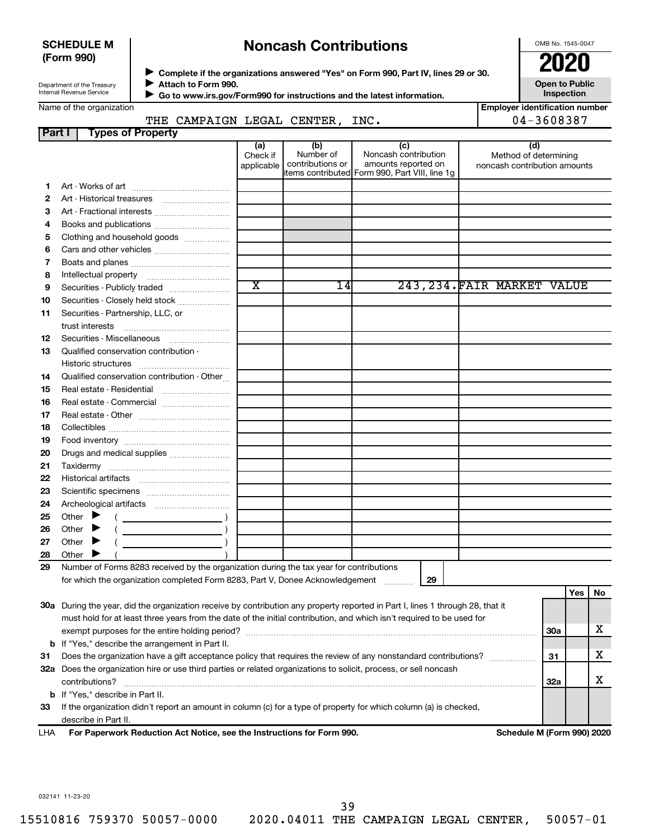#### **SCHEDULE M (Form 990)**

## **Noncash Contributions**

OMB No. 1545-0047

| Department of the Treasury |
|----------------------------|
| Internal Revenue Service   |

Name of the organization

◆ Complete if the organizations answered "Yes" on Form 990, Part IV, lines 29 or 30.<br>● Complete if the organizations answered "Yes" on Form 990, Part IV, lines 29 or 30. **Attach to Form 990.**  $\blacktriangleright$ 

 **Go to www.irs.gov/Form990 for instructions and the latest information.** J

**Inspection Employer identification number**

**Open to Public**

|        | CAMPAIGN<br>THE          | LEGAL          | <b>CENTER</b>    | INC.                        | $04 - 3608387$               |
|--------|--------------------------|----------------|------------------|-----------------------------|------------------------------|
| Part I | <b>Types of Property</b> |                |                  |                             |                              |
|        |                          | (a<br>Check if | (b)<br>Number of | (C)<br>Noncash contribution | (d)<br>Method of determining |

|    |                                                                                                                                | Check if<br>applicable | Number of<br>contributions or                  | Noncash contribution<br>amounts reported on |    | Method of determining<br>noncash contribution amounts |     |     |             |
|----|--------------------------------------------------------------------------------------------------------------------------------|------------------------|------------------------------------------------|---------------------------------------------|----|-------------------------------------------------------|-----|-----|-------------|
| 1. |                                                                                                                                |                        | items contributed Form 990, Part VIII, line 1g |                                             |    |                                                       |     |     |             |
| 2  |                                                                                                                                |                        |                                                |                                             |    |                                                       |     |     |             |
| 3  |                                                                                                                                |                        |                                                |                                             |    |                                                       |     |     |             |
| 4  |                                                                                                                                |                        |                                                |                                             |    |                                                       |     |     |             |
| 5  | Clothing and household goods                                                                                                   |                        |                                                |                                             |    |                                                       |     |     |             |
| 6  |                                                                                                                                |                        |                                                |                                             |    |                                                       |     |     |             |
| 7  |                                                                                                                                |                        |                                                |                                             |    |                                                       |     |     |             |
| 8  |                                                                                                                                |                        |                                                |                                             |    |                                                       |     |     |             |
| 9  |                                                                                                                                | $\overline{\text{x}}$  | 14I                                            |                                             |    | 243, 234. FAIR MARKET VALUE                           |     |     |             |
|    |                                                                                                                                |                        |                                                |                                             |    |                                                       |     |     |             |
| 10 | Securities - Closely held stock                                                                                                |                        |                                                |                                             |    |                                                       |     |     |             |
| 11 | Securities - Partnership, LLC, or                                                                                              |                        |                                                |                                             |    |                                                       |     |     |             |
|    |                                                                                                                                |                        |                                                |                                             |    |                                                       |     |     |             |
| 12 | Securities - Miscellaneous                                                                                                     |                        |                                                |                                             |    |                                                       |     |     |             |
| 13 | Qualified conservation contribution -                                                                                          |                        |                                                |                                             |    |                                                       |     |     |             |
| 14 | Qualified conservation contribution - Other                                                                                    |                        |                                                |                                             |    |                                                       |     |     |             |
| 15 |                                                                                                                                |                        |                                                |                                             |    |                                                       |     |     |             |
| 16 | Real estate - Commercial                                                                                                       |                        |                                                |                                             |    |                                                       |     |     |             |
| 17 |                                                                                                                                |                        |                                                |                                             |    |                                                       |     |     |             |
| 18 |                                                                                                                                |                        |                                                |                                             |    |                                                       |     |     |             |
| 19 |                                                                                                                                |                        |                                                |                                             |    |                                                       |     |     |             |
| 20 |                                                                                                                                |                        |                                                |                                             |    |                                                       |     |     |             |
| 21 |                                                                                                                                |                        |                                                |                                             |    |                                                       |     |     |             |
| 22 |                                                                                                                                |                        |                                                |                                             |    |                                                       |     |     |             |
| 23 |                                                                                                                                |                        |                                                |                                             |    |                                                       |     |     |             |
| 24 |                                                                                                                                |                        |                                                |                                             |    |                                                       |     |     |             |
| 25 | Other $\blacktriangleright$                                                                                                    |                        |                                                |                                             |    |                                                       |     |     |             |
| 26 | Other $\blacktriangleright$                                                                                                    |                        |                                                |                                             |    |                                                       |     |     |             |
| 27 | Other $\blacktriangleright$                                                                                                    |                        |                                                |                                             |    |                                                       |     |     |             |
| 28 | Other $\blacktriangleright$                                                                                                    |                        |                                                |                                             |    |                                                       |     |     |             |
| 29 | Number of Forms 8283 received by the organization during the tax year for contributions                                        |                        |                                                |                                             |    |                                                       |     |     |             |
|    | for which the organization completed Form 8283, Part V, Donee Acknowledgement                                                  |                        |                                                |                                             | 29 |                                                       |     |     |             |
|    |                                                                                                                                |                        |                                                |                                             |    |                                                       |     | Yes | No          |
|    | 30a During the year, did the organization receive by contribution any property reported in Part I, lines 1 through 28, that it |                        |                                                |                                             |    |                                                       |     |     |             |
|    | must hold for at least three years from the date of the initial contribution, and which isn't required to be used for          |                        |                                                |                                             |    |                                                       |     |     |             |
|    |                                                                                                                                |                        |                                                |                                             |    |                                                       | 30a |     | $\mathbf X$ |
|    | <b>b</b> If "Yes," describe the arrangement in Part II.                                                                        |                        |                                                |                                             |    |                                                       |     |     |             |
| 31 | Does the organization have a gift acceptance policy that requires the review of any nonstandard contributions?                 |                        |                                                |                                             |    |                                                       | 31  |     | х           |
|    | 32a Does the organization hire or use third parties or related organizations to solicit, process, or sell noncash              |                        |                                                |                                             |    |                                                       |     |     |             |
|    | contributions?                                                                                                                 |                        |                                                |                                             |    |                                                       | 32a |     | х           |
|    | <b>b</b> If "Yes," describe in Part II.                                                                                        |                        |                                                |                                             |    |                                                       |     |     |             |
| 33 | If the organization didn't report an amount in column (c) for a type of property for which column (a) is checked,              |                        |                                                |                                             |    |                                                       |     |     |             |
|    | describe in Part II.                                                                                                           |                        |                                                |                                             |    |                                                       |     |     |             |

**For Paperwork Reduction Act Notice, see the Instructions for Form 990. Schedule M (Form 990) 2020** LHA

032141 11-23-20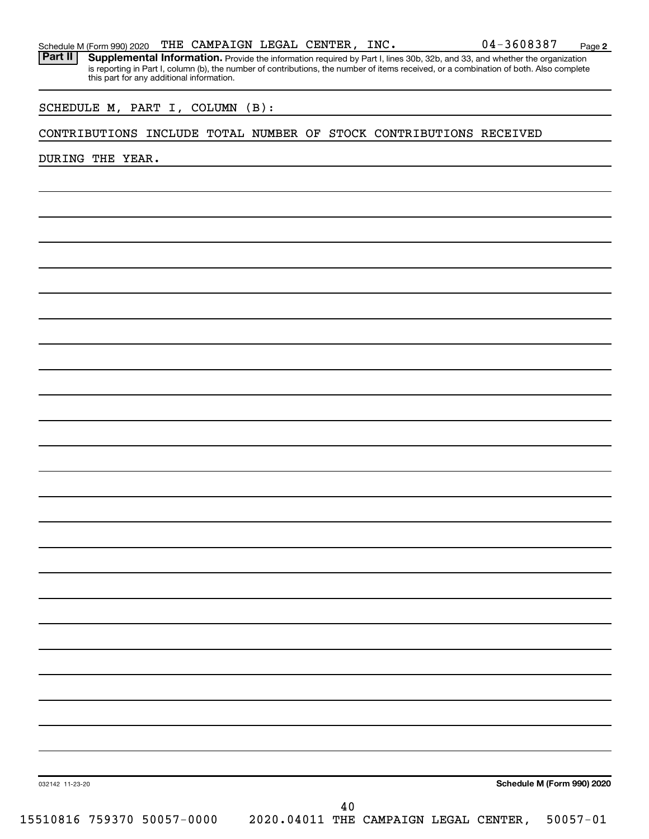Part II | Supplemental Information. Provide the information required by Part I, lines 30b, 32b, and 33, and whether the organization is reporting in Part I, column (b), the number of contributions, the number of items received, or a combination of both. Also complete this part for any additional information.

SCHEDULE M, PART I, COLUMN (B):

#### CONTRIBUTIONS INCLUDE TOTAL NUMBER OF STOCK CONTRIBUTIONS RECEIVED

DURING THE YEAR.

**Schedule M (Form 990) 2020**

**2**

032142 11-23-20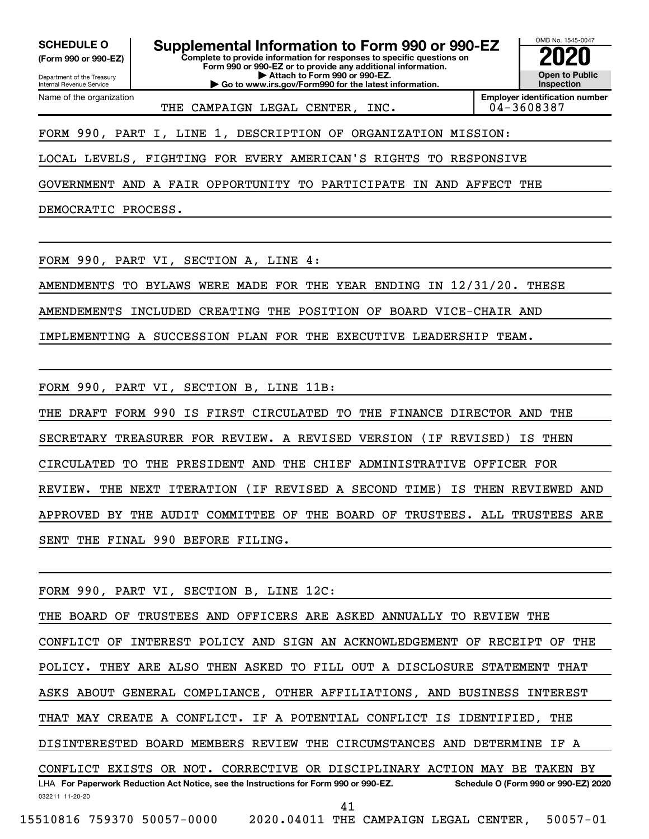**(Form 990 or 990-EZ)**

Department of the Treasury Internal Revenue Service Name of the organization

**SCHEDULE O Supplemental Information to Form 990 or 990-EZ 2020**<br>(Form 990 or 990-EZ) **2020** 

**Complete to provide information for responses to specific questions on Form 990 or 990-EZ or to provide any additional information. | Attach to Form 990 or 990-EZ.**

**| Go to www.irs.gov/Form990 for the latest information.**

OMB No. 1545-0047 **Open to Public Inspection**

THE CAMPAIGN LEGAL CENTER, INC.  $\vert$  04-3608387

**Employer identification number**

FORM 990, PART I, LINE 1, DESCRIPTION OF ORGANIZATION MISSION:

LOCAL LEVELS, FIGHTING FOR EVERY AMERICAN'S RIGHTS TO RESPONSIVE

GOVERNMENT AND A FAIR OPPORTUNITY TO PARTICIPATE IN AND AFFECT THE

DEMOCRATIC PROCESS.

FORM 990, PART VI, SECTION A, LINE 4:

AMENDMENTS TO BYLAWS WERE MADE FOR THE YEAR ENDING IN 12/31/20. THESE

AMENDEMENTS INCLUDED CREATING THE POSITION OF BOARD VICE-CHAIR AND

IMPLEMENTING A SUCCESSION PLAN FOR THE EXECUTIVE LEADERSHIP TEAM.

FORM 990, PART VI, SECTION B, LINE 11B:

THE DRAFT FORM 990 IS FIRST CIRCULATED TO THE FINANCE DIRECTOR AND THE SECRETARY TREASURER FOR REVIEW. A REVISED VERSION (IF REVISED) IS THEN CIRCULATED TO THE PRESIDENT AND THE CHIEF ADMINISTRATIVE OFFICER FOR REVIEW. THE NEXT ITERATION (IF REVISED A SECOND TIME) IS THEN REVIEWED AND APPROVED BY THE AUDIT COMMITTEE OF THE BOARD OF TRUSTEES. ALL TRUSTEES ARE SENT THE FINAL 990 BEFORE FILING.

032211 11-20-20 **For Paperwork Reduction Act Notice, see the Instructions for Form 990 or 990-EZ. Schedule O (Form 990 or 990-EZ) 2020** LHA FORM 990, PART VI, SECTION B, LINE 12C: THE BOARD OF TRUSTEES AND OFFICERS ARE ASKED ANNUALLY TO REVIEW THE CONFLICT OF INTEREST POLICY AND SIGN AN ACKNOWLEDGEMENT OF RECEIPT OF THE POLICY. THEY ARE ALSO THEN ASKED TO FILL OUT A DISCLOSURE STATEMENT THAT ASKS ABOUT GENERAL COMPLIANCE, OTHER AFFILIATIONS, AND BUSINESS INTEREST THAT MAY CREATE A CONFLICT. IF A POTENTIAL CONFLICT IS IDENTIFIED, THE DISINTERESTED BOARD MEMBERS REVIEW THE CIRCUMSTANCES AND DETERMINE IF A CONFLICT EXISTS OR NOT. CORRECTIVE OR DISCIPLINARY ACTION MAY BE TAKEN BY 41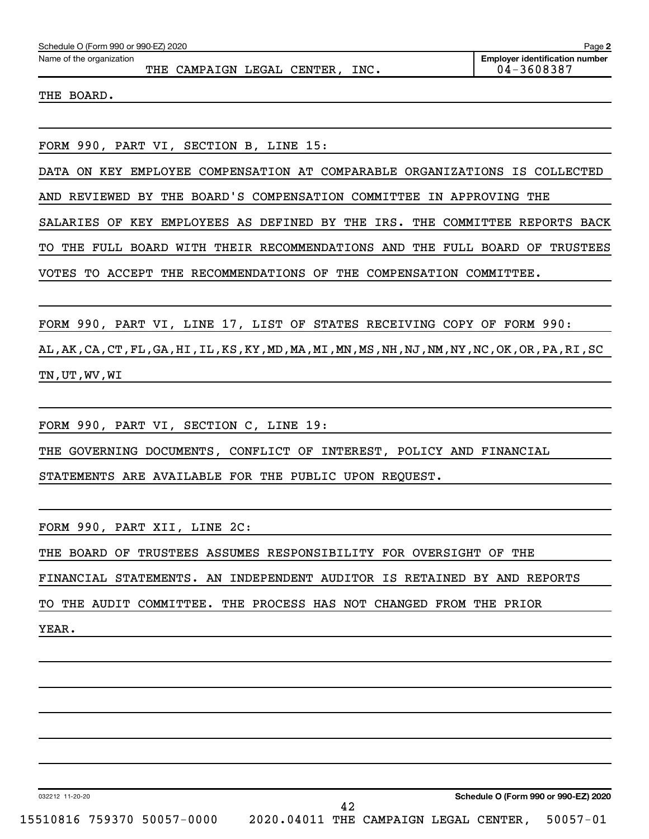| Schedule O (Form 990 or 990-EZ) 2020                                         | Page 2                                              |
|------------------------------------------------------------------------------|-----------------------------------------------------|
| Name of the organization<br>CAMPAIGN LEGAL<br>CENTER, INC.<br>THE            | <b>Employer identification number</b><br>04-3608387 |
| BOARD.<br>THE                                                                |                                                     |
|                                                                              |                                                     |
| FORM 990, PART VI, SECTION B, LINE 15:                                       |                                                     |
| COMPARABLE ORGANIZATIONS IS<br>EMPLOYEE COMPENSATION AT<br>ON<br>KEY<br>DATA | COLLECTED                                           |
| THE BOARD'S COMPENSATION COMMITTEE IN APPROVING<br>REVIEWED BY<br>AND        | THE                                                 |
| KEY EMPLOYEES AS DEFINED BY THE IRS.<br>SALARIES<br>OF                       | THE COMMITTEE REPORTS BACK                          |
| THEIR RECOMMENDATIONS AND<br>FULL BOARD WITH<br>THE<br>THE<br>TО             | FULL BOARD OF<br>TRUSTEES                           |
| ACCEPT<br>THE RECOMMENDATIONS OF THE COMPENSATION COMMITTEE.<br>TO.<br>VOTES |                                                     |
|                                                                              |                                                     |
| FORM 990, PART VI, LINE 17, LIST OF STATES RECEIVING<br>COPY                 | FORM 990:<br>OF                                     |

AL,AK,CA,CT,FL,GA,HI,IL,KS,KY,MD,MA,MI,MN,MS,NH,NJ,NM,NY,NC,OK,OR,PA,RI,SC TN,UT,WV,WI

FORM 990, PART VI, SECTION C, LINE 19: THE GOVERNING DOCUMENTS, CONFLICT OF INTEREST, POLICY AND FINANCIAL STATEMENTS ARE AVAILABLE FOR THE PUBLIC UPON REQUEST.

FORM 990, PART XII, LINE 2C:

THE BOARD OF TRUSTEES ASSUMES RESPONSIBILITY FOR OVERSIGHT OF THE

FINANCIAL STATEMENTS. AN INDEPENDENT AUDITOR IS RETAINED BY AND REPORTS

TO THE AUDIT COMMITTEE. THE PROCESS HAS NOT CHANGED FROM THE PRIOR

YEAR.

032212 11-20-20

**Schedule O (Form 990 or 990-EZ) 2020**